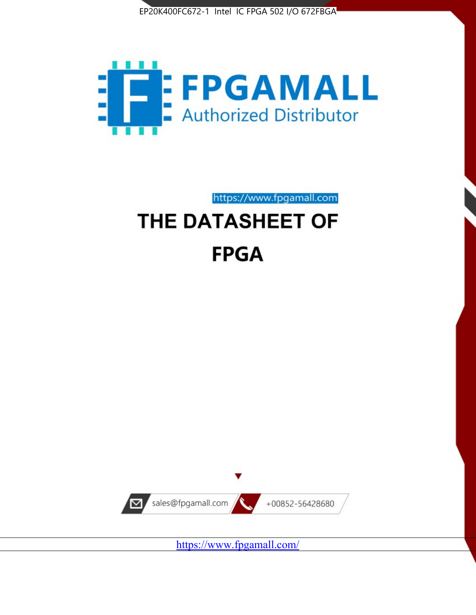



https://www.fpgamall.com

# THE DATASHEET OF **FPGA**



<https://www.fpgamall.com/>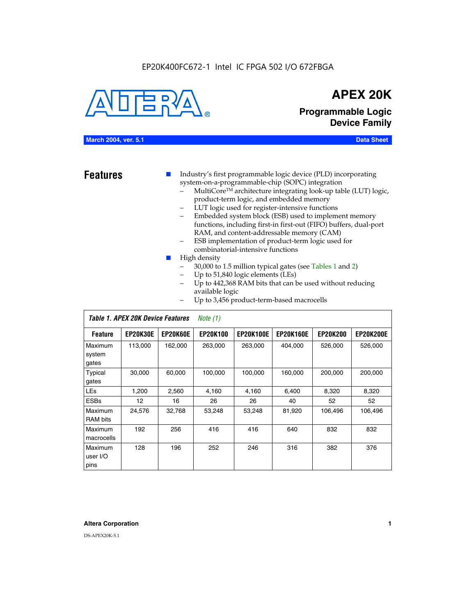#### EP20K400FC672-1 Intel IC FPGA 502 I/O 672FBGA



## **APEX 20K**

**Programmable Logic Device Family**

#### **March 2004, ver. 5.1 Data Sheet**

**Features ■** Industry's first programmable logic device (PLD) incorporating system-on-a-programmable-chip (SOPC) integration

- MultiCore™ architecture integrating look-up table (LUT) logic, product-term logic, and embedded memory
- LUT logic used for register-intensive functions
- Embedded system block (ESB) used to implement memory functions, including first-in first-out (FIFO) buffers, dual-port RAM, and content-addressable memory (CAM)
- ESB implementation of product-term logic used for combinatorial-intensive functions
- High density
	- 30,000 to 1.5 million typical gates (see Tables 1 and 2)
	- Up to 51,840 logic elements (LEs)
	- Up to 442,368 RAM bits that can be used without reducing available logic
	- Up to 3,456 product-term-based macrocells

|                             | Table 1. APEX 20K Device Features<br>Note $(1)$ |                 |                 |                  |                  |                 |                  |  |  |  |
|-----------------------------|-------------------------------------------------|-----------------|-----------------|------------------|------------------|-----------------|------------------|--|--|--|
| <b>Feature</b>              | <b>EP20K30E</b>                                 | <b>EP20K60E</b> | <b>EP20K100</b> | <b>EP20K100E</b> | <b>EP20K160E</b> | <b>EP20K200</b> | <b>EP20K200E</b> |  |  |  |
| Maximum<br>system<br>gates  | 113,000                                         | 162,000         | 263.000         | 263,000          | 404.000          | 526,000         | 526,000          |  |  |  |
| Typical<br>gates            | 30,000                                          | 60,000          | 100,000         | 100,000          | 160,000          | 200,000         | 200,000          |  |  |  |
| <b>LEs</b>                  | 1,200                                           | 2,560           | 4,160           | 4,160            | 6.400            | 8,320           | 8,320            |  |  |  |
| <b>ESBs</b>                 | 12                                              | 16              | 26              | 26               | 40               | 52              | 52               |  |  |  |
| Maximum<br><b>RAM</b> bits  | 24,576                                          | 32,768          | 53,248          | 53,248           | 81,920           | 106,496         | 106,496          |  |  |  |
| Maximum<br>macrocells       | 192                                             | 256             | 416             | 416              | 640              | 832             | 832              |  |  |  |
| Maximum<br>user I/O<br>pins | 128                                             | 196             | 252             | 246              | 316              | 382             | 376              |  |  |  |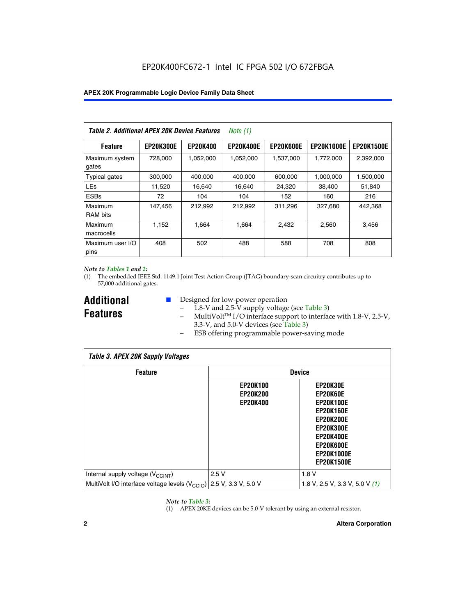| Table 2. Additional APEX 20K Device Features |                  |                 | <i>Note</i> $(1)$ |                  |                   |                   |
|----------------------------------------------|------------------|-----------------|-------------------|------------------|-------------------|-------------------|
| <b>Feature</b>                               | <b>EP20K300E</b> | <b>EP20K400</b> | <b>EP20K400E</b>  | <b>EP20K600E</b> | <b>EP20K1000E</b> | <b>EP20K1500E</b> |
| Maximum system<br>gates                      | 728,000          | 1,052,000       | 1,052,000         | 1,537,000        | 1,772,000         | 2,392,000         |
| <b>Typical gates</b>                         | 300,000          | 400,000         | 400,000           | 600,000          | 1,000,000         | 1,500,000         |
| <b>LEs</b>                                   | 11,520           | 16.640          | 16,640            | 24,320           | 38,400            | 51,840            |
| <b>ESBs</b>                                  | 72               | 104             | 104               | 152              | 160               | 216               |
| Maximum<br><b>RAM bits</b>                   | 147,456          | 212,992         | 212.992           | 311,296          | 327,680           | 442.368           |
| Maximum<br>macrocells                        | 1,152            | 1,664           | 1,664             | 2.432            | 2,560             | 3,456             |
| Maximum user I/O<br>pins                     | 408              | 502             | 488               | 588              | 708               | 808               |

#### *Note to Tables 1 and 2:*

*Table 3. APEX 20K Supply Voltages*

(1) The embedded IEEE Std. 1149.1 Joint Test Action Group (JTAG) boundary-scan circuitry contributes up to 57,000 additional gates.

**Additional Features**

 $\mathbf{I}$ 

- Designed for low-power operation
	- $1.8-V$  and 2.5-V supply voltage (see Table 3)
	- $-$  MultiVolt<sup>TM</sup> I/O interface support to interface with 1.8-V, 2.5-V, 3.3-V, and 5.0-V devices (see Table 3)
	- ESB offering programmable power-saving mode

| Tadie 3. Apex zuk Supply voltages                                               |                                                       |                                                                                                                                                                                 |  |  |  |  |  |  |
|---------------------------------------------------------------------------------|-------------------------------------------------------|---------------------------------------------------------------------------------------------------------------------------------------------------------------------------------|--|--|--|--|--|--|
| <b>Feature</b>                                                                  | <b>Device</b>                                         |                                                                                                                                                                                 |  |  |  |  |  |  |
|                                                                                 | <b>EP20K100</b><br><b>EP20K200</b><br><b>EP20K400</b> | EP20K30E<br>EP20K60E<br><b>EP20K100E</b><br><b>EP20K160E</b><br><b>EP20K200E</b><br><b>EP20K300E</b><br><b>EP20K400E</b><br>EP20K600E<br><b>EP20K1000E</b><br><b>EP20K1500E</b> |  |  |  |  |  |  |
| Internal supply voltage (V <sub>CCINT</sub> )                                   | 2.5V                                                  | 1.8V                                                                                                                                                                            |  |  |  |  |  |  |
| MultiVolt I/O interface voltage levels (V <sub>CCIO</sub> ) 2.5 V, 3.3 V, 5.0 V |                                                       | 1.8 V, 2.5 V, 3.3 V, 5.0 V (1)                                                                                                                                                  |  |  |  |  |  |  |

#### *Note to Table 3:*

(1) APEX 20KE devices can be 5.0-V tolerant by using an external resistor.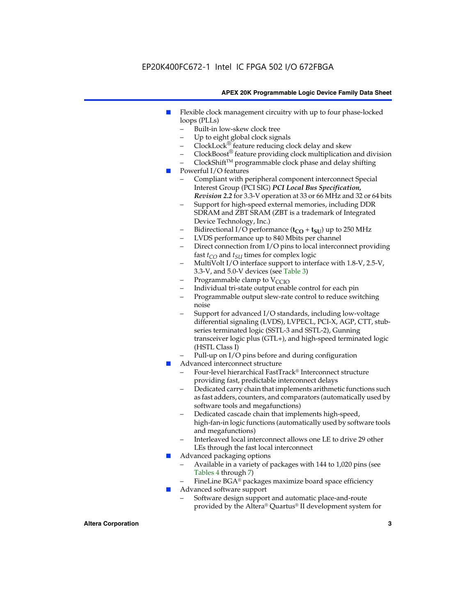### EP20K400FC672-1 Intel IC FPGA 502 I/O 672FBGA

#### **APEX 20K Programmable Logic Device Family Data Sheet**

- Flexible clock management circuitry with up to four phase-locked loops (PLLs)
	- Built-in low-skew clock tree
	- Up to eight global clock signals
	- $ClockLock^{\circledR}$  feature reducing clock delay and skew
	- $ClockBoost^{\circledR}$  feature providing clock multiplication and division
	- ClockShiftTM programmable clock phase and delay shifting
- Powerful I/O features
	- Compliant with peripheral component interconnect Special Interest Group (PCI SIG) *PCI Local Bus Specification, Revision 2.2* for 3.3-V operation at 33 or 66 MHz and 32 or 64 bits
	- Support for high-speed external memories, including DDR SDRAM and ZBT SRAM (ZBT is a trademark of Integrated Device Technology, Inc.)
	- Bidirectional I/O performance  $(t_{CO} + t_{SU})$  up to 250 MHz
	- LVDS performance up to 840 Mbits per channel
	- Direct connection from I/O pins to local interconnect providing fast  $t_{CO}$  and  $t_{SU}$  times for complex logic
	- MultiVolt I/O interface support to interface with 1.8-V, 2.5-V, 3.3-V, and 5.0-V devices (see Table 3)
	- Programmable clamp to  $V_{\text{C}CD}$
	- Individual tri-state output enable control for each pin
	- Programmable output slew-rate control to reduce switching noise
	- Support for advanced I/O standards, including low-voltage differential signaling (LVDS), LVPECL, PCI-X, AGP, CTT, stubseries terminated logic (SSTL-3 and SSTL-2), Gunning transceiver logic plus (GTL+), and high-speed terminated logic (HSTL Class I)
	- Pull-up on I/O pins before and during configuration
- Advanced interconnect structure
	- Four-level hierarchical FastTrack® Interconnect structure providing fast, predictable interconnect delays
	- Dedicated carry chain that implements arithmetic functions such as fast adders, counters, and comparators (automatically used by software tools and megafunctions)
	- Dedicated cascade chain that implements high-speed, high-fan-in logic functions (automatically used by software tools and megafunctions)
	- Interleaved local interconnect allows one LE to drive 29 other LEs through the fast local interconnect
- Advanced packaging options
	- Available in a variety of packages with 144 to 1,020 pins (see Tables 4 through 7)
	- FineLine BGA® packages maximize board space efficiency
- Advanced software support
	- Software design support and automatic place-and-route provided by the Altera® Quartus® II development system for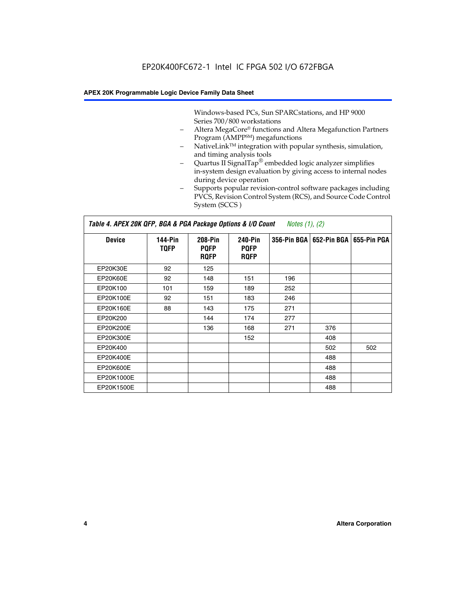Windows-based PCs, Sun SPARCstations, and HP 9000 Series 700/800 workstations

- Altera MegaCore® functions and Altera Megafunction Partners Program (AMPP<sup>SM</sup>) megafunctions
- NativeLink™ integration with popular synthesis, simulation, and timing analysis tools
- Quartus II SignalTap® embedded logic analyzer simplifies in-system design evaluation by giving access to internal nodes during device operation
- Supports popular revision-control software packages including PVCS, Revision Control System (RCS), and Source Code Control System (SCCS )

#### *Table 4. APEX 20K QFP, BGA & PGA Package Options & I/O Count Notes (1), (2)*

| <b>Device</b>   | 144-Pin<br><b>TQFP</b> | 208-Pin<br><b>PQFP</b><br><b>ROFP</b> | 240-Pin<br><b>PQFP</b><br><b>ROFP</b> |     | 356-Pin BGA   652-Pin BGA | 655-Pin PGA |
|-----------------|------------------------|---------------------------------------|---------------------------------------|-----|---------------------------|-------------|
| EP20K30E        | 92                     | 125                                   |                                       |     |                           |             |
| <b>EP20K60E</b> | 92                     | 148                                   | 151                                   | 196 |                           |             |
| EP20K100        | 101                    | 159                                   | 189                                   | 252 |                           |             |
| EP20K100E       | 92                     | 151                                   | 183                                   | 246 |                           |             |
| EP20K160E       | 88                     | 143                                   | 175                                   | 271 |                           |             |
| EP20K200        |                        | 144                                   | 174                                   | 277 |                           |             |
| EP20K200E       |                        | 136                                   | 168                                   | 271 | 376                       |             |
| EP20K300E       |                        |                                       | 152                                   |     | 408                       |             |
| EP20K400        |                        |                                       |                                       |     | 502                       | 502         |
| EP20K400E       |                        |                                       |                                       |     | 488                       |             |
| EP20K600E       |                        |                                       |                                       |     | 488                       |             |
| EP20K1000E      |                        |                                       |                                       |     | 488                       |             |
| EP20K1500E      |                        |                                       |                                       |     | 488                       |             |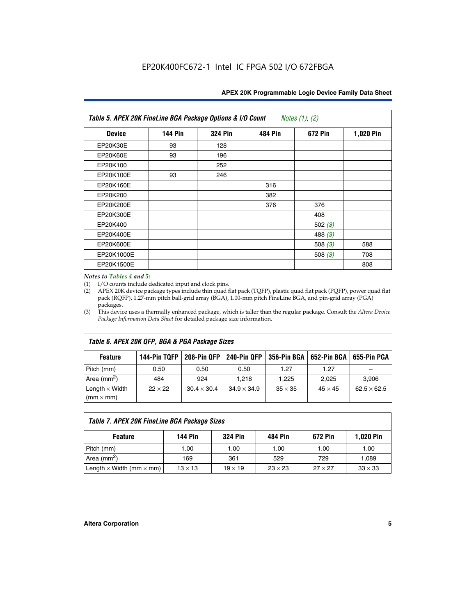| Table 5. APEX 20K FineLine BGA Package Options & I/O Count<br>Notes $(1)$ , $(2)$ |                |                |                |           |           |  |  |  |
|-----------------------------------------------------------------------------------|----------------|----------------|----------------|-----------|-----------|--|--|--|
| <b>Device</b>                                                                     | <b>144 Pin</b> | <b>324 Pin</b> | <b>484 Pin</b> | 672 Pin   | 1,020 Pin |  |  |  |
| EP20K30E                                                                          | 93             | 128            |                |           |           |  |  |  |
| <b>EP20K60E</b>                                                                   | 93             | 196            |                |           |           |  |  |  |
| EP20K100                                                                          |                | 252            |                |           |           |  |  |  |
| EP20K100E                                                                         | 93             | 246            |                |           |           |  |  |  |
| EP20K160E                                                                         |                |                | 316            |           |           |  |  |  |
| EP20K200                                                                          |                |                | 382            |           |           |  |  |  |
| EP20K200E                                                                         |                |                | 376            | 376       |           |  |  |  |
| EP20K300E                                                                         |                |                |                | 408       |           |  |  |  |
| EP20K400                                                                          |                |                |                | 502 $(3)$ |           |  |  |  |
| EP20K400E                                                                         |                |                |                | 488 $(3)$ |           |  |  |  |
| EP20K600E                                                                         |                |                |                | 508 $(3)$ | 588       |  |  |  |
| EP20K1000E                                                                        |                |                |                | 508 $(3)$ | 708       |  |  |  |
| EP20K1500E                                                                        |                |                |                |           | 808       |  |  |  |

#### *Notes to Tables 4 and 5:*

 $\Gamma$ 

(1) I/O counts include dedicated input and clock pins.

(2) APEX 20K device package types include thin quad flat pack (TQFP), plastic quad flat pack (PQFP), power quad flat pack (RQFP), 1.27-mm pitch ball-grid array (BGA), 1.00-mm pitch FineLine BGA, and pin-grid array (PGA) packages.

(3) This device uses a thermally enhanced package, which is taller than the regular package. Consult the *Altera Device Package Information Data Sheet* for detailed package size information.

| Table 6. APEX 20K QFP, BGA & PGA Package Sizes                                                           |                |                    |                    |                |                |                    |  |  |  |
|----------------------------------------------------------------------------------------------------------|----------------|--------------------|--------------------|----------------|----------------|--------------------|--|--|--|
| 144-Pin TQFP<br>240-Pin QFP<br>356-Pin BGA   652-Pin BGA<br>208-Pin QFP<br>655-Pin PGA<br><b>Feature</b> |                |                    |                    |                |                |                    |  |  |  |
| Pitch (mm)                                                                                               | 0.50           | 0.50               | 0.50               | 1.27           | 1.27           |                    |  |  |  |
| Area $(mm^2)$                                                                                            | 484            | 924                | 1.218              | 1.225          | 2.025          | 3,906              |  |  |  |
| Length $\times$ Width<br>$(mm \times mm)$                                                                | $22 \times 22$ | $30.4 \times 30.4$ | $34.9 \times 34.9$ | $35 \times 35$ | $45 \times 45$ | $62.5 \times 62.5$ |  |  |  |

| Table 7. APEX 20K FineLine BGA Package Sizes                                                                   |      |      |      |      |       |  |  |  |
|----------------------------------------------------------------------------------------------------------------|------|------|------|------|-------|--|--|--|
| <b>324 Pin</b><br><b>1,020 Pin</b><br>144 Pin<br>672 Pin<br>484 Pin<br><b>Feature</b>                          |      |      |      |      |       |  |  |  |
| Pitch (mm)                                                                                                     | 1.00 | 1.00 | 1.00 | 1.00 | 1.00  |  |  |  |
| Area ( $mm2$ )                                                                                                 | 169  | 361  | 529  | 729  | 1,089 |  |  |  |
| Length $\times$ Width (mm $\times$ mm)<br>$27 \times 27$<br>$13 \times 13$<br>$23 \times 23$<br>$19 \times 19$ |      |      |      |      |       |  |  |  |

٦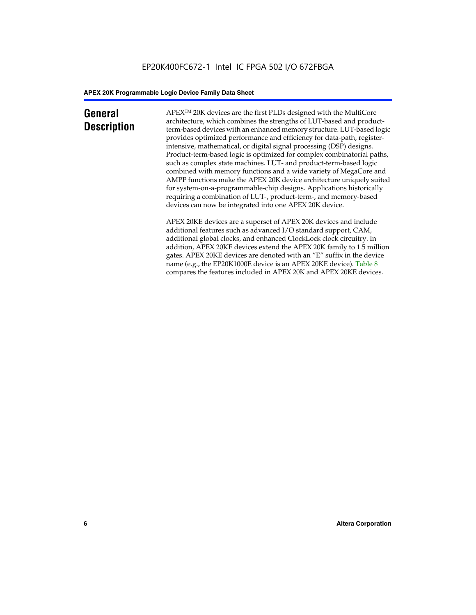### **General Description**

APEXTM 20K devices are the first PLDs designed with the MultiCore architecture, which combines the strengths of LUT-based and productterm-based devices with an enhanced memory structure. LUT-based logic provides optimized performance and efficiency for data-path, registerintensive, mathematical, or digital signal processing (DSP) designs. Product-term-based logic is optimized for complex combinatorial paths, such as complex state machines. LUT- and product-term-based logic combined with memory functions and a wide variety of MegaCore and AMPP functions make the APEX 20K device architecture uniquely suited for system-on-a-programmable-chip designs. Applications historically requiring a combination of LUT-, product-term-, and memory-based devices can now be integrated into one APEX 20K device.

APEX 20KE devices are a superset of APEX 20K devices and include additional features such as advanced I/O standard support, CAM, additional global clocks, and enhanced ClockLock clock circuitry. In addition, APEX 20KE devices extend the APEX 20K family to 1.5 million gates. APEX 20KE devices are denoted with an "E" suffix in the device name (e.g., the EP20K1000E device is an APEX 20KE device). Table 8 compares the features included in APEX 20K and APEX 20KE devices.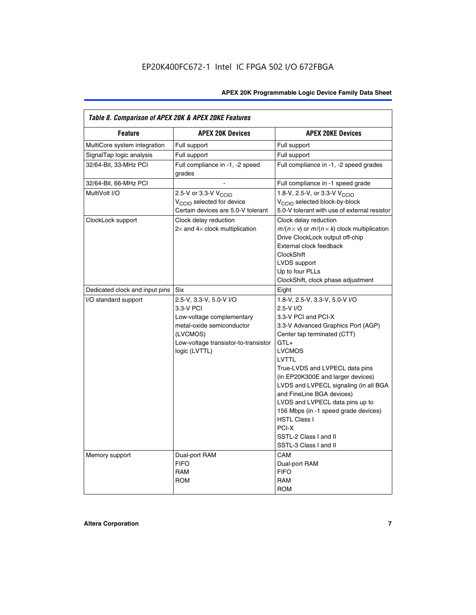| Table 8. Comparison of APEX 20K & APEX 20KE Features |                                                                                                                                                                     |                                                                                                                                                                                                                                                                                                                                                                                                                                                                                       |  |  |  |  |  |
|------------------------------------------------------|---------------------------------------------------------------------------------------------------------------------------------------------------------------------|---------------------------------------------------------------------------------------------------------------------------------------------------------------------------------------------------------------------------------------------------------------------------------------------------------------------------------------------------------------------------------------------------------------------------------------------------------------------------------------|--|--|--|--|--|
| <b>Feature</b>                                       | <b>APEX 20K Devices</b>                                                                                                                                             | <b>APEX 20KE Devices</b>                                                                                                                                                                                                                                                                                                                                                                                                                                                              |  |  |  |  |  |
| MultiCore system integration                         | Full support                                                                                                                                                        | Full support                                                                                                                                                                                                                                                                                                                                                                                                                                                                          |  |  |  |  |  |
| SignalTap logic analysis                             | Full support                                                                                                                                                        | Full support                                                                                                                                                                                                                                                                                                                                                                                                                                                                          |  |  |  |  |  |
| 32/64-Bit, 33-MHz PCI                                | Full compliance in -1, -2 speed<br>grades                                                                                                                           | Full compliance in -1, -2 speed grades                                                                                                                                                                                                                                                                                                                                                                                                                                                |  |  |  |  |  |
| 32/64-Bit, 66-MHz PCI                                |                                                                                                                                                                     | Full compliance in -1 speed grade                                                                                                                                                                                                                                                                                                                                                                                                                                                     |  |  |  |  |  |
| MultiVolt I/O                                        | 2.5-V or 3.3-V V <sub>CCIO</sub><br>V <sub>CCIO</sub> selected for device<br>Certain devices are 5.0-V tolerant                                                     | 1.8-V, 2.5-V, or 3.3-V V <sub>CCIO</sub><br>V <sub>CCIO</sub> selected block-by-block<br>5.0-V tolerant with use of external resistor                                                                                                                                                                                                                                                                                                                                                 |  |  |  |  |  |
| ClockLock support                                    | Clock delay reduction<br>$2\times$ and $4\times$ clock multiplication                                                                                               | Clock delay reduction<br>$m/(n \times v)$ or $m/(n \times k)$ clock multiplication<br>Drive ClockLock output off-chip<br>External clock feedback<br><b>ClockShift</b><br>LVDS support<br>Up to four PLLs<br>ClockShift, clock phase adjustment                                                                                                                                                                                                                                        |  |  |  |  |  |
| Dedicated clock and input pins                       | <b>Six</b>                                                                                                                                                          | Eight                                                                                                                                                                                                                                                                                                                                                                                                                                                                                 |  |  |  |  |  |
| I/O standard support                                 | 2.5-V, 3.3-V, 5.0-V I/O<br>3.3-V PCI<br>Low-voltage complementary<br>metal-oxide semiconductor<br>(LVCMOS)<br>Low-voltage transistor-to-transistor<br>logic (LVTTL) | 1.8-V, 2.5-V, 3.3-V, 5.0-V I/O<br>2.5-V I/O<br>3.3-V PCI and PCI-X<br>3.3-V Advanced Graphics Port (AGP)<br>Center tap terminated (CTT)<br>$GTL+$<br><b>LVCMOS</b><br>LVTTL<br>True-LVDS and LVPECL data pins<br>(in EP20K300E and larger devices)<br>LVDS and LVPECL signaling (in all BGA<br>and FineLine BGA devices)<br>LVDS and LVPECL data pins up to<br>156 Mbps (in -1 speed grade devices)<br><b>HSTL Class I</b><br>PCI-X<br>SSTL-2 Class I and II<br>SSTL-3 Class I and II |  |  |  |  |  |
| Memory support                                       | Dual-port RAM<br><b>FIFO</b><br><b>RAM</b><br><b>ROM</b>                                                                                                            | CAM<br>Dual-port RAM<br><b>FIFO</b><br>RAM<br><b>ROM</b>                                                                                                                                                                                                                                                                                                                                                                                                                              |  |  |  |  |  |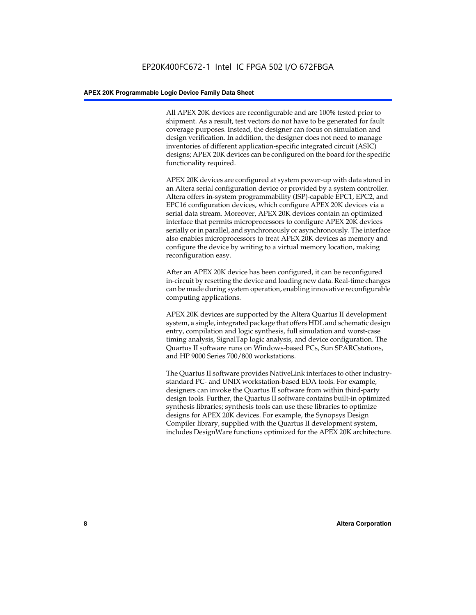All APEX 20K devices are reconfigurable and are 100% tested prior to shipment. As a result, test vectors do not have to be generated for fault coverage purposes. Instead, the designer can focus on simulation and design verification. In addition, the designer does not need to manage inventories of different application-specific integrated circuit (ASIC) designs; APEX 20K devices can be configured on the board for the specific functionality required.

APEX 20K devices are configured at system power-up with data stored in an Altera serial configuration device or provided by a system controller. Altera offers in-system programmability (ISP)-capable EPC1, EPC2, and EPC16 configuration devices, which configure APEX 20K devices via a serial data stream. Moreover, APEX 20K devices contain an optimized interface that permits microprocessors to configure APEX 20K devices serially or in parallel, and synchronously or asynchronously. The interface also enables microprocessors to treat APEX 20K devices as memory and configure the device by writing to a virtual memory location, making reconfiguration easy.

After an APEX 20K device has been configured, it can be reconfigured in-circuit by resetting the device and loading new data. Real-time changes can be made during system operation, enabling innovative reconfigurable computing applications.

APEX 20K devices are supported by the Altera Quartus II development system, a single, integrated package that offers HDL and schematic design entry, compilation and logic synthesis, full simulation and worst-case timing analysis, SignalTap logic analysis, and device configuration. The Quartus II software runs on Windows-based PCs, Sun SPARCstations, and HP 9000 Series 700/800 workstations.

The Quartus II software provides NativeLink interfaces to other industrystandard PC- and UNIX workstation-based EDA tools. For example, designers can invoke the Quartus II software from within third-party design tools. Further, the Quartus II software contains built-in optimized synthesis libraries; synthesis tools can use these libraries to optimize designs for APEX 20K devices. For example, the Synopsys Design Compiler library, supplied with the Quartus II development system, includes DesignWare functions optimized for the APEX 20K architecture.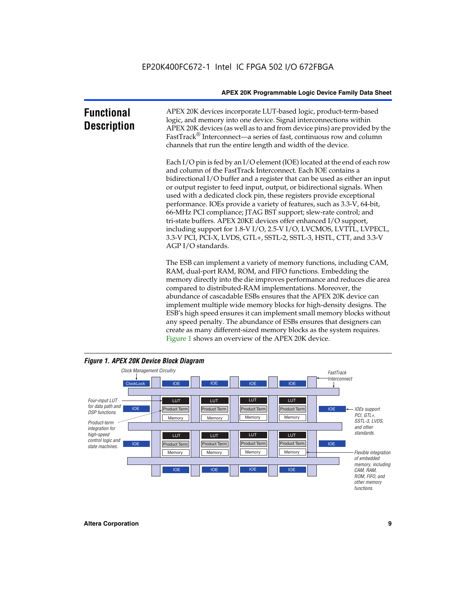| <b>Functional</b><br><b>Description</b> | APEX 20K devices incorporate LUT-based logic, product-term-based<br>logic, and memory into one device. Signal interconnections within<br>APEX 20K devices (as well as to and from device pins) are provided by the<br>FastTrack® Interconnect—a series of fast, continuous row and column<br>channels that run the entire length and width of the device.                                                                                                                                                                                                                                                                                                                                                                                                          |
|-----------------------------------------|--------------------------------------------------------------------------------------------------------------------------------------------------------------------------------------------------------------------------------------------------------------------------------------------------------------------------------------------------------------------------------------------------------------------------------------------------------------------------------------------------------------------------------------------------------------------------------------------------------------------------------------------------------------------------------------------------------------------------------------------------------------------|
|                                         | Each I/O pin is fed by an I/O element (IOE) located at the end of each row<br>and column of the FastTrack Interconnect. Each IOE contains a<br>bidirectional I/O buffer and a register that can be used as either an input<br>or output register to feed input, output, or bidirectional signals. When<br>used with a dedicated clock pin, these registers provide exceptional<br>performance. IOEs provide a variety of features, such as 3.3-V, 64-bit,<br>66-MHz PCI compliance; JTAG BST support; slew-rate control; and<br>tri-state buffers. APEX 20KE devices offer enhanced I/O support,<br>including support for 1.8-V I/O, 2.5-V I/O, LVCMOS, LVTTL, LVPECL,<br>3.3-V PCI, PCI-X, LVDS, GTL+, SSTL-2, SSTL-3, HSTL, CTT, and 3.3-V<br>AGP I/O standards. |
|                                         | The ESB can implement a variety of memory functions, including CAM,<br>RAM, dual-port RAM, ROM, and FIFO functions. Embedding the<br>memory directly into the die improves performance and reduces die area<br>compared to distributed-RAM implementations. Moreover, the<br>abundance of cascadable ESBs ensures that the APEX 20K device can<br>implement multiple wide memory blocks for high-density designs. The<br>ESB's high speed ensures it can implement small memory blocks without<br>any speed penalty. The abundance of ESBs ensures that designers can<br>create as many different-sized memory blocks as the system requires.                                                                                                                      |



Figure 1 shows an overview of the APEX 20K device.

#### *Figure 1. APEX 20K Device Block Diagram*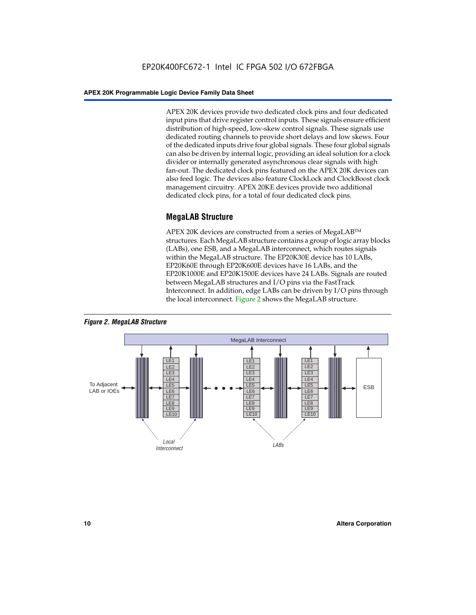APEX 20K devices provide two dedicated clock pins and four dedicated input pins that drive register control inputs. These signals ensure efficient distribution of high-speed, low-skew control signals. These signals use dedicated routing channels to provide short delays and low skews. Four of the dedicated inputs drive four global signals. These four global signals can also be driven by internal logic, providing an ideal solution for a clock divider or internally generated asynchronous clear signals with high fan-out. The dedicated clock pins featured on the APEX 20K devices can also feed logic. The devices also feature ClockLock and ClockBoost clock management circuitry. APEX 20KE devices provide two additional dedicated clock pins, for a total of four dedicated clock pins.

#### **MegaLAB Structure**

APEX 20K devices are constructed from a series of MegaLAB<sup>™</sup> structures. Each MegaLAB structure contains a group of logic array blocks (LABs), one ESB, and a MegaLAB interconnect, which routes signals within the MegaLAB structure. The EP20K30E device has 10 LABs, EP20K60E through EP20K600E devices have 16 LABs, and the EP20K1000E and EP20K1500E devices have 24 LABs. Signals are routed between MegaLAB structures and I/O pins via the FastTrack Interconnect. In addition, edge LABs can be driven by I/O pins through the local interconnect. Figure 2 shows the MegaLAB structure.



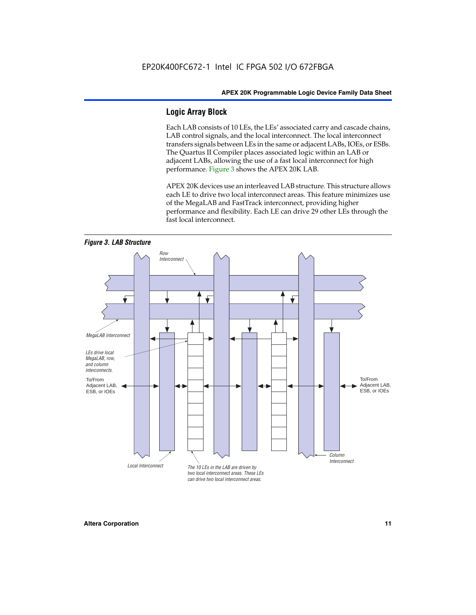#### **Logic Array Block**

Each LAB consists of 10 LEs, the LEs' associated carry and cascade chains, LAB control signals, and the local interconnect. The local interconnect transfers signals between LEs in the same or adjacent LABs, IOEs, or ESBs. The Quartus II Compiler places associated logic within an LAB or adjacent LABs, allowing the use of a fast local interconnect for high performance. Figure 3 shows the APEX 20K LAB.

APEX 20K devices use an interleaved LAB structure. This structure allows each LE to drive two local interconnect areas. This feature minimizes use of the MegaLAB and FastTrack interconnect, providing higher performance and flexibility. Each LE can drive 29 other LEs through the fast local interconnect.

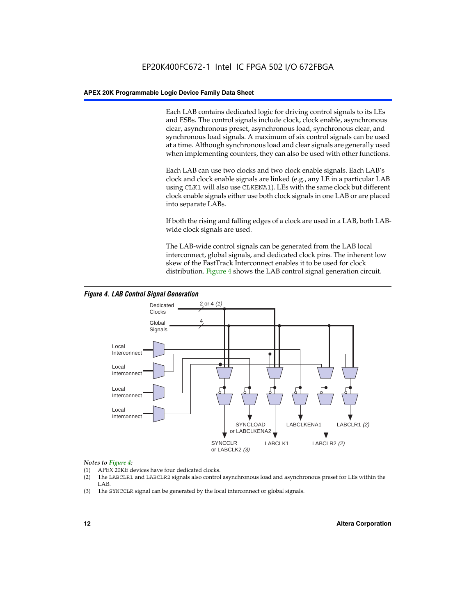Each LAB contains dedicated logic for driving control signals to its LEs and ESBs. The control signals include clock, clock enable, asynchronous clear, asynchronous preset, asynchronous load, synchronous clear, and synchronous load signals. A maximum of six control signals can be used at a time. Although synchronous load and clear signals are generally used when implementing counters, they can also be used with other functions.

Each LAB can use two clocks and two clock enable signals. Each LAB's clock and clock enable signals are linked (e.g., any LE in a particular LAB using CLK1 will also use CLKENA1). LEs with the same clock but different clock enable signals either use both clock signals in one LAB or are placed into separate LABs.

If both the rising and falling edges of a clock are used in a LAB, both LABwide clock signals are used.

The LAB-wide control signals can be generated from the LAB local interconnect, global signals, and dedicated clock pins. The inherent low skew of the FastTrack Interconnect enables it to be used for clock distribution. Figure 4 shows the LAB control signal generation circuit.



#### *Figure 4. LAB Control Signal Generation*

#### *Notes to Figure 4:*

- (1) APEX 20KE devices have four dedicated clocks.
- (2) The LABCLR1 and LABCLR2 signals also control asynchronous load and asynchronous preset for LEs within the LAB.
- (3) The SYNCCLR signal can be generated by the local interconnect or global signals.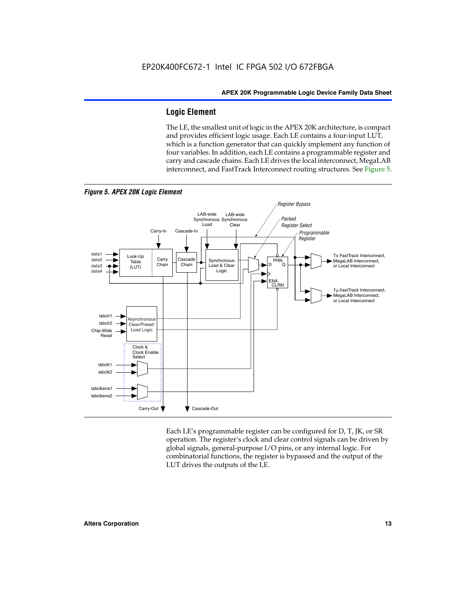#### **Logic Element**

The LE, the smallest unit of logic in the APEX 20K architecture, is compact and provides efficient logic usage. Each LE contains a four-input LUT, which is a function generator that can quickly implement any function of four variables. In addition, each LE contains a programmable register and carry and cascade chains. Each LE drives the local interconnect, MegaLAB interconnect, and FastTrack Interconnect routing structures. See Figure 5.



*Figure 5. APEX 20K Logic Element*

Each LE's programmable register can be configured for D, T, JK, or SR operation. The register's clock and clear control signals can be driven by global signals, general-purpose I/O pins, or any internal logic. For combinatorial functions, the register is bypassed and the output of the LUT drives the outputs of the LE.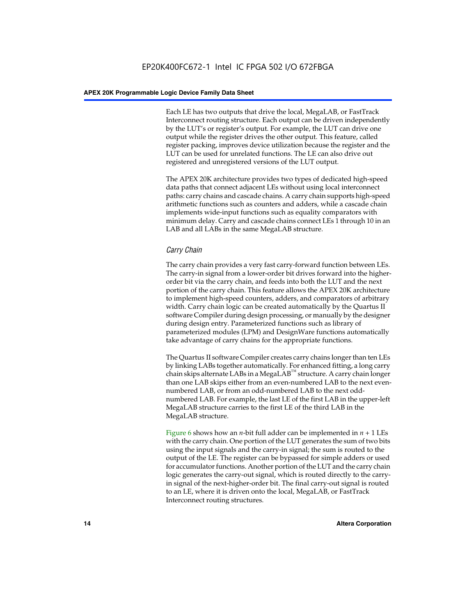Each LE has two outputs that drive the local, MegaLAB, or FastTrack Interconnect routing structure. Each output can be driven independently by the LUT's or register's output. For example, the LUT can drive one output while the register drives the other output. This feature, called register packing, improves device utilization because the register and the LUT can be used for unrelated functions. The LE can also drive out registered and unregistered versions of the LUT output.

The APEX 20K architecture provides two types of dedicated high-speed data paths that connect adjacent LEs without using local interconnect paths: carry chains and cascade chains. A carry chain supports high-speed arithmetic functions such as counters and adders, while a cascade chain implements wide-input functions such as equality comparators with minimum delay. Carry and cascade chains connect LEs 1 through 10 in an LAB and all LABs in the same MegaLAB structure.

#### *Carry Chain*

The carry chain provides a very fast carry-forward function between LEs. The carry-in signal from a lower-order bit drives forward into the higherorder bit via the carry chain, and feeds into both the LUT and the next portion of the carry chain. This feature allows the APEX 20K architecture to implement high-speed counters, adders, and comparators of arbitrary width. Carry chain logic can be created automatically by the Quartus II software Compiler during design processing, or manually by the designer during design entry. Parameterized functions such as library of parameterized modules (LPM) and DesignWare functions automatically take advantage of carry chains for the appropriate functions.

The Quartus II software Compiler creates carry chains longer than ten LEs by linking LABs together automatically. For enhanced fitting, a long carry chain skips alternate LABs in a MegaLAB<sup>™</sup> structure. A carry chain longer than one LAB skips either from an even-numbered LAB to the next evennumbered LAB, or from an odd-numbered LAB to the next oddnumbered LAB. For example, the last LE of the first LAB in the upper-left MegaLAB structure carries to the first LE of the third LAB in the MegaLAB structure.

Figure 6 shows how an *n*-bit full adder can be implemented in *n* + 1 LEs with the carry chain. One portion of the LUT generates the sum of two bits using the input signals and the carry-in signal; the sum is routed to the output of the LE. The register can be bypassed for simple adders or used for accumulator functions. Another portion of the LUT and the carry chain logic generates the carry-out signal, which is routed directly to the carryin signal of the next-higher-order bit. The final carry-out signal is routed to an LE, where it is driven onto the local, MegaLAB, or FastTrack Interconnect routing structures.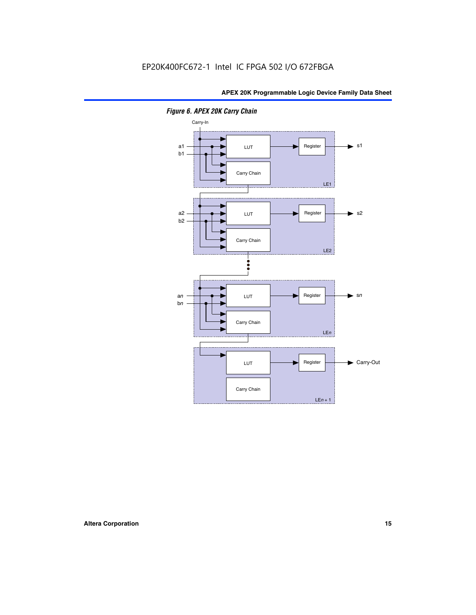

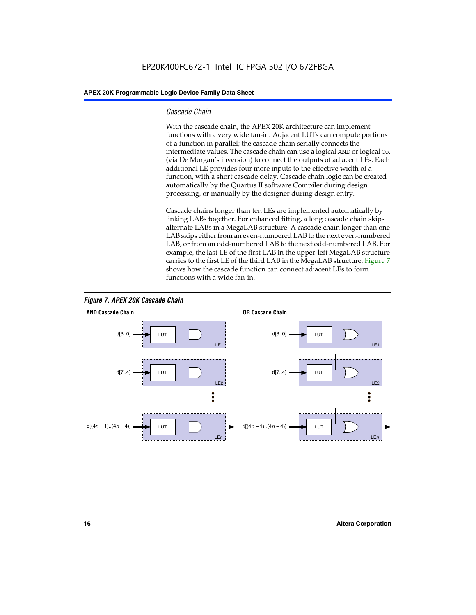#### *Cascade Chain*

With the cascade chain, the APEX 20K architecture can implement functions with a very wide fan-in. Adjacent LUTs can compute portions of a function in parallel; the cascade chain serially connects the intermediate values. The cascade chain can use a logical AND or logical OR (via De Morgan's inversion) to connect the outputs of adjacent LEs. Each additional LE provides four more inputs to the effective width of a function, with a short cascade delay. Cascade chain logic can be created automatically by the Quartus II software Compiler during design processing, or manually by the designer during design entry.

Cascade chains longer than ten LEs are implemented automatically by linking LABs together. For enhanced fitting, a long cascade chain skips alternate LABs in a MegaLAB structure. A cascade chain longer than one LAB skips either from an even-numbered LAB to the next even-numbered LAB, or from an odd-numbered LAB to the next odd-numbered LAB. For example, the last LE of the first LAB in the upper-left MegaLAB structure carries to the first LE of the third LAB in the MegaLAB structure. Figure 7 shows how the cascade function can connect adjacent LEs to form functions with a wide fan-in.



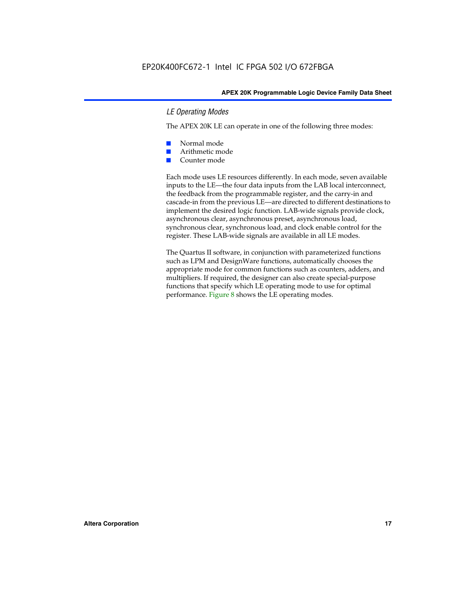#### *LE Operating Modes*

The APEX 20K LE can operate in one of the following three modes:

- Normal mode
- Arithmetic mode
- Counter mode

Each mode uses LE resources differently. In each mode, seven available inputs to the LE—the four data inputs from the LAB local interconnect, the feedback from the programmable register, and the carry-in and cascade-in from the previous LE—are directed to different destinations to implement the desired logic function. LAB-wide signals provide clock, asynchronous clear, asynchronous preset, asynchronous load, synchronous clear, synchronous load, and clock enable control for the register. These LAB-wide signals are available in all LE modes.

The Quartus II software, in conjunction with parameterized functions such as LPM and DesignWare functions, automatically chooses the appropriate mode for common functions such as counters, adders, and multipliers. If required, the designer can also create special-purpose functions that specify which LE operating mode to use for optimal performance. Figure 8 shows the LE operating modes.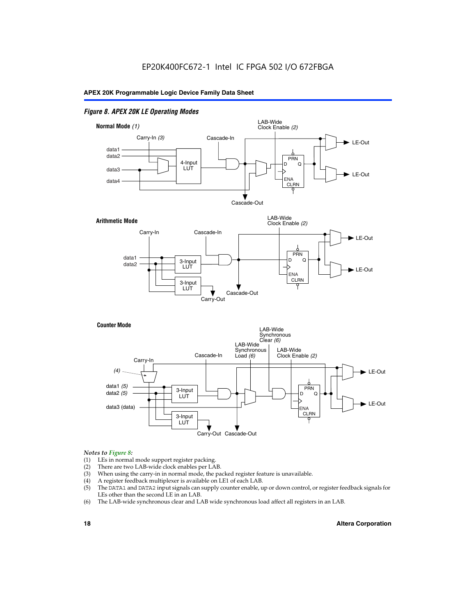#### *Figure 8. APEX 20K LE Operating Modes*



#### *Notes to Figure 8:*

- (1) LEs in normal mode support register packing.
- (2) There are two LAB-wide clock enables per LAB.
- (3) When using the carry-in in normal mode, the packed register feature is unavailable.
- (4) A register feedback multiplexer is available on LE1 of each LAB.
- (5) The DATA1 and DATA2 input signals can supply counter enable, up or down control, or register feedback signals for LEs other than the second LE in an LAB.
- (6) The LAB-wide synchronous clear and LAB wide synchronous load affect all registers in an LAB.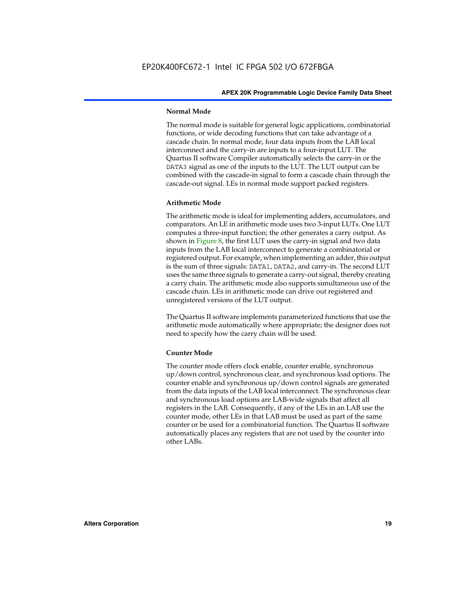#### **Normal Mode**

The normal mode is suitable for general logic applications, combinatorial functions, or wide decoding functions that can take advantage of a cascade chain. In normal mode, four data inputs from the LAB local interconnect and the carry-in are inputs to a four-input LUT. The Quartus II software Compiler automatically selects the carry-in or the DATA3 signal as one of the inputs to the LUT. The LUT output can be combined with the cascade-in signal to form a cascade chain through the cascade-out signal. LEs in normal mode support packed registers.

#### **Arithmetic Mode**

The arithmetic mode is ideal for implementing adders, accumulators, and comparators. An LE in arithmetic mode uses two 3-input LUTs. One LUT computes a three-input function; the other generates a carry output. As shown in Figure 8, the first LUT uses the carry-in signal and two data inputs from the LAB local interconnect to generate a combinatorial or registered output. For example, when implementing an adder, this output is the sum of three signals: DATA1, DATA2, and carry-in. The second LUT uses the same three signals to generate a carry-out signal, thereby creating a carry chain. The arithmetic mode also supports simultaneous use of the cascade chain. LEs in arithmetic mode can drive out registered and unregistered versions of the LUT output.

The Quartus II software implements parameterized functions that use the arithmetic mode automatically where appropriate; the designer does not need to specify how the carry chain will be used.

#### **Counter Mode**

The counter mode offers clock enable, counter enable, synchronous up/down control, synchronous clear, and synchronous load options. The counter enable and synchronous up/down control signals are generated from the data inputs of the LAB local interconnect. The synchronous clear and synchronous load options are LAB-wide signals that affect all registers in the LAB. Consequently, if any of the LEs in an LAB use the counter mode, other LEs in that LAB must be used as part of the same counter or be used for a combinatorial function. The Quartus II software automatically places any registers that are not used by the counter into other LABs.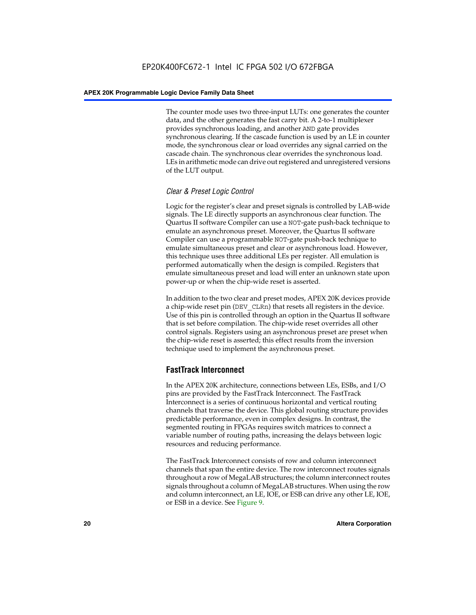The counter mode uses two three-input LUTs: one generates the counter data, and the other generates the fast carry bit. A 2-to-1 multiplexer provides synchronous loading, and another AND gate provides synchronous clearing. If the cascade function is used by an LE in counter mode, the synchronous clear or load overrides any signal carried on the cascade chain. The synchronous clear overrides the synchronous load. LEs in arithmetic mode can drive out registered and unregistered versions of the LUT output.

#### *Clear & Preset Logic Control*

Logic for the register's clear and preset signals is controlled by LAB-wide signals. The LE directly supports an asynchronous clear function. The Quartus II software Compiler can use a NOT-gate push-back technique to emulate an asynchronous preset. Moreover, the Quartus II software Compiler can use a programmable NOT-gate push-back technique to emulate simultaneous preset and clear or asynchronous load. However, this technique uses three additional LEs per register. All emulation is performed automatically when the design is compiled. Registers that emulate simultaneous preset and load will enter an unknown state upon power-up or when the chip-wide reset is asserted.

In addition to the two clear and preset modes, APEX 20K devices provide a chip-wide reset pin (DEV\_CLRn) that resets all registers in the device. Use of this pin is controlled through an option in the Quartus II software that is set before compilation. The chip-wide reset overrides all other control signals. Registers using an asynchronous preset are preset when the chip-wide reset is asserted; this effect results from the inversion technique used to implement the asynchronous preset.

#### **FastTrack Interconnect**

In the APEX 20K architecture, connections between LEs, ESBs, and I/O pins are provided by the FastTrack Interconnect. The FastTrack Interconnect is a series of continuous horizontal and vertical routing channels that traverse the device. This global routing structure provides predictable performance, even in complex designs. In contrast, the segmented routing in FPGAs requires switch matrices to connect a variable number of routing paths, increasing the delays between logic resources and reducing performance.

The FastTrack Interconnect consists of row and column interconnect channels that span the entire device. The row interconnect routes signals throughout a row of MegaLAB structures; the column interconnect routes signals throughout a column of MegaLAB structures. When using the row and column interconnect, an LE, IOE, or ESB can drive any other LE, IOE, or ESB in a device. See Figure 9.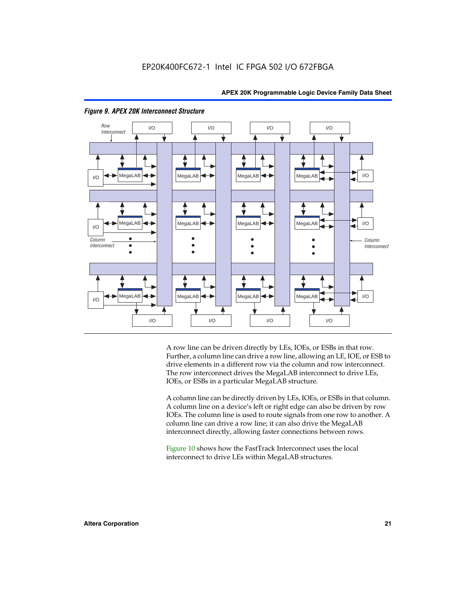



#### *Figure 9. APEX 20K Interconnect Structure*

A row line can be driven directly by LEs, IOEs, or ESBs in that row. Further, a column line can drive a row line, allowing an LE, IOE, or ESB to drive elements in a different row via the column and row interconnect. The row interconnect drives the MegaLAB interconnect to drive LEs, IOEs, or ESBs in a particular MegaLAB structure.

A column line can be directly driven by LEs, IOEs, or ESBs in that column. A column line on a device's left or right edge can also be driven by row IOEs. The column line is used to route signals from one row to another. A column line can drive a row line; it can also drive the MegaLAB interconnect directly, allowing faster connections between rows.

Figure 10 shows how the FastTrack Interconnect uses the local interconnect to drive LEs within MegaLAB structures.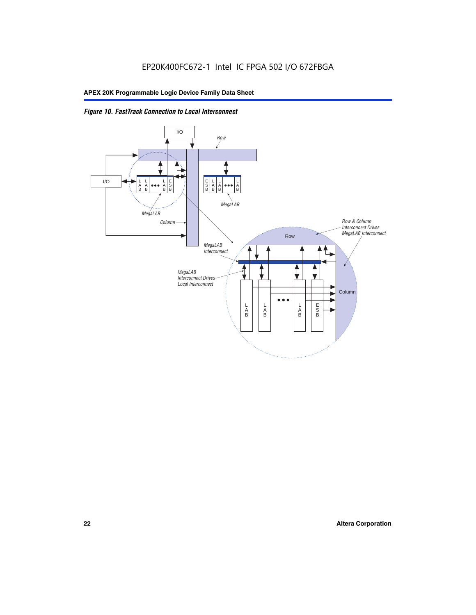

*Figure 10. FastTrack Connection to Local Interconnect*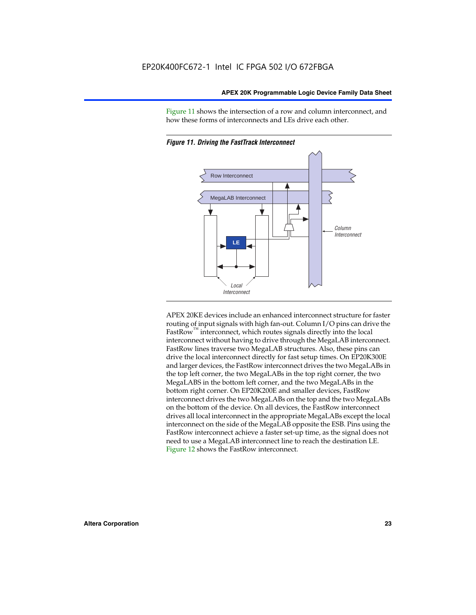Figure 11 shows the intersection of a row and column interconnect, and how these forms of interconnects and LEs drive each other.



*Figure 11. Driving the FastTrack Interconnect*

APEX 20KE devices include an enhanced interconnect structure for faster routing of input signals with high fan-out. Column I/O pins can drive the FastRow<sup>™</sup> interconnect, which routes signals directly into the local interconnect without having to drive through the MegaLAB interconnect. FastRow lines traverse two MegaLAB structures. Also, these pins can drive the local interconnect directly for fast setup times. On EP20K300E and larger devices, the FastRow interconnect drives the two MegaLABs in the top left corner, the two MegaLABs in the top right corner, the two MegaLABS in the bottom left corner, and the two MegaLABs in the bottom right corner. On EP20K200E and smaller devices, FastRow interconnect drives the two MegaLABs on the top and the two MegaLABs on the bottom of the device. On all devices, the FastRow interconnect drives all local interconnect in the appropriate MegaLABs except the local interconnect on the side of the MegaLAB opposite the ESB. Pins using the FastRow interconnect achieve a faster set-up time, as the signal does not need to use a MegaLAB interconnect line to reach the destination LE. Figure 12 shows the FastRow interconnect.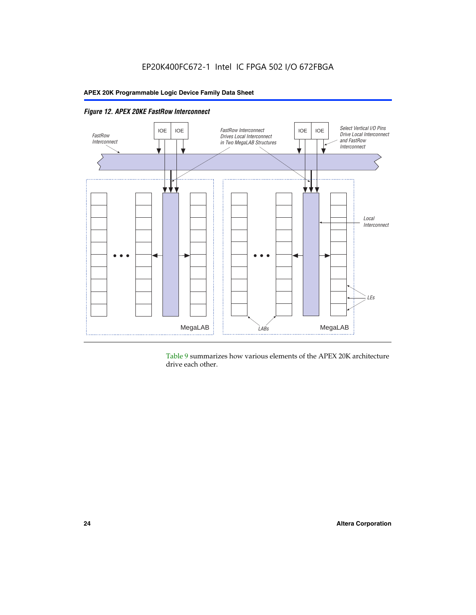

*Figure 12. APEX 20KE FastRow Interconnect*

Table 9 summarizes how various elements of the APEX 20K architecture drive each other.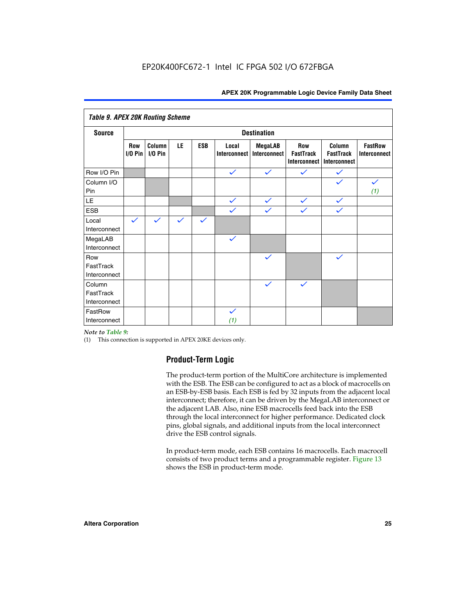| <b>Table 9. APEX 20K Routing Scheme</b> |                    |                      |              |              |                              |                                |                                                |                                            |                                       |
|-----------------------------------------|--------------------|----------------------|--------------|--------------|------------------------------|--------------------------------|------------------------------------------------|--------------------------------------------|---------------------------------------|
| <b>Source</b>                           | <b>Destination</b> |                      |              |              |                              |                                |                                                |                                            |                                       |
|                                         | Row<br>$1/0$ Pin   | Column<br>$I/O P$ in | LE           | <b>ESB</b>   | Local<br><b>Interconnect</b> | <b>MegaLAB</b><br>Interconnect | Row<br><b>FastTrack</b><br><b>Interconnect</b> | Column<br><b>FastTrack</b><br>Interconnect | <b>FastRow</b><br><b>Interconnect</b> |
| Row I/O Pin                             |                    |                      |              |              | $\checkmark$                 | $\checkmark$                   | $\checkmark$                                   | $\checkmark$                               |                                       |
| Column I/O<br>Pin                       |                    |                      |              |              |                              |                                |                                                | $\checkmark$                               | $\checkmark$<br>(1)                   |
| LE                                      |                    |                      |              |              | $\checkmark$                 | $\checkmark$                   | $\checkmark$                                   | $\checkmark$                               |                                       |
| <b>ESB</b>                              |                    |                      |              |              | $\checkmark$                 | $\checkmark$                   | $\checkmark$                                   | $\checkmark$                               |                                       |
| Local<br>Interconnect                   | $\checkmark$       | $\checkmark$         | $\checkmark$ | $\checkmark$ |                              |                                |                                                |                                            |                                       |
| MegaLAB<br>Interconnect                 |                    |                      |              |              | $\checkmark$                 |                                |                                                |                                            |                                       |
| Row<br>FastTrack<br>Interconnect        |                    |                      |              |              |                              | $\checkmark$                   |                                                | $\checkmark$                               |                                       |
| Column<br>FastTrack<br>Interconnect     |                    |                      |              |              |                              | $\checkmark$                   | $\checkmark$                                   |                                            |                                       |
| FastRow<br>Interconnect                 |                    |                      |              |              | $\checkmark$<br>(1)          |                                |                                                |                                            |                                       |

#### *Note to Table 9:*

(1) This connection is supported in APEX 20KE devices only.

#### **Product-Term Logic**

The product-term portion of the MultiCore architecture is implemented with the ESB. The ESB can be configured to act as a block of macrocells on an ESB-by-ESB basis. Each ESB is fed by 32 inputs from the adjacent local interconnect; therefore, it can be driven by the MegaLAB interconnect or the adjacent LAB. Also, nine ESB macrocells feed back into the ESB through the local interconnect for higher performance. Dedicated clock pins, global signals, and additional inputs from the local interconnect drive the ESB control signals.

In product-term mode, each ESB contains 16 macrocells. Each macrocell consists of two product terms and a programmable register. Figure 13 shows the ESB in product-term mode.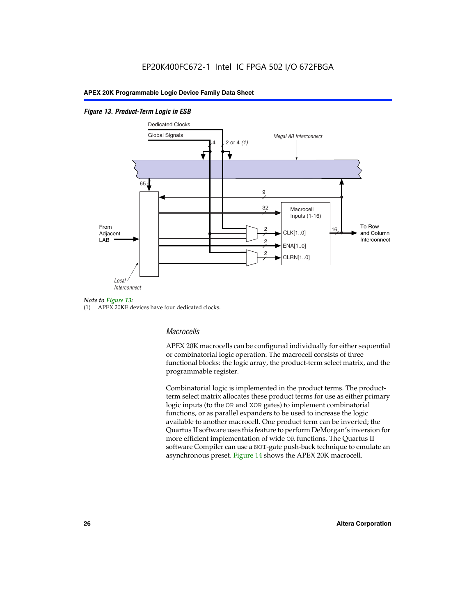#### *Figure 13. Product-Term Logic in ESB*



(1) APEX 20KE devices have four dedicated clocks.

#### *Macrocells*

APEX 20K macrocells can be configured individually for either sequential or combinatorial logic operation. The macrocell consists of three functional blocks: the logic array, the product-term select matrix, and the programmable register.

Combinatorial logic is implemented in the product terms. The productterm select matrix allocates these product terms for use as either primary logic inputs (to the OR and XOR gates) to implement combinatorial functions, or as parallel expanders to be used to increase the logic available to another macrocell. One product term can be inverted; the Quartus II software uses this feature to perform DeMorgan's inversion for more efficient implementation of wide OR functions. The Quartus II software Compiler can use a NOT-gate push-back technique to emulate an asynchronous preset. Figure 14 shows the APEX 20K macrocell.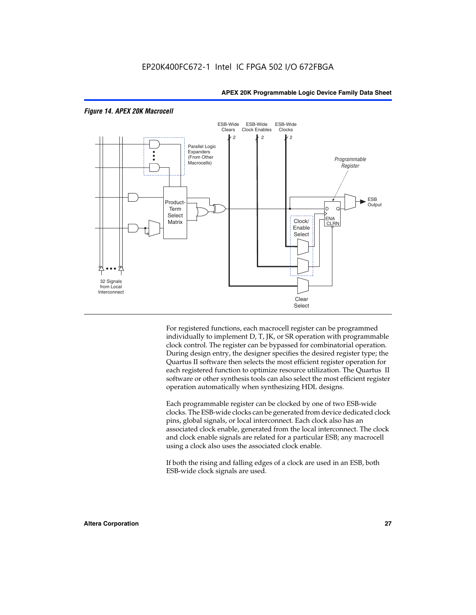

#### *Figure 14. APEX 20K Macrocell*

For registered functions, each macrocell register can be programmed individually to implement D, T, JK, or SR operation with programmable clock control. The register can be bypassed for combinatorial operation. During design entry, the designer specifies the desired register type; the Quartus II software then selects the most efficient register operation for each registered function to optimize resource utilization. The Quartus II software or other synthesis tools can also select the most efficient register operation automatically when synthesizing HDL designs.

Each programmable register can be clocked by one of two ESB-wide clocks. The ESB-wide clocks can be generated from device dedicated clock pins, global signals, or local interconnect. Each clock also has an associated clock enable, generated from the local interconnect. The clock and clock enable signals are related for a particular ESB; any macrocell using a clock also uses the associated clock enable.

If both the rising and falling edges of a clock are used in an ESB, both ESB-wide clock signals are used.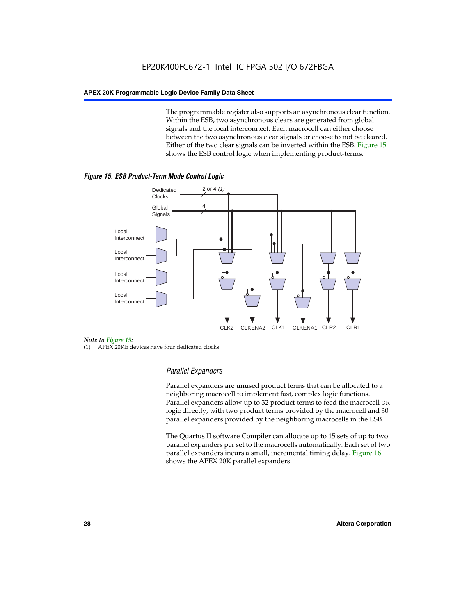The programmable register also supports an asynchronous clear function. Within the ESB, two asynchronous clears are generated from global signals and the local interconnect. Each macrocell can either choose between the two asynchronous clear signals or choose to not be cleared. Either of the two clear signals can be inverted within the ESB. Figure 15 shows the ESB control logic when implementing product-terms.





(1) APEX 20KE devices have four dedicated clocks.

#### *Parallel Expanders*

Parallel expanders are unused product terms that can be allocated to a neighboring macrocell to implement fast, complex logic functions. Parallel expanders allow up to 32 product terms to feed the macrocell OR logic directly, with two product terms provided by the macrocell and 30 parallel expanders provided by the neighboring macrocells in the ESB.

The Quartus II software Compiler can allocate up to 15 sets of up to two parallel expanders per set to the macrocells automatically. Each set of two parallel expanders incurs a small, incremental timing delay. Figure 16 shows the APEX 20K parallel expanders.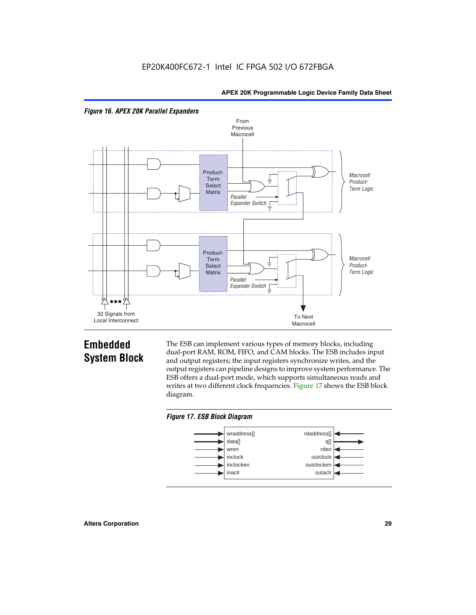



## **Embedded System Block**

The ESB can implement various types of memory blocks, including dual-port RAM, ROM, FIFO, and CAM blocks. The ESB includes input and output registers; the input registers synchronize writes, and the output registers can pipeline designs to improve system performance. The ESB offers a dual-port mode, which supports simultaneous reads and writes at two different clock frequencies. Figure 17 shows the ESB block diagram.



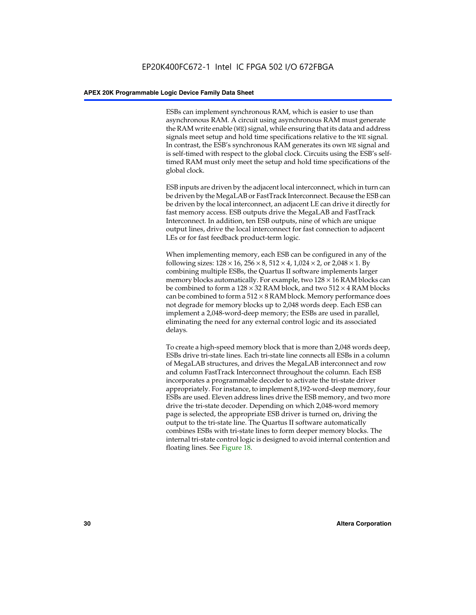ESBs can implement synchronous RAM, which is easier to use than asynchronous RAM. A circuit using asynchronous RAM must generate the RAM write enable (WE) signal, while ensuring that its data and address signals meet setup and hold time specifications relative to the WE signal. In contrast, the ESB's synchronous RAM generates its own WE signal and is self-timed with respect to the global clock. Circuits using the ESB's selftimed RAM must only meet the setup and hold time specifications of the global clock.

ESB inputs are driven by the adjacent local interconnect, which in turn can be driven by the MegaLAB or FastTrack Interconnect. Because the ESB can be driven by the local interconnect, an adjacent LE can drive it directly for fast memory access. ESB outputs drive the MegaLAB and FastTrack Interconnect. In addition, ten ESB outputs, nine of which are unique output lines, drive the local interconnect for fast connection to adjacent LEs or for fast feedback product-term logic.

When implementing memory, each ESB can be configured in any of the following sizes:  $128 \times 16$ ,  $256 \times 8$ ,  $512 \times 4$ ,  $1,024 \times 2$ , or  $2,048 \times 1$ . By combining multiple ESBs, the Quartus II software implements larger memory blocks automatically. For example, two  $128 \times 16$  RAM blocks can be combined to form a  $128 \times 32$  RAM block, and two  $512 \times 4$  RAM blocks can be combined to form a  $512 \times 8$  RAM block. Memory performance does not degrade for memory blocks up to 2,048 words deep. Each ESB can implement a 2,048-word-deep memory; the ESBs are used in parallel, eliminating the need for any external control logic and its associated delays.

To create a high-speed memory block that is more than 2,048 words deep, ESBs drive tri-state lines. Each tri-state line connects all ESBs in a column of MegaLAB structures, and drives the MegaLAB interconnect and row and column FastTrack Interconnect throughout the column. Each ESB incorporates a programmable decoder to activate the tri-state driver appropriately. For instance, to implement 8,192-word-deep memory, four ESBs are used. Eleven address lines drive the ESB memory, and two more drive the tri-state decoder. Depending on which 2,048-word memory page is selected, the appropriate ESB driver is turned on, driving the output to the tri-state line. The Quartus II software automatically combines ESBs with tri-state lines to form deeper memory blocks. The internal tri-state control logic is designed to avoid internal contention and floating lines. See Figure 18.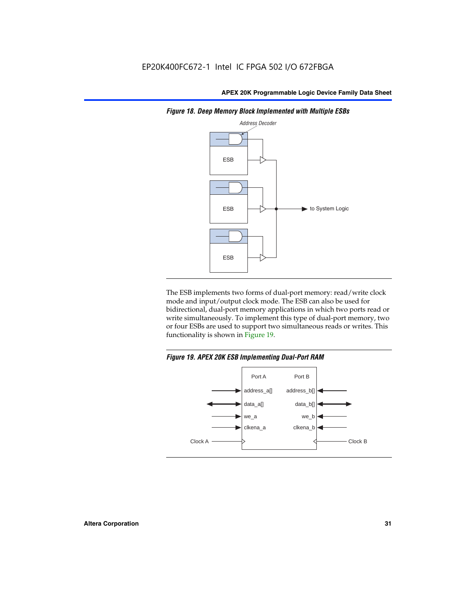

*Figure 18. Deep Memory Block Implemented with Multiple ESBs*

The ESB implements two forms of dual-port memory: read/write clock mode and input/output clock mode. The ESB can also be used for bidirectional, dual-port memory applications in which two ports read or write simultaneously. To implement this type of dual-port memory, two or four ESBs are used to support two simultaneous reads or writes. This functionality is shown in Figure 19.

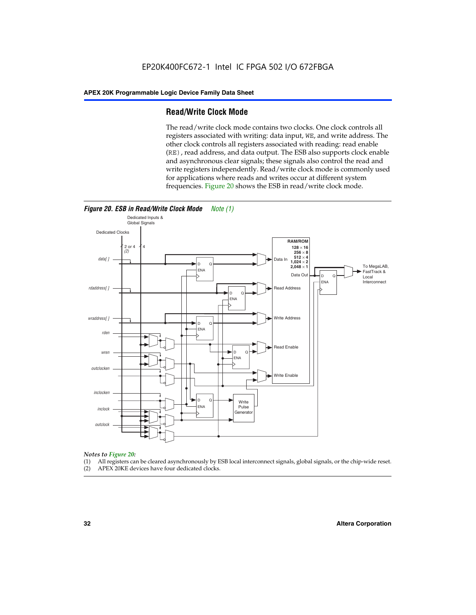#### **Read/Write Clock Mode**

The read/write clock mode contains two clocks. One clock controls all registers associated with writing: data input, WE, and write address. The other clock controls all registers associated with reading: read enable (RE), read address, and data output. The ESB also supports clock enable and asynchronous clear signals; these signals also control the read and write registers independently. Read/write clock mode is commonly used for applications where reads and writes occur at different system frequencies. Figure 20 shows the ESB in read/write clock mode.



### *Notes to Figure 20:*

- (1) All registers can be cleared asynchronously by ESB local interconnect signals, global signals, or the chip-wide reset.
- (2) APEX 20KE devices have four dedicated clocks.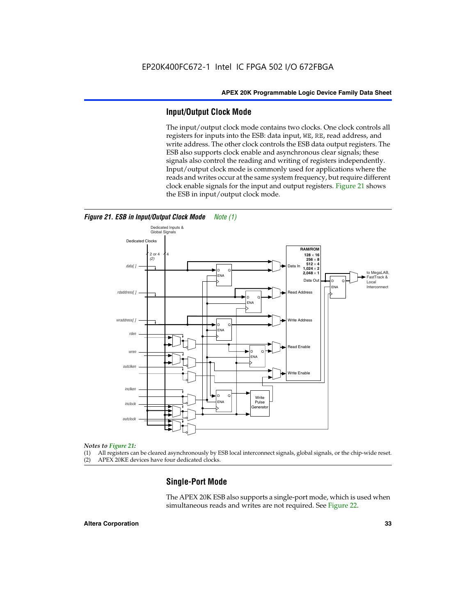#### **Input/Output Clock Mode**

The input/output clock mode contains two clocks. One clock controls all registers for inputs into the ESB: data input, WE, RE, read address, and write address. The other clock controls the ESB data output registers. The ESB also supports clock enable and asynchronous clear signals; these signals also control the reading and writing of registers independently. Input/output clock mode is commonly used for applications where the reads and writes occur at the same system frequency, but require different clock enable signals for the input and output registers. Figure 21 shows the ESB in input/output clock mode.



*Figure 21. ESB in Input/Output Clock Mode Note (1)*

#### *Notes to Figure 21:*

(1) All registers can be cleared asynchronously by ESB local interconnect signals, global signals, or the chip-wide reset.

(2) APEX 20KE devices have four dedicated clocks.

#### **Single-Port Mode**

The APEX 20K ESB also supports a single-port mode, which is used when simultaneous reads and writes are not required. See Figure 22.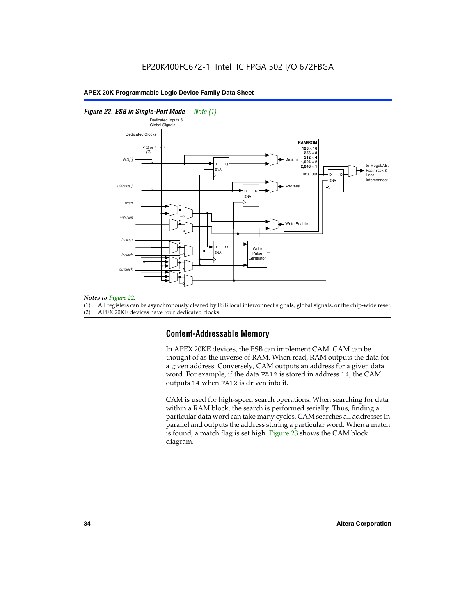#### *Figure 22. ESB in Single-Port Mode Note (1)*



#### *Notes to Figure 22:*

(1) All registers can be asynchronously cleared by ESB local interconnect signals, global signals, or the chip-wide reset.

(2) APEX 20KE devices have four dedicated clocks.

#### **Content-Addressable Memory**

In APEX 20KE devices, the ESB can implement CAM. CAM can be thought of as the inverse of RAM. When read, RAM outputs the data for a given address. Conversely, CAM outputs an address for a given data word. For example, if the data FA12 is stored in address 14, the CAM outputs 14 when FA12 is driven into it.

CAM is used for high-speed search operations. When searching for data within a RAM block, the search is performed serially. Thus, finding a particular data word can take many cycles. CAM searches all addresses in parallel and outputs the address storing a particular word. When a match is found, a match flag is set high. Figure 23 shows the CAM block diagram.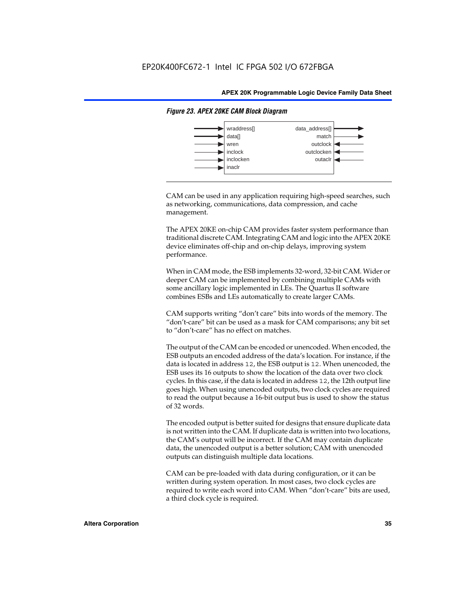

#### *Figure 23. APEX 20KE CAM Block Diagram*

CAM can be used in any application requiring high-speed searches, such as networking, communications, data compression, and cache management.

The APEX 20KE on-chip CAM provides faster system performance than traditional discrete CAM. Integrating CAM and logic into the APEX 20KE device eliminates off-chip and on-chip delays, improving system performance.

When in CAM mode, the ESB implements 32-word, 32-bit CAM. Wider or deeper CAM can be implemented by combining multiple CAMs with some ancillary logic implemented in LEs. The Quartus II software combines ESBs and LEs automatically to create larger CAMs.

CAM supports writing "don't care" bits into words of the memory. The "don't-care" bit can be used as a mask for CAM comparisons; any bit set to "don't-care" has no effect on matches.

The output of the CAM can be encoded or unencoded. When encoded, the ESB outputs an encoded address of the data's location. For instance, if the data is located in address 12, the ESB output is 12. When unencoded, the ESB uses its 16 outputs to show the location of the data over two clock cycles. In this case, if the data is located in address 12, the 12th output line goes high. When using unencoded outputs, two clock cycles are required to read the output because a 16-bit output bus is used to show the status of 32 words.

The encoded output is better suited for designs that ensure duplicate data is not written into the CAM. If duplicate data is written into two locations, the CAM's output will be incorrect. If the CAM may contain duplicate data, the unencoded output is a better solution; CAM with unencoded outputs can distinguish multiple data locations.

CAM can be pre-loaded with data during configuration, or it can be written during system operation. In most cases, two clock cycles are required to write each word into CAM. When "don't-care" bits are used, a third clock cycle is required.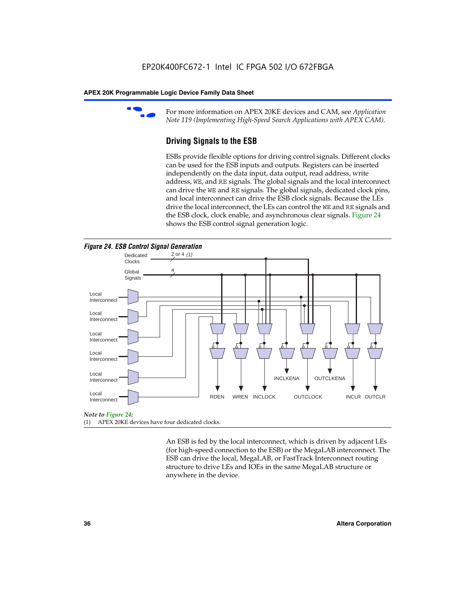

For more information on APEX 20KE devices and CAM, see *Application Note 119 (Implementing High-Speed Search Applications with APEX CAM).*

# **Driving Signals to the ESB**

ESBs provide flexible options for driving control signals. Different clocks can be used for the ESB inputs and outputs. Registers can be inserted independently on the data input, data output, read address, write address, WE, and RE signals. The global signals and the local interconnect can drive the WE and RE signals. The global signals, dedicated clock pins, and local interconnect can drive the ESB clock signals. Because the LEs drive the local interconnect, the LEs can control the WE and RE signals and the ESB clock, clock enable, and asynchronous clear signals. Figure 24 shows the ESB control signal generation logic.





#### *Note to Figure 24:*

(1) APEX 20KE devices have four dedicated clocks.

An ESB is fed by the local interconnect, which is driven by adjacent LEs (for high-speed connection to the ESB) or the MegaLAB interconnect. The ESB can drive the local, MegaLAB, or FastTrack Interconnect routing structure to drive LEs and IOEs in the same MegaLAB structure or anywhere in the device.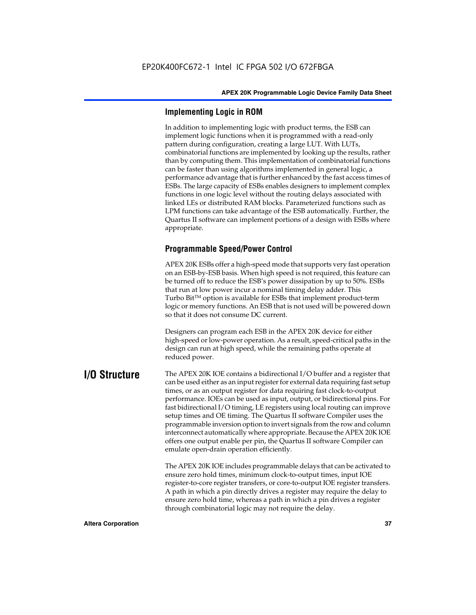# **Implementing Logic in ROM**

In addition to implementing logic with product terms, the ESB can implement logic functions when it is programmed with a read-only pattern during configuration, creating a large LUT. With LUTs, combinatorial functions are implemented by looking up the results, rather than by computing them. This implementation of combinatorial functions can be faster than using algorithms implemented in general logic, a performance advantage that is further enhanced by the fast access times of ESBs. The large capacity of ESBs enables designers to implement complex functions in one logic level without the routing delays associated with linked LEs or distributed RAM blocks. Parameterized functions such as LPM functions can take advantage of the ESB automatically. Further, the Quartus II software can implement portions of a design with ESBs where appropriate.

# **Programmable Speed/Power Control**

APEX 20K ESBs offer a high-speed mode that supports very fast operation on an ESB-by-ESB basis. When high speed is not required, this feature can be turned off to reduce the ESB's power dissipation by up to 50%. ESBs that run at low power incur a nominal timing delay adder. This Turbo  $Bit^{TM}$  option is available for ESBs that implement product-term logic or memory functions. An ESB that is not used will be powered down so that it does not consume DC current.

Designers can program each ESB in the APEX 20K device for either high-speed or low-power operation. As a result, speed-critical paths in the design can run at high speed, while the remaining paths operate at reduced power.

**I/O Structure** The APEX 20K IOE contains a bidirectional I/O buffer and a register that can be used either as an input register for external data requiring fast setup times, or as an output register for data requiring fast clock-to-output performance. IOEs can be used as input, output, or bidirectional pins. For fast bidirectional I/O timing, LE registers using local routing can improve setup times and OE timing. The Quartus II software Compiler uses the programmable inversion option to invert signals from the row and column interconnect automatically where appropriate. Because the APEX 20K IOE offers one output enable per pin, the Quartus II software Compiler can emulate open-drain operation efficiently.

> The APEX 20K IOE includes programmable delays that can be activated to ensure zero hold times, minimum clock-to-output times, input IOE register-to-core register transfers, or core-to-output IOE register transfers. A path in which a pin directly drives a register may require the delay to ensure zero hold time, whereas a path in which a pin drives a register through combinatorial logic may not require the delay.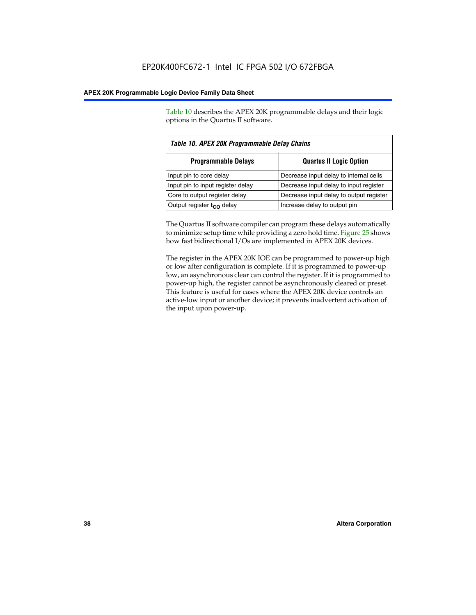Table 10 describes the APEX 20K programmable delays and their logic options in the Quartus II software.

| Table 10. APEX 20K Programmable Delay Chains |                                         |  |  |
|----------------------------------------------|-----------------------------------------|--|--|
| <b>Programmable Delays</b>                   | <b>Quartus II Logic Option</b>          |  |  |
| Input pin to core delay                      | Decrease input delay to internal cells  |  |  |
| Input pin to input register delay            | Decrease input delay to input register  |  |  |
| Core to output register delay                | Decrease input delay to output register |  |  |
| Output register $t_{\rm CO}$ delay           | Increase delay to output pin            |  |  |

The Quartus II software compiler can program these delays automatically to minimize setup time while providing a zero hold time. Figure 25 shows how fast bidirectional I/Os are implemented in APEX 20K devices.

The register in the APEX 20K IOE can be programmed to power-up high or low after configuration is complete. If it is programmed to power-up low, an asynchronous clear can control the register. If it is programmed to power-up high, the register cannot be asynchronously cleared or preset. This feature is useful for cases where the APEX 20K device controls an active-low input or another device; it prevents inadvertent activation of the input upon power-up.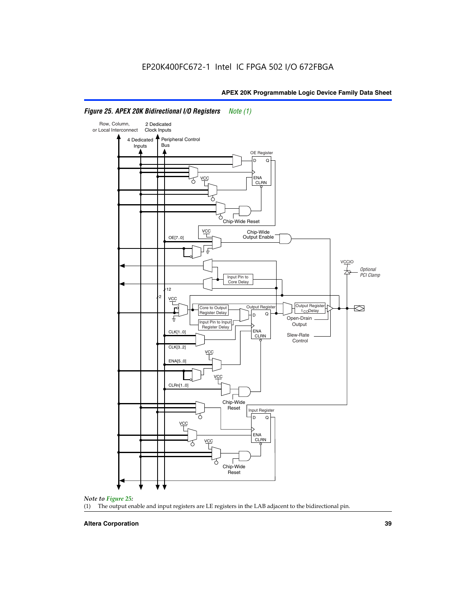

# *Figure 25. APEX 20K Bidirectional I/O Registers Note (1)*



#### **Altera Corporation 39**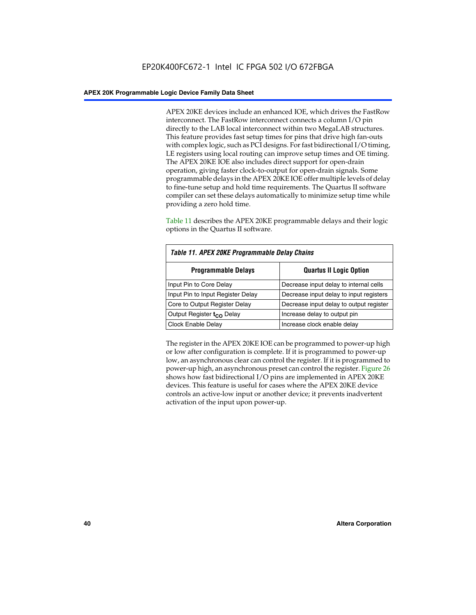APEX 20KE devices include an enhanced IOE, which drives the FastRow interconnect. The FastRow interconnect connects a column I/O pin directly to the LAB local interconnect within two MegaLAB structures. This feature provides fast setup times for pins that drive high fan-outs with complex logic, such as PCI designs. For fast bidirectional I/O timing, LE registers using local routing can improve setup times and OE timing. The APEX 20KE IOE also includes direct support for open-drain operation, giving faster clock-to-output for open-drain signals. Some programmable delays in the APEX 20KE IOE offer multiple levels of delay to fine-tune setup and hold time requirements. The Quartus II software compiler can set these delays automatically to minimize setup time while providing a zero hold time.

Table 11 describes the APEX 20KE programmable delays and their logic options in the Quartus II software.

| Table 11. APEX 20KE Programmable Delay Chains |                                         |  |  |  |
|-----------------------------------------------|-----------------------------------------|--|--|--|
| <b>Programmable Delays</b>                    | <b>Quartus II Logic Option</b>          |  |  |  |
| Input Pin to Core Delay                       | Decrease input delay to internal cells  |  |  |  |
| Input Pin to Input Register Delay             | Decrease input delay to input registers |  |  |  |
| Core to Output Register Delay                 | Decrease input delay to output register |  |  |  |
| Output Register t <sub>CO</sub> Delay         | Increase delay to output pin            |  |  |  |
| <b>Clock Enable Delay</b>                     | Increase clock enable delay             |  |  |  |

The register in the APEX 20KE IOE can be programmed to power-up high or low after configuration is complete. If it is programmed to power-up low, an asynchronous clear can control the register. If it is programmed to power-up high, an asynchronous preset can control the register. Figure 26 shows how fast bidirectional I/O pins are implemented in APEX 20KE devices. This feature is useful for cases where the APEX 20KE device controls an active-low input or another device; it prevents inadvertent activation of the input upon power-up.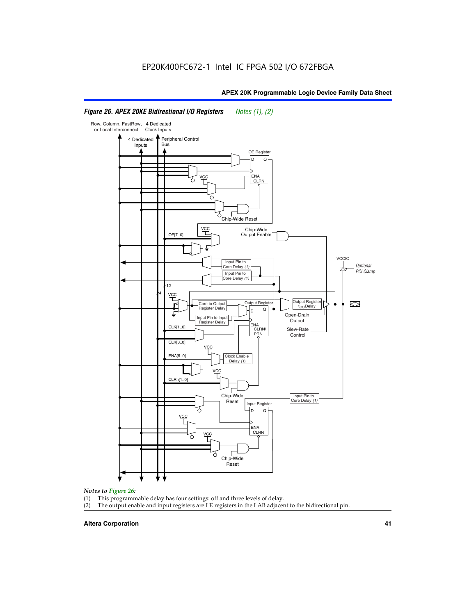#### Row, Column, FastRow, 4 Dedicated or Local Interconnect Clock Inputs Peripheral Control 4 Dedicated **Bus** Inputs OE Register D Q ENA VCC CLRN 7 Chip-Wide Reset YCC Chip-Wide Output Enable OE[7..0] VC Input Pin to **Optional** Core Delay (1) PCI Clamp Input Pin to Core Delay (1) 12 4 **VCC** Output Register **Output Registe**  $\approx$ Core to Output | Output Hegister | Durbut Tropieding | Contput Tropieding | Durbut Tropieding | Output Tropied<br>Register Delay | Durbut Tropieding | Contput Tropieding | Contput Tropieding | O t<sub>CO</sub>Delay  $D$  Q ŧ Open-Drain Input Pin to Input **Output** Register Delay ENA CLK[1..0] CLRN/ Slew-Rate PR<sub>N</sub> Control CLK[3..0] VCC ENA[5..0] Clock Enable Delay (1) VCC CLRn[1..0] Chip-Wide Input Pin to Core Delay (1) Reset Input Register D Q <u>vcc</u> .<br>ENA CLRN **VCC** Chip-Wide Reset

# *Figure 26. APEX 20KE Bidirectional I/O Registers Notes (1), (2)*

#### *Notes to Figure 26:*

- 
- (1) This programmable delay has four settings: off and three levels of delay.<br>(2) The output enable and input registers are LE registers in the LAB adjacer The output enable and input registers are LE registers in the LAB adjacent to the bidirectional pin.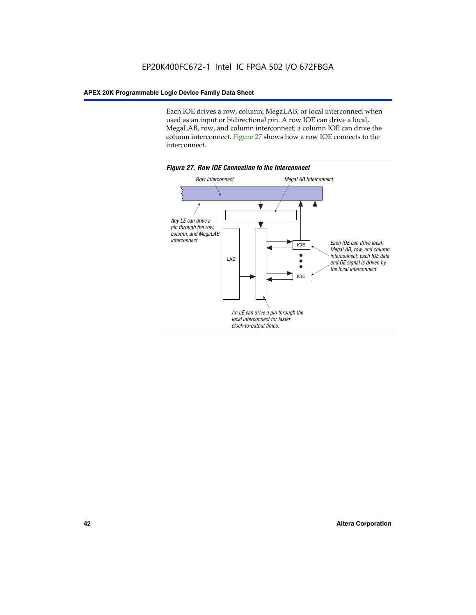Each IOE drives a row, column, MegaLAB, or local interconnect when used as an input or bidirectional pin. A row IOE can drive a local, MegaLAB, row, and column interconnect; a column IOE can drive the column interconnect. Figure 27 shows how a row IOE connects to the interconnect.

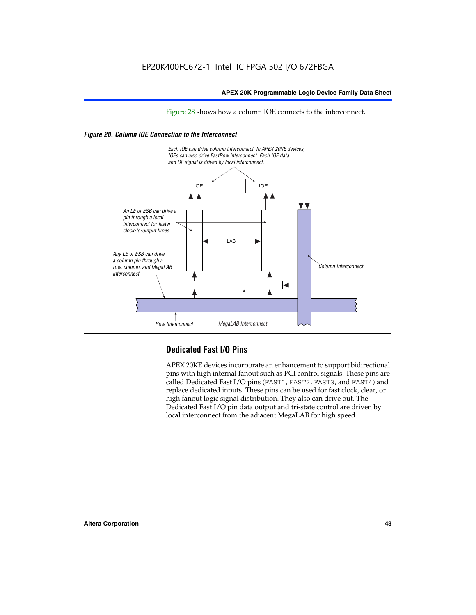Figure 28 shows how a column IOE connects to the interconnect.

# *Figure 28. Column IOE Connection to the Interconnect*



# **Dedicated Fast I/O Pins**

APEX 20KE devices incorporate an enhancement to support bidirectional pins with high internal fanout such as PCI control signals. These pins are called Dedicated Fast I/O pins (FAST1, FAST2, FAST3, and FAST4) and replace dedicated inputs. These pins can be used for fast clock, clear, or high fanout logic signal distribution. They also can drive out. The Dedicated Fast I/O pin data output and tri-state control are driven by local interconnect from the adjacent MegaLAB for high speed.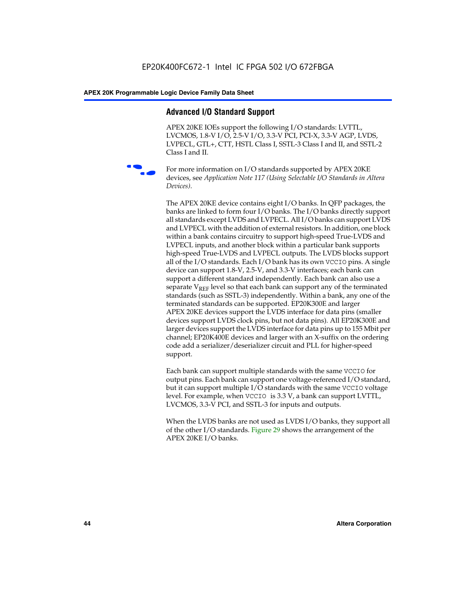# **Advanced I/O Standard Support**

APEX 20KE IOEs support the following I/O standards: LVTTL, LVCMOS, 1.8-V I/O, 2.5-V I/O, 3.3-V PCI, PCI-X, 3.3-V AGP, LVDS, LVPECL, GTL+, CTT, HSTL Class I, SSTL-3 Class I and II, and SSTL-2 Class I and II.



For more information on I/O standards supported by APEX 20KE devices, see *Application Note 117 (Using Selectable I/O Standards in Altera Devices)*.

The APEX 20KE device contains eight I/O banks. In QFP packages, the banks are linked to form four I/O banks. The I/O banks directly support all standards except LVDS and LVPECL. All I/O banks can support LVDS and LVPECL with the addition of external resistors. In addition, one block within a bank contains circuitry to support high-speed True-LVDS and LVPECL inputs, and another block within a particular bank supports high-speed True-LVDS and LVPECL outputs. The LVDS blocks support all of the I/O standards. Each I/O bank has its own VCCIO pins. A single device can support 1.8-V, 2.5-V, and 3.3-V interfaces; each bank can support a different standard independently. Each bank can also use a separate  $V_{\text{REF}}$  level so that each bank can support any of the terminated standards (such as SSTL-3) independently. Within a bank, any one of the terminated standards can be supported. EP20K300E and larger APEX 20KE devices support the LVDS interface for data pins (smaller devices support LVDS clock pins, but not data pins). All EP20K300E and larger devices support the LVDS interface for data pins up to 155 Mbit per channel; EP20K400E devices and larger with an X-suffix on the ordering code add a serializer/deserializer circuit and PLL for higher-speed support.

Each bank can support multiple standards with the same VCCIO for output pins. Each bank can support one voltage-referenced I/O standard, but it can support multiple I/O standards with the same VCCIO voltage level. For example, when VCCIO is 3.3 V, a bank can support LVTTL, LVCMOS, 3.3-V PCI, and SSTL-3 for inputs and outputs.

When the LVDS banks are not used as LVDS I/O banks, they support all of the other I/O standards. Figure 29 shows the arrangement of the APEX 20KE I/O banks.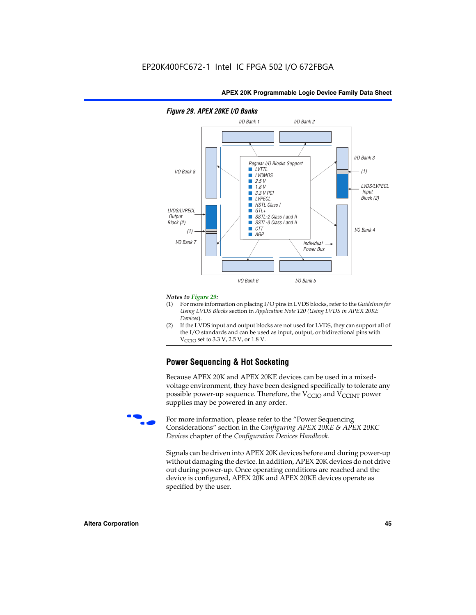

### *Figure 29. APEX 20KE I/O Banks*

#### *Notes to Figure 29:*

- (1) For more information on placing I/O pins in LVDS blocks, refer to the *Guidelines for Using LVDS Blocks* section in *Application Note 120 (Using LVDS in APEX 20KE Devices*).
- (2) If the LVDS input and output blocks are not used for LVDS, they can support all of the I/O standards and can be used as input, output, or bidirectional pins with  $V_{\text{C} \cap \text{O}}$  set to 3.3 V, 2.5 V, or 1.8 V.

# **Power Sequencing & Hot Socketing**

Because APEX 20K and APEX 20KE devices can be used in a mixedvoltage environment, they have been designed specifically to tolerate any possible power-up sequence. Therefore, the  $V_{\text{CCIO}}$  and  $V_{\text{CCINT}}$  power supplies may be powered in any order.

For more information, please refer to the "Power Sequencing Considerations" section in the *Configuring APEX 20KE & APEX 20KC Devices* chapter of the *Configuration Devices Handbook*.

Signals can be driven into APEX 20K devices before and during power-up without damaging the device. In addition, APEX 20K devices do not drive out during power-up. Once operating conditions are reached and the device is configured, APEX 20K and APEX 20KE devices operate as specified by the user.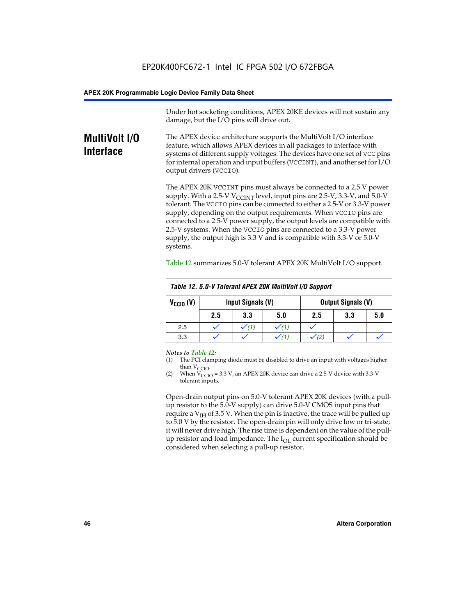Under hot socketing conditions, APEX 20KE devices will not sustain any damage, but the I/O pins will drive out.

# **MultiVolt I/O Interface**

The APEX device architecture supports the MultiVolt I/O interface feature, which allows APEX devices in all packages to interface with systems of different supply voltages. The devices have one set of VCC pins for internal operation and input buffers (VCCINT), and another set for I/O output drivers (VCCIO).

The APEX 20K VCCINT pins must always be connected to a 2.5 V power supply. With a 2.5-V  $V_{\text{CCMT}}$  level, input pins are 2.5-V, 3.3-V, and 5.0-V tolerant. The VCCIO pins can be connected to either a 2.5-V or 3.3-V power supply, depending on the output requirements. When VCCIO pins are connected to a 2.5-V power supply, the output levels are compatible with 2.5-V systems. When the VCCIO pins are connected to a 3.3-V power supply, the output high is 3.3 V and is compatible with 3.3-V or 5.0-V systems.

| Table 12. 5.0-V Tolerant APEX 20K MultiVolt I/O Support |                                                |                  |     |     |     |     |
|---------------------------------------------------------|------------------------------------------------|------------------|-----|-----|-----|-----|
| $V_{\text{CCIO}}(V)$                                    | Input Signals (V)<br><b>Output Signals (V)</b> |                  |     |     |     |     |
|                                                         | 2.5                                            | 3.3              | 5.0 | 2.5 | 3.3 | 5.0 |
| 2.5                                                     |                                                | $\checkmark$ (1) |     |     |     |     |
| 3.3                                                     |                                                |                  |     |     |     |     |

Table 12 summarizes 5.0-V tolerant APEX 20K MultiVolt I/O support.

#### *Notes to Table 12:*

- (1) The PCI clamping diode must be disabled to drive an input with voltages higher than  $V_{CCIO}$ .
- (2) When  $V_{CCIO} = 3.3 V$ , an APEX 20K device can drive a 2.5-V device with 3.3-V tolerant inputs.

Open-drain output pins on 5.0-V tolerant APEX 20K devices (with a pullup resistor to the 5.0-V supply) can drive 5.0-V CMOS input pins that require a  $V_{IH}$  of 3.5 V. When the pin is inactive, the trace will be pulled up to 5.0 V by the resistor. The open-drain pin will only drive low or tri-state; it will never drive high. The rise time is dependent on the value of the pullup resistor and load impedance. The  $I_{OI}$  current specification should be considered when selecting a pull-up resistor.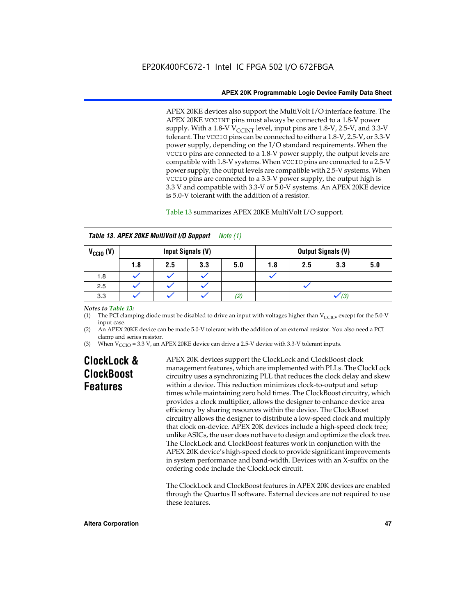APEX 20KE devices also support the MultiVolt I/O interface feature. The APEX 20KE VCCINT pins must always be connected to a 1.8-V power supply. With a 1.8-V  $V_{\text{CCINT}}$  level, input pins are 1.8-V, 2.5-V, and 3.3-V tolerant. The VCCIO pins can be connected to either a 1.8-V, 2.5-V, or 3.3-V power supply, depending on the I/O standard requirements. When the VCCIO pins are connected to a 1.8-V power supply, the output levels are compatible with 1.8-V systems. When VCCIO pins are connected to a 2.5-V power supply, the output levels are compatible with 2.5-V systems. When VCCIO pins are connected to a 3.3-V power supply, the output high is 3.3 V and compatible with 3.3-V or 5.0-V systems. An APEX 20KE device is 5.0-V tolerant with the addition of a resistor.

# Table 13 summarizes APEX 20KE MultiVolt I/O support.

|                                           | Table 13. APEX 20KE MultiVolt I/O Support<br><i>Note</i> $(1)$ |     |     |     |     |     |                           |     |
|-------------------------------------------|----------------------------------------------------------------|-----|-----|-----|-----|-----|---------------------------|-----|
| $V_{\text{CCIO}}(V)$<br>Input Signals (V) |                                                                |     |     |     |     |     | <b>Output Signals (V)</b> |     |
|                                           | 1.8                                                            | 2.5 | 3.3 | 5.0 | 1.8 | 2.5 | 3.3                       | 5.0 |
| 1.8                                       |                                                                |     |     |     |     |     |                           |     |
| 2.5                                       |                                                                |     |     |     |     |     |                           |     |
| 3.3                                       |                                                                |     |     | (2) |     |     | (3)                       |     |

### *Notes to Table 13:*

(1) The PCI clamping diode must be disabled to drive an input with voltages higher than  $V_{CCIO}$ , except for the 5.0-V input case.

(2) An APEX 20KE device can be made 5.0-V tolerant with the addition of an external resistor. You also need a PCI clamp and series resistor.

(3) When  $V_{\text{CCIO}} = 3.3$  V, an APEX 20KE device can drive a 2.5-V device with 3.3-V tolerant inputs.

# **ClockLock & ClockBoost Features**

APEX 20K devices support the ClockLock and ClockBoost clock management features, which are implemented with PLLs. The ClockLock circuitry uses a synchronizing PLL that reduces the clock delay and skew within a device. This reduction minimizes clock-to-output and setup times while maintaining zero hold times. The ClockBoost circuitry, which provides a clock multiplier, allows the designer to enhance device area efficiency by sharing resources within the device. The ClockBoost circuitry allows the designer to distribute a low-speed clock and multiply that clock on-device. APEX 20K devices include a high-speed clock tree; unlike ASICs, the user does not have to design and optimize the clock tree. The ClockLock and ClockBoost features work in conjunction with the APEX 20K device's high-speed clock to provide significant improvements in system performance and band-width. Devices with an X-suffix on the ordering code include the ClockLock circuit.

The ClockLock and ClockBoost features in APEX 20K devices are enabled through the Quartus II software. External devices are not required to use these features.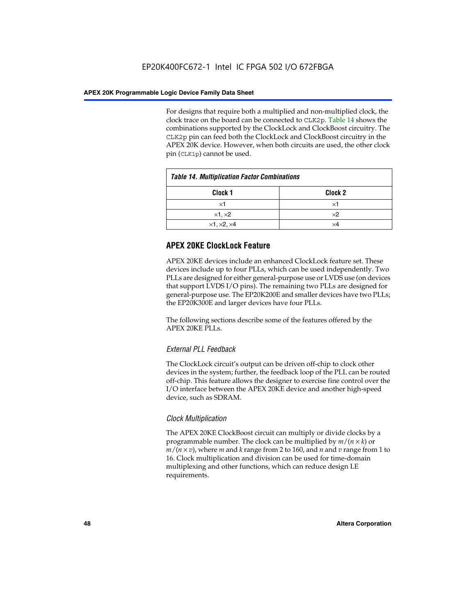For designs that require both a multiplied and non-multiplied clock, the clock trace on the board can be connected to CLK2p. Table 14 shows the combinations supported by the ClockLock and ClockBoost circuitry. The CLK2p pin can feed both the ClockLock and ClockBoost circuitry in the APEX 20K device. However, when both circuits are used, the other clock pin (CLK1p) cannot be used.

| <b>Table 14. Multiplication Factor Combinations</b> |                    |  |
|-----------------------------------------------------|--------------------|--|
| Clock <sub>1</sub>                                  | Clock <sub>2</sub> |  |
| $\times$ 1                                          | ×1                 |  |
| $\times$ 1, $\times$ 2                              | $\times 2$         |  |
| $\times$ 1, $\times$ 2, $\times$ 4                  | ×4                 |  |

# **APEX 20KE ClockLock Feature**

APEX 20KE devices include an enhanced ClockLock feature set. These devices include up to four PLLs, which can be used independently. Two PLLs are designed for either general-purpose use or LVDS use (on devices that support LVDS I/O pins). The remaining two PLLs are designed for general-purpose use. The EP20K200E and smaller devices have two PLLs; the EP20K300E and larger devices have four PLLs.

The following sections describe some of the features offered by the APEX 20KE PLLs.

# *External PLL Feedback*

The ClockLock circuit's output can be driven off-chip to clock other devices in the system; further, the feedback loop of the PLL can be routed off-chip. This feature allows the designer to exercise fine control over the I/O interface between the APEX 20KE device and another high-speed device, such as SDRAM.

# *Clock Multiplication*

The APEX 20KE ClockBoost circuit can multiply or divide clocks by a programmable number. The clock can be multiplied by *m*/(*n* × *k*) or  $m/(n \times v)$ , where *m* and *k* range from 2 to 160, and *n* and *v* range from 1 to 16. Clock multiplication and division can be used for time-domain multiplexing and other functions, which can reduce design LE requirements.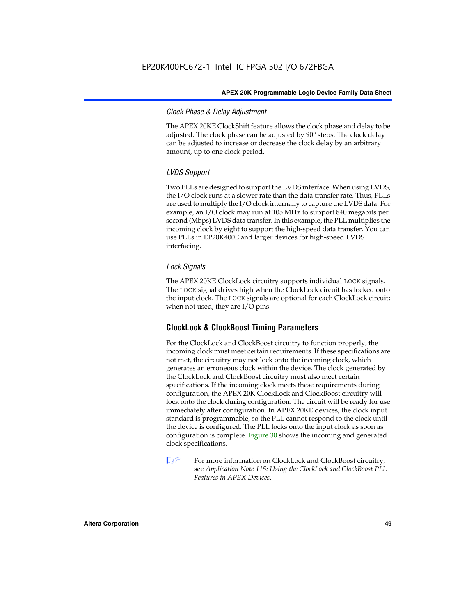# *Clock Phase & Delay Adjustment*

The APEX 20KE ClockShift feature allows the clock phase and delay to be adjusted. The clock phase can be adjusted by 90° steps. The clock delay can be adjusted to increase or decrease the clock delay by an arbitrary amount, up to one clock period.

# *LVDS Support*

Two PLLs are designed to support the LVDS interface. When using LVDS, the I/O clock runs at a slower rate than the data transfer rate. Thus, PLLs are used to multiply the I/O clock internally to capture the LVDS data. For example, an I/O clock may run at 105 MHz to support 840 megabits per second (Mbps) LVDS data transfer. In this example, the PLL multiplies the incoming clock by eight to support the high-speed data transfer. You can use PLLs in EP20K400E and larger devices for high-speed LVDS interfacing.

# *Lock Signals*

The APEX 20KE ClockLock circuitry supports individual LOCK signals. The LOCK signal drives high when the ClockLock circuit has locked onto the input clock. The LOCK signals are optional for each ClockLock circuit; when not used, they are I/O pins.

# **ClockLock & ClockBoost Timing Parameters**

For the ClockLock and ClockBoost circuitry to function properly, the incoming clock must meet certain requirements. If these specifications are not met, the circuitry may not lock onto the incoming clock, which generates an erroneous clock within the device. The clock generated by the ClockLock and ClockBoost circuitry must also meet certain specifications. If the incoming clock meets these requirements during configuration, the APEX 20K ClockLock and ClockBoost circuitry will lock onto the clock during configuration. The circuit will be ready for use immediately after configuration. In APEX 20KE devices, the clock input standard is programmable, so the PLL cannot respond to the clock until the device is configured. The PLL locks onto the input clock as soon as configuration is complete. Figure 30 shows the incoming and generated clock specifications.

 $\mathbb{I} \mathcal{F}$  For more information on ClockLock and ClockBoost circuitry, see *Application Note 115: Using the ClockLock and ClockBoost PLL Features in APEX Devices*.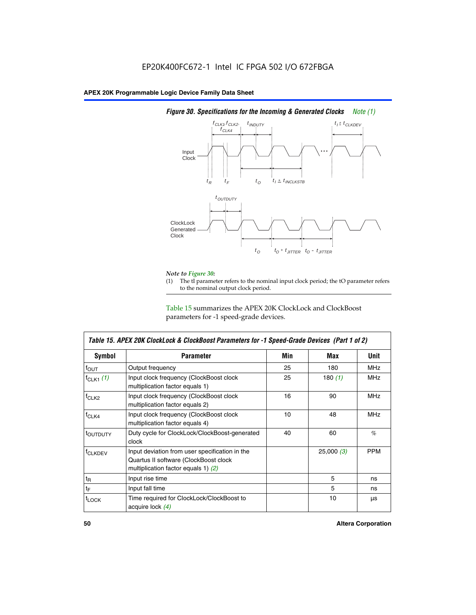

# *Figure 30. Specifications for the Incoming & Generated Clocks Note (1)*

# *Note to Figure 30:*

The tI parameter refers to the nominal input clock period; the tO parameter refers to the nominal output clock period.

Table 15 summarizes the APEX 20K ClockLock and ClockBoost parameters for -1 speed-grade devices.

| <b>Symbol</b>                                                                                                                                       | <b>Parameter</b>                                                           | Min | Max       | <b>Unit</b> |
|-----------------------------------------------------------------------------------------------------------------------------------------------------|----------------------------------------------------------------------------|-----|-----------|-------------|
| $f_{OUT}$                                                                                                                                           | Output frequency                                                           | 25  | 180       | MHz         |
| $f_{CLK1}$ $(1)$                                                                                                                                    | Input clock frequency (ClockBoost clock<br>multiplication factor equals 1) | 25  | 180 $(1)$ | <b>MHz</b>  |
| $f_{CLK2}$                                                                                                                                          | Input clock frequency (ClockBoost clock<br>multiplication factor equals 2) | 16  | 90        | <b>MHz</b>  |
| $f_{CLK4}$                                                                                                                                          | Input clock frequency (ClockBoost clock<br>multiplication factor equals 4) | 10  | 48        | <b>MHz</b>  |
| toutputy                                                                                                                                            | Duty cycle for ClockLock/ClockBoost-generated<br>clock                     | 40  | 60        | %           |
| Input deviation from user specification in the<br><b>f</b> CLKDEV<br>Quartus II software (ClockBoost clock<br>multiplication factor equals 1) $(2)$ |                                                                            |     | 25,000(3) | <b>PPM</b>  |
| $t_{\mathsf{R}}$                                                                                                                                    | Input rise time                                                            |     | 5         | ns          |
| $t_{\mathsf{F}}$                                                                                                                                    | Input fall time                                                            |     | 5         | ns          |
| <sup>t</sup> LOCK                                                                                                                                   | Time required for ClockLock/ClockBoost to<br>acquire lock (4)              |     | 10        | μs          |

 $\mathsf I$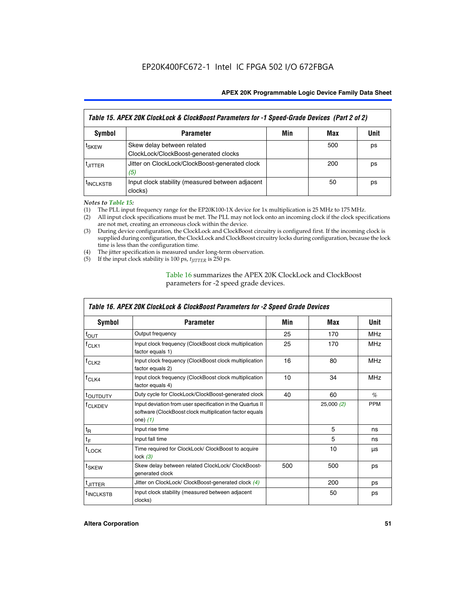| Table 15. APEX 20K ClockLock & ClockBoost Parameters for -1 Speed-Grade Devices (Part 2 of 2) |                                                                     |     |     |      |
|-----------------------------------------------------------------------------------------------|---------------------------------------------------------------------|-----|-----|------|
| <b>Symbol</b>                                                                                 | <b>Parameter</b>                                                    | Min | Max | Unit |
| t <sub>SKEW</sub>                                                                             | Skew delay between related<br>ClockLock/ClockBoost-generated clocks |     | 500 | ps   |
| <b>UITTER</b>                                                                                 | Jitter on ClockLock/ClockBoost-generated clock<br>(5)               |     | 200 | ps   |
| <b>INCLKSTB</b>                                                                               | Input clock stability (measured between adjacent<br>clocks)         |     | 50  | ps   |

*Notes to Table 15:*

- (1) The PLL input frequency range for the EP20K100-1X device for 1x multiplication is 25 MHz to 175 MHz.
- (2) All input clock specifications must be met. The PLL may not lock onto an incoming clock if the clock specifications are not met, creating an erroneous clock within the device.
- (3) During device configuration, the ClockLock and ClockBoost circuitry is configured first. If the incoming clock is supplied during configuration, the ClockLock and ClockBoost circuitry locks during configuration, because the lock time is less than the configuration time.
- (4) The jitter specification is measured under long-term observation.
- (5) If the input clock stability is 100 ps,  $t_{\text{JITTER}}$  is 250 ps.

# Table 16 summarizes the APEX 20K ClockLock and ClockBoost parameters for -2 speed grade devices.

| Symbol                                                                                   | <b>Parameter</b>                                                                                                                   | Min | Max       | <b>Unit</b> |
|------------------------------------------------------------------------------------------|------------------------------------------------------------------------------------------------------------------------------------|-----|-----------|-------------|
| f <sub>ouт</sub>                                                                         | Output frequency                                                                                                                   | 25  | 170       | <b>MHz</b>  |
| $f_{CLK1}$                                                                               | Input clock frequency (ClockBoost clock multiplication<br>factor equals 1)                                                         | 25  | 170       | <b>MHz</b>  |
| Input clock frequency (ClockBoost clock multiplication<br>$f_{CLK2}$<br>factor equals 2) |                                                                                                                                    | 16  | 80        | <b>MHz</b>  |
| Input clock frequency (ClockBoost clock multiplication<br>$f_{CLK4}$<br>factor equals 4) |                                                                                                                                    | 10  | 34        | <b>MHz</b>  |
| <sup>t</sup> OUTDUTY                                                                     | Duty cycle for ClockLock/ClockBoost-generated clock                                                                                | 40  | 60        | $\%$        |
| <sup>T</sup> CLKDEV                                                                      | Input deviation from user specification in the Quartus II<br>software (ClockBoost clock multiplication factor equals<br>one) $(1)$ |     | 25,000(2) | <b>PPM</b>  |
| $t_{\mathsf{R}}$                                                                         | Input rise time                                                                                                                    |     | 5         | ns          |
| $t_F$                                                                                    | Input fall time                                                                                                                    |     | 5         | ns          |
| $t_{\text{LOCK}}$                                                                        | Time required for ClockLock/ ClockBoost to acquire<br>lock $(3)$                                                                   |     | 10        | μs          |
| t <sub>SKEW</sub>                                                                        | Skew delay between related ClockLock/ ClockBoost-<br>generated clock                                                               | 500 | 500       | ps          |
| t <sub>JITTER</sub>                                                                      | Jitter on ClockLock/ ClockBoost-generated clock (4)                                                                                |     | 200       | ps          |
| <sup>I</sup> INCLKSTB                                                                    | Input clock stability (measured between adjacent<br>clocks)                                                                        |     | 50        | ps          |

# *Table 16. APEX 20K ClockLock & ClockBoost Parameters for -2 Speed Grade Devices*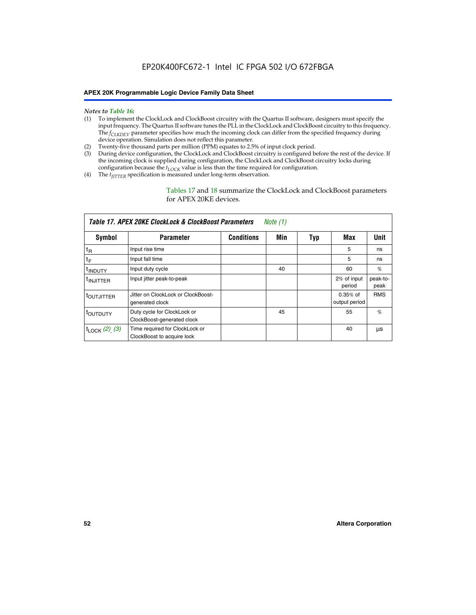#### *Notes to Table 16:*

- (1) To implement the ClockLock and ClockBoost circuitry with the Quartus II software, designers must specify the input frequency. The Quartus II software tunes the PLL in the ClockLock and ClockBoost circuitry to this frequency. The *f<sub>CLKDEV</sub>* parameter specifies how much the incoming clock can differ from the specified frequency during device operation. Simulation does not reflect this parameter.
- (2) Twenty-five thousand parts per million (PPM) equates to 2.5% of input clock period.
- (3) During device configuration, the ClockLock and ClockBoost circuitry is configured before the rest of the device. If the incoming clock is supplied during configuration, the ClockLock and ClockBoost circuitry locks during configuration because the  $t_{LOCK}$  value is less than the time required for configuration.
- (4) The  $t_{\text{ITTTER}}$  specification is measured under long-term observation.

Tables 17 and 18 summarize the ClockLock and ClockBoost parameters for APEX 20KE devices.

|                            | Table 17. APEX 20KE ClockLock & ClockBoost Parameters        |                   | Note (1) |     |                             |                  |
|----------------------------|--------------------------------------------------------------|-------------------|----------|-----|-----------------------------|------------------|
| Symbol                     | <b>Parameter</b>                                             | <b>Conditions</b> | Min      | Typ | Max                         | <b>Unit</b>      |
| $t_{R}$                    | Input rise time                                              |                   |          |     | 5                           | ns               |
| tF                         | Input fall time                                              |                   |          |     | 5                           | ns               |
| <sup>t</sup> INDUTY        | Input duty cycle                                             |                   | 40       |     | 60                          | %                |
| <sup>t</sup> INJITTER      | Input jitter peak-to-peak                                    |                   |          |     | 2% of input<br>period       | peak-to-<br>peak |
| <sup>t</sup> OUTJITTER     | Jitter on ClockLock or ClockBoost-<br>generated clock        |                   |          |     | $0.35%$ of<br>output period | <b>RMS</b>       |
| t <sub>outputy</sub>       | Duty cycle for ClockLock or<br>ClockBoost-generated clock    |                   | 45       |     | 55                          | $\%$             |
| $t_{\text{LOCK}}$ (2), (3) | Time required for ClockLock or<br>ClockBoost to acquire lock |                   |          |     | 40                          | μs               |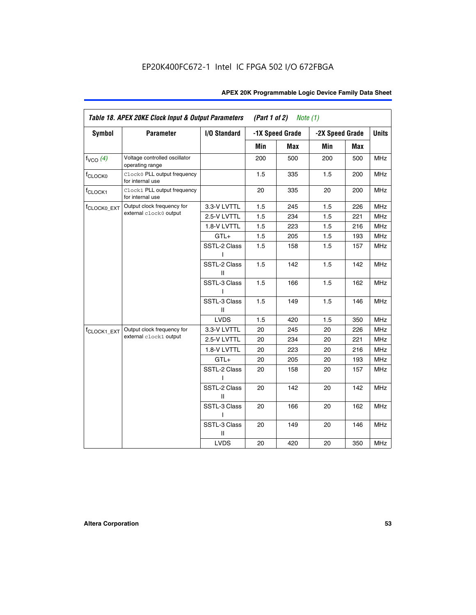| <b>Symbol</b>           | <b>Parameter</b>                                 | I/O Standard      |     | -1X Speed Grade | -2X Speed Grade |     | <b>Units</b> |
|-------------------------|--------------------------------------------------|-------------------|-----|-----------------|-----------------|-----|--------------|
|                         |                                                  |                   |     |                 |                 |     |              |
|                         |                                                  |                   | Min | Max             | Min             | Max |              |
| $f_{VCO}$ $(4)$         | Voltage controlled oscillator<br>operating range |                   | 200 | 500             | 200             | 500 | <b>MHz</b>   |
| f <sub>CLOCK0</sub>     | Clock0 PLL output frequency<br>for internal use  |                   | 1.5 | 335             | 1.5             | 200 | MHz          |
| f <sub>CLOCK1</sub>     | Clock1 PLL output frequency<br>for internal use  |                   | 20  | 335             | 20              | 200 | MHz          |
| f <sub>CLOCK0_EXT</sub> | Output clock frequency for                       | 3.3-V LVTTL       | 1.5 | 245             | 1.5             | 226 | <b>MHz</b>   |
|                         | external clock0 output                           | 2.5-V LVTTL       | 1.5 | 234             | 1.5             | 221 | <b>MHz</b>   |
|                         |                                                  | 1.8-V LVTTL       | 1.5 | 223             | 1.5             | 216 | <b>MHz</b>   |
|                         |                                                  | $GTL+$            | 1.5 | 205             | 1.5             | 193 | <b>MHz</b>   |
|                         |                                                  | SSTL-2 Class<br>L | 1.5 | 158             | 1.5             | 157 | <b>MHz</b>   |
|                         |                                                  | SSTL-2 Class<br>Ш | 1.5 | 142             | 1.5             | 142 | <b>MHz</b>   |
|                         |                                                  | SSTL-3 Class<br>I | 1.5 | 166             | 1.5             | 162 | <b>MHz</b>   |
|                         |                                                  | SSTL-3 Class<br>Ш | 1.5 | 149             | 1.5             | 146 | <b>MHz</b>   |
|                         |                                                  | <b>LVDS</b>       | 1.5 | 420             | 1.5             | 350 | <b>MHz</b>   |
| f <sub>CLOCK1_EXT</sub> | Output clock frequency for                       | 3.3-V LVTTL       | 20  | 245             | 20              | 226 | <b>MHz</b>   |
|                         | external clock1 output                           | 2.5-V LVTTL       | 20  | 234             | 20              | 221 | <b>MHz</b>   |
|                         |                                                  | 1.8-V LVTTL       | 20  | 223             | 20              | 216 | <b>MHz</b>   |
|                         |                                                  | $GTL+$            | 20  | 205             | 20              | 193 | MHz          |
|                         |                                                  | SSTL-2 Class      | 20  | 158             | 20              | 157 | <b>MHz</b>   |
|                         |                                                  | SSTL-2 Class<br>Ш | 20  | 142             | 20              | 142 | <b>MHz</b>   |
|                         |                                                  | SSTL-3 Class      | 20  | 166             | 20              | 162 | <b>MHz</b>   |
|                         |                                                  | SSTL-3 Class<br>Ш | 20  | 149             | 20              | 146 | <b>MHz</b>   |
|                         |                                                  | <b>LVDS</b>       | 20  | 420             | 20              | 350 | MHz          |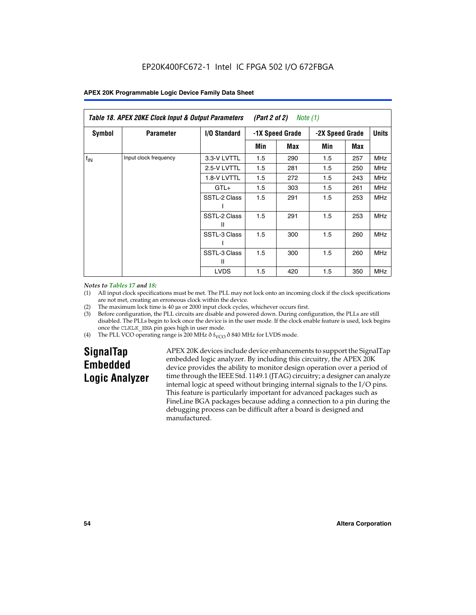| Table 18. APEX 20KE Clock Input & Output Parameters<br>(Part 2 of 2)<br>Note (1) |                       |                     |     |                 |     |                 |              |
|----------------------------------------------------------------------------------|-----------------------|---------------------|-----|-----------------|-----|-----------------|--------------|
| <b>Symbol</b>                                                                    | <b>Parameter</b>      | <b>I/O Standard</b> |     | -1X Speed Grade |     | -2X Speed Grade | <b>Units</b> |
|                                                                                  |                       |                     | Min | Max             | Min | Max             |              |
| $f_{IN}$                                                                         | Input clock frequency | 3.3-V LVTTL         | 1.5 | 290             | 1.5 | 257             | <b>MHz</b>   |
|                                                                                  |                       | 2.5-V LVTTL         | 1.5 | 281             | 1.5 | 250             | MHz          |
|                                                                                  |                       | 1.8-V LVTTL         | 1.5 | 272             | 1.5 | 243             | <b>MHz</b>   |
|                                                                                  |                       | $GTL+$              | 1.5 | 303             | 1.5 | 261             | <b>MHz</b>   |
|                                                                                  |                       | SSTL-2 Class        | 1.5 | 291             | 1.5 | 253             | <b>MHz</b>   |
|                                                                                  |                       | SSTL-2 Class<br>Ш   | 1.5 | 291             | 1.5 | 253             | <b>MHz</b>   |
|                                                                                  |                       | SSTL-3 Class        | 1.5 | 300             | 1.5 | 260             | <b>MHz</b>   |
|                                                                                  |                       | SSTL-3 Class<br>Ш   | 1.5 | 300             | 1.5 | 260             | <b>MHz</b>   |
|                                                                                  |                       | <b>LVDS</b>         | 1.5 | 420             | 1.5 | 350             | <b>MHz</b>   |

#### *Notes to Tables 17 and 18:*

(1) All input clock specifications must be met. The PLL may not lock onto an incoming clock if the clock specifications are not met, creating an erroneous clock within the device.

- (2) The maximum lock time is 40 µs or 2000 input clock cycles, whichever occurs first.
- (3) Before configuration, the PLL circuits are disable and powered down. During configuration, the PLLs are still disabled. The PLLs begin to lock once the device is in the user mode. If the clock enable feature is used, lock begins once the CLKLK\_ENA pin goes high in user mode.
- (4) The PLL VCO operating range is 200 MHz  $\eth$  f<sub>VCO</sub>  $\eth$  840 MHz for LVDS mode.

# **SignalTap Embedded Logic Analyzer**

APEX 20K devices include device enhancements to support the SignalTap embedded logic analyzer. By including this circuitry, the APEX 20K device provides the ability to monitor design operation over a period of time through the IEEE Std. 1149.1 (JTAG) circuitry; a designer can analyze internal logic at speed without bringing internal signals to the I/O pins. This feature is particularly important for advanced packages such as FineLine BGA packages because adding a connection to a pin during the debugging process can be difficult after a board is designed and manufactured.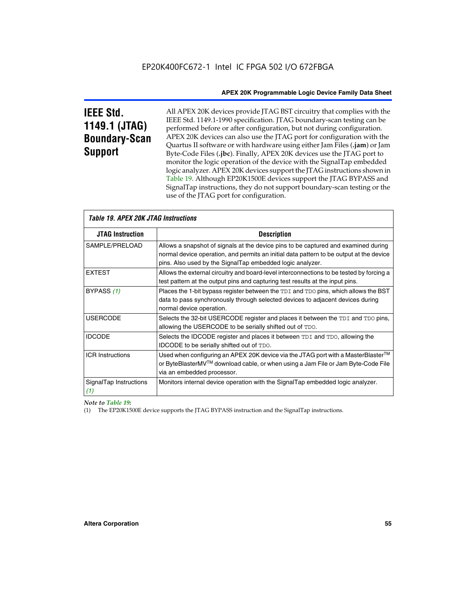# **IEEE Std. 1149.1 (JTAG) Boundary-Scan Support**

All APEX 20K devices provide JTAG BST circuitry that complies with the IEEE Std. 1149.1-1990 specification. JTAG boundary-scan testing can be performed before or after configuration, but not during configuration. APEX 20K devices can also use the JTAG port for configuration with the Quartus II software or with hardware using either Jam Files (**.jam**) or Jam Byte-Code Files (**.jbc**). Finally, APEX 20K devices use the JTAG port to monitor the logic operation of the device with the SignalTap embedded logic analyzer. APEX 20K devices support the JTAG instructions shown in Table 19. Although EP20K1500E devices support the JTAG BYPASS and SignalTap instructions, they do not support boundary-scan testing or the use of the JTAG port for configuration.

| <i><b>Table 19. APEX 20K JTAG Instructions</b></i> |                                                                                                                                                                                                                                            |
|----------------------------------------------------|--------------------------------------------------------------------------------------------------------------------------------------------------------------------------------------------------------------------------------------------|
| <b>JTAG Instruction</b>                            | <b>Description</b>                                                                                                                                                                                                                         |
| SAMPLE/PRELOAD                                     | Allows a snapshot of signals at the device pins to be captured and examined during<br>normal device operation, and permits an initial data pattern to be output at the device<br>pins. Also used by the SignalTap embedded logic analyzer. |
| <b>EXTEST</b>                                      | Allows the external circuitry and board-level interconnections to be tested by forcing a<br>test pattern at the output pins and capturing test results at the input pins.                                                                  |
| BYPASS (1)                                         | Places the 1-bit bypass register between the TDI and TDO pins, which allows the BST<br>data to pass synchronously through selected devices to adjacent devices during<br>normal device operation.                                          |
| <b>USERCODE</b>                                    | Selects the 32-bit USERCODE register and places it between the TDI and TDO pins,<br>allowing the USERCODE to be serially shifted out of TDO.                                                                                               |
| <b>IDCODE</b>                                      | Selects the IDCODE register and places it between TDI and TDO, allowing the<br>IDCODE to be serially shifted out of TDO.                                                                                                                   |
| <b>ICR Instructions</b>                            | Used when configuring an APEX 20K device via the JTAG port with a MasterBlaster™<br>or ByteBlasterMV™ download cable, or when using a Jam File or Jam Byte-Code File<br>via an embedded processor.                                         |
| SignalTap Instructions<br>(1)                      | Monitors internal device operation with the SignalTap embedded logic analyzer.                                                                                                                                                             |

 $\overline{\phantom{a}}$ 

# *Note to Table 19:*

(1) The EP20K1500E device supports the JTAG BYPASS instruction and the SignalTap instructions.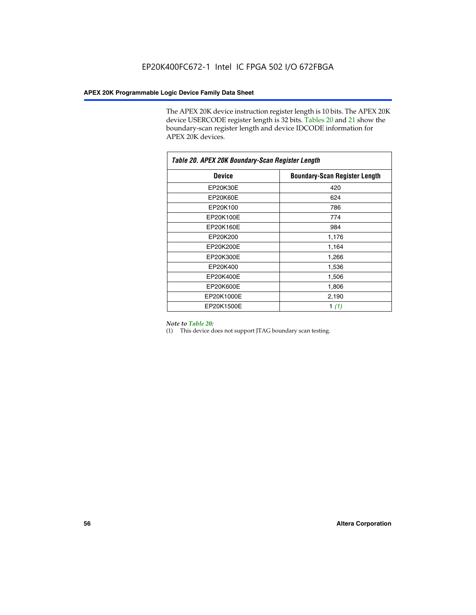The APEX 20K device instruction register length is 10 bits. The APEX 20K device USERCODE register length is 32 bits. Tables 20 and 21 show the boundary-scan register length and device IDCODE information for APEX 20K devices.

| Table 20. APEX 20K Boundary-Scan Register Length |                                      |  |  |  |
|--------------------------------------------------|--------------------------------------|--|--|--|
| <b>Device</b>                                    | <b>Boundary-Scan Register Length</b> |  |  |  |
| EP20K30E                                         | 420                                  |  |  |  |
| EP20K60E                                         | 624                                  |  |  |  |
| EP20K100                                         | 786                                  |  |  |  |
| EP20K100E                                        | 774                                  |  |  |  |
| EP20K160E                                        | 984                                  |  |  |  |
| EP20K200                                         | 1,176                                |  |  |  |
| EP20K200E                                        | 1,164                                |  |  |  |
| EP20K300E                                        | 1,266                                |  |  |  |
| EP20K400                                         | 1,536                                |  |  |  |
| EP20K400E                                        | 1,506                                |  |  |  |
| EP20K600E                                        | 1,806                                |  |  |  |
| EP20K1000E                                       | 2,190                                |  |  |  |
| EP20K1500E                                       | 1 $(1)$                              |  |  |  |

#### *Note to Table 20:*

(1) This device does not support JTAG boundary scan testing.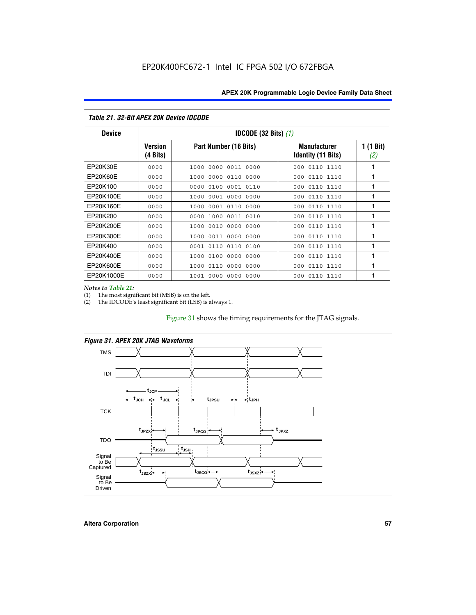| Table 21. 32-Bit APEX 20K Device IDCODE |                                          |                              |                                                  |                  |  |  |
|-----------------------------------------|------------------------------------------|------------------------------|--------------------------------------------------|------------------|--|--|
| <b>Device</b>                           | <b>IDCODE (32 Bits) <math>(1)</math></b> |                              |                                                  |                  |  |  |
|                                         | <b>Version</b><br>(4 Bits)               | Part Number (16 Bits)        | <b>Manufacturer</b><br><b>Identity (11 Bits)</b> | 1 (1 Bit)<br>(2) |  |  |
| EP20K30E                                | 0000                                     | 0000 0011 0000<br>1000       | 0110 1110<br>000                                 | 1                |  |  |
| EP20K60E                                | 0000                                     | 1000<br>0000 0110<br>0000    | 0110 1110<br>000                                 | 1                |  |  |
| EP20K100                                | 0000                                     | 0000<br>0100<br>0001 0110    | 000<br>0110 1110                                 | 1                |  |  |
| EP20K100E                               | 0000                                     | 1000<br>0001 0000<br>0000    | 0110 1110<br>000                                 | 1                |  |  |
| EP20K160E                               | 0000                                     | 0001 0110<br>0000<br>1000    | 000<br>0110 1110                                 | 1                |  |  |
| EP20K200                                | 0000                                     | 1000<br>0011 0010<br>0000    | 0110 1110<br>000                                 | 1                |  |  |
| EP20K200E                               | 0000                                     | 0010<br>0000<br>0000<br>1000 | 0110 1110<br>000                                 | 1                |  |  |
| EP20K300E                               | 0000                                     | 0011 0000<br>0000<br>1000    | 0110 1110<br>000                                 | 1                |  |  |
| EP20K400                                | 0000                                     | 0001<br>0110<br>0110<br>0100 | 0110 1110<br>000                                 | 1                |  |  |
| EP20K400E                               | 0000                                     | 0100<br>0000<br>0000<br>1000 | 0110 1110<br>000                                 | 1                |  |  |
| EP20K600E                               | 0000                                     | 1000<br>0110<br>0000<br>0000 | 0110 1110<br>000                                 | 1                |  |  |
| EP20K1000E                              | 0000                                     | 0000<br>0000<br>0000<br>1001 | 000<br>0110 1110                                 | 1                |  |  |

*Notes to Table 21:*

The most significant bit (MSB) is on the left.

(2) The IDCODE's least significant bit (LSB) is always 1.

# Figure 31 shows the timing requirements for the JTAG signals.





**Altera Corporation 57**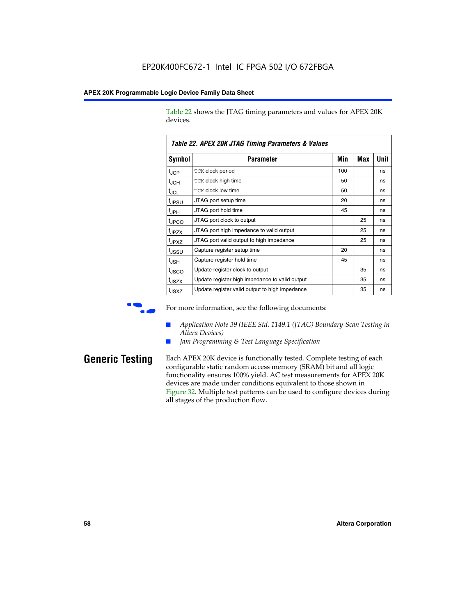Table 22 shows the JTAG timing parameters and values for APEX 20K devices.

|                   | TADIE ZZ. AFEA ZUN JTAU TIIIIIIU FAIAIIIEIEIS & VAIUES |     |     |      |  |  |
|-------------------|--------------------------------------------------------|-----|-----|------|--|--|
| Symbol            | Parameter                                              | Min | Max | Unit |  |  |
| $t_{\text{JCP}}$  | TCK clock period                                       | 100 |     | ns   |  |  |
| $t_{\rm JCH}$     | TCK clock high time                                    | 50  |     | ns   |  |  |
| $t_{\sf JCL}$     | <b>TCK clock low time</b>                              | 50  |     | ns   |  |  |
| tjpsu             | JTAG port setup time                                   | 20  |     | ns   |  |  |
| t <sub>JPH</sub>  | JTAG port hold time                                    | 45  |     | ns   |  |  |
| tjpco             | JTAG port clock to output                              |     | 25  | ns   |  |  |
| t <sub>JPZX</sub> | JTAG port high impedance to valid output               |     | 25  | ns   |  |  |
| t <sub>JPXZ</sub> | JTAG port valid output to high impedance               |     | 25  | ns   |  |  |
| tjssu             | Capture register setup time                            | 20  |     | ns   |  |  |
| t <sub>JSH</sub>  | Capture register hold time                             | 45  |     | ns   |  |  |
| tjsco             | Update register clock to output                        |     | 35  | ns   |  |  |
| t <sub>JSZX</sub> | Update register high impedance to valid output         |     | 35  | ns   |  |  |
| t <sub>JSXZ</sub> | Update register valid output to high impedance         |     | 35  | ns   |  |  |

*Table 22. APEX 20K JTAG Timing Parameters & Values*

For more information, see the following documents:

- *Application Note 39 (IEEE Std. 1149.1 (JTAG) Boundary-Scan Testing in Altera Devices)*
- Jam Programming & Test Language Specification

**Generic Testing** Each APEX 20K device is functionally tested. Complete testing of each configurable static random access memory (SRAM) bit and all logic functionality ensures 100% yield. AC test measurements for APEX 20K devices are made under conditions equivalent to those shown in Figure 32. Multiple test patterns can be used to configure devices during all stages of the production flow.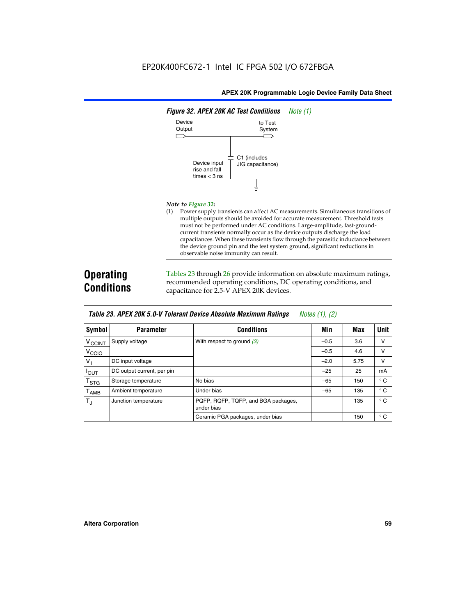

#### *Note to Figure 32:*

(1) Power supply transients can affect AC measurements. Simultaneous transitions of multiple outputs should be avoided for accurate measurement. Threshold tests must not be performed under AC conditions. Large-amplitude, fast-groundcurrent transients normally occur as the device outputs discharge the load capacitances. When these transients flow through the parasitic inductance between the device ground pin and the test system ground, significant reductions in observable noise immunity can result.

# **Operating Conditions**

Tables 23 through 26 provide information on absolute maximum ratings, recommended operating conditions, DC operating conditions, and capacitance for 2.5-V APEX 20K devices.

|                           |                            |                                                   | $1.00100 + 1.011 + 1.001$ |      |              |
|---------------------------|----------------------------|---------------------------------------------------|---------------------------|------|--------------|
| <b>Symbol</b>             | <b>Parameter</b>           | <b>Conditions</b>                                 | Min                       | Max  | Unit         |
| $V_{\text{CCINT}}$        | Supply voltage             | With respect to ground $(3)$                      | $-0.5$                    | 3.6  | v            |
| V <sub>CCIO</sub>         |                            |                                                   | $-0.5$                    | 4.6  | $\vee$       |
| $V_1$                     | DC input voltage           |                                                   | $-2.0$                    | 5.75 | v            |
| $I_{\text{OUT}}$          | DC output current, per pin |                                                   | $-25$                     | 25   | mA           |
| $\mathsf{T}_{\text{STG}}$ | Storage temperature        | No bias                                           | $-65$                     | 150  | $^{\circ}$ C |
| Т <sub>АМВ</sub>          | Ambient temperature        | Under bias                                        | $-65$                     | 135  | $^{\circ}$ C |
| $T_{\rm J}$               | Junction temperature       | PQFP, RQFP, TQFP, and BGA packages,<br>under bias |                           | 135  | $^{\circ}$ C |
|                           |                            | Ceramic PGA packages, under bias                  |                           | 150  | $^{\circ}$ C |

| <b>Table 23. APEX 20K 5.0-V Tolerant Device Absolute Maximum Ratings</b> Notes (1), (2) |  |
|-----------------------------------------------------------------------------------------|--|
|-----------------------------------------------------------------------------------------|--|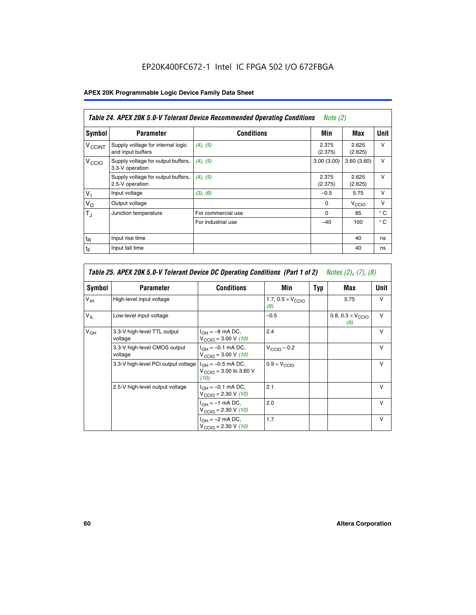# EP20K400FC672-1 Intel IC FPGA 502 I/O 672FBGA

# **APEX 20K Programmable Logic Device Family Data Sheet**

|                          | Table 24. APEX 20K 5.0-V Tolerant Device Recommended Operating Conditions<br>Note $(2)$ |                    |                  |                   |              |  |
|--------------------------|-----------------------------------------------------------------------------------------|--------------------|------------------|-------------------|--------------|--|
| Symbol                   | <b>Parameter</b>                                                                        | <b>Conditions</b>  | Min              | Max               | <b>Unit</b>  |  |
| <b>V<sub>CCINT</sub></b> | Supply voltage for internal logic<br>and input buffers                                  | $(4)$ , $(5)$      | 2.375<br>(2.375) | 2.625<br>(2.625)  | $\vee$       |  |
| V <sub>CCIO</sub>        | Supply voltage for output buffers,<br>3.3-V operation                                   | (4), (5)           | 3.00(3.00)       | 3.60(3.60)        | $\vee$       |  |
|                          | Supply voltage for output buffers,<br>2.5-V operation                                   | (4), (5)           | 2.375<br>(2.375) | 2.625<br>(2.625)  | $\vee$       |  |
| $V_1$                    | Input voltage                                                                           | (3), (6)           | $-0.5$           | 5.75              | $\vee$       |  |
| $V_{\rm O}$              | Output voltage                                                                          |                    | $\Omega$         | V <sub>CCIO</sub> | $\vee$       |  |
| $T_{\rm J}$              | Junction temperature                                                                    | For commercial use | $\Omega$         | 85                | $^{\circ}$ C |  |
|                          |                                                                                         | For industrial use | $-40$            | 100               | $^{\circ}$ C |  |
| $t_{R}$                  | Input rise time                                                                         |                    |                  | 40                | ns           |  |
| $t_{\mathsf{F}}$         | Input fall time                                                                         |                    |                  | 40                | ns           |  |

| Table 25. APEX 20K 5.0-V Tolerant Device DC Operating Conditions (Part 1 of 2) Notes (2), (7), (8) |                                         |                                                                                       |                                          |     |                                          |              |  |
|----------------------------------------------------------------------------------------------------|-----------------------------------------|---------------------------------------------------------------------------------------|------------------------------------------|-----|------------------------------------------|--------------|--|
| Symbol                                                                                             | <b>Parameter</b>                        | <b>Conditions</b>                                                                     | Min                                      | Typ | Max                                      | Unit         |  |
| $V_{\text{IH}}$                                                                                    | High-level input voltage                |                                                                                       | 1.7, $0.5 \times V_{\text{CCIO}}$<br>(9) |     | 5.75                                     | v            |  |
| $V_{IL}$                                                                                           | Low-level input voltage                 |                                                                                       | $-0.5$                                   |     | 0.8, $0.3 \times V_{\text{CCIO}}$<br>(9) | $\vee$       |  |
| $V_{OH}$                                                                                           | 3.3-V high-level TTL output<br>voltage  | $I_{OH} = -8$ mA DC,<br>$V_{\text{CCIO}} = 3.00 \text{ V} (10)$                       | 2.4                                      |     |                                          | $\vee$       |  |
|                                                                                                    | 3.3-V high-level CMOS output<br>voltage | $I_{\text{OH}} = -0.1 \text{ mA DC},$<br>$V_{\text{CCIO}} = 3.00 \text{ V} (10)$      | $V_{CClO}$ – 0.2                         |     |                                          | $\vee$       |  |
|                                                                                                    | 3.3-V high-level PCI output voltage     | $I_{OH} = -0.5$ mA DC,<br>$V_{\text{CCIO}} = 3.00 \text{ to } 3.60 \text{ V}$<br>(10) | $0.9 \times V_{\text{CCIO}}$             |     |                                          | $\mathsf{V}$ |  |
|                                                                                                    | 2.5-V high-level output voltage         | $I_{OH} = -0.1$ mA DC,<br>$V_{\text{CCIO}} = 2.30 \text{ V} (10)$                     | 2.1                                      |     |                                          | $\mathsf{V}$ |  |
|                                                                                                    |                                         | $I_{\text{OH}} = -1 \text{ mA DC},$<br>$V_{\text{CCIO}} = 2.30 V (10)$                | 2.0                                      |     |                                          | $\vee$       |  |
|                                                                                                    |                                         | $I_{OH} = -2$ mA DC,<br>$V_{\text{CCIO}} = 2.30 V (10)$                               | 1.7                                      |     |                                          | v            |  |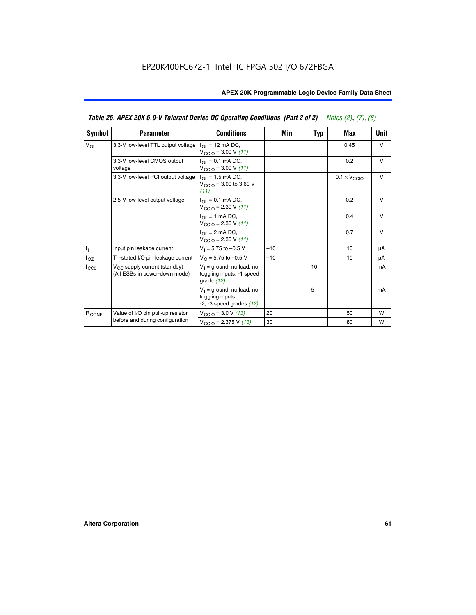|                   | Table 25. APEX 20K 5.0-V Tolerant Device DC Operating Conditions (Part 2 of 2) Notes (2), (7), (8) |                                                                                    |       |     |                              |        |  |
|-------------------|----------------------------------------------------------------------------------------------------|------------------------------------------------------------------------------------|-------|-----|------------------------------|--------|--|
| Symbol            | <b>Parameter</b>                                                                                   | <b>Conditions</b>                                                                  | Min   | Typ | Max                          | Unit   |  |
| $V_{OL}$          | 3.3-V low-level TTL output voltage                                                                 | $I_{\Omega}$ = 12 mA DC,<br>$V_{\text{CCIO}} = 3.00 V (11)$                        |       |     | 0.45                         | $\vee$ |  |
|                   | 3.3-V low-level CMOS output<br>voltage                                                             | $I_{\Omega I} = 0.1$ mA DC,<br>$V_{\text{CCIO}} = 3.00 V (11)$                     |       |     | 0.2                          | $\vee$ |  |
|                   | 3.3-V low-level PCI output voltage                                                                 | $I_{\Omega}$ = 1.5 mA DC,<br>$V_{CClO}$ = 3.00 to 3.60 V<br>(11)                   |       |     | $0.1 \times V_{\text{CCLO}}$ | $\vee$ |  |
|                   | 2.5-V low-level output voltage                                                                     | $I_{\Omega I} = 0.1$ mA DC,<br>$V_{\text{CCIO}} = 2.30 V (11)$                     |       |     | 0.2                          | $\vee$ |  |
|                   |                                                                                                    | $I_{\Omega}$ = 1 mA DC,<br>$V_{\text{CCIO}} = 2.30 V (11)$                         |       |     | 0.4                          | $\vee$ |  |
|                   |                                                                                                    | $I_{\Omega}$ = 2 mA DC,<br>$V_{\text{CCIO}} = 2.30 V (11)$                         |       |     | 0.7                          | $\vee$ |  |
| Τ,                | Input pin leakage current                                                                          | $V_1 = 5.75$ to $-0.5$ V                                                           | $-10$ |     | 10                           | μA     |  |
| $I_{OZ}$          | Tri-stated I/O pin leakage current                                                                 | $V_{\Omega}$ = 5.75 to -0.5 V                                                      | $-10$ |     | 10                           | μA     |  |
| $I_{CC0}$         | $V_{CC}$ supply current (standby)<br>(All ESBs in power-down mode)                                 | $V_1$ = ground, no load, no<br>toggling inputs, -1 speed<br>grade $(12)$           |       | 10  |                              | mA     |  |
|                   |                                                                                                    | $V_1$ = ground, no load, no<br>toggling inputs,<br>$-2$ , $-3$ speed grades $(12)$ |       | 5   |                              | mA     |  |
| R <sub>CONF</sub> | Value of I/O pin pull-up resistor                                                                  | $V_{\text{CCIO}} = 3.0 V (13)$                                                     | 20    |     | 50                           | W      |  |
|                   | before and during configuration                                                                    | $V_{\text{CCIO}} = 2.375 \text{ V} (13)$                                           | 30    |     | 80                           | W      |  |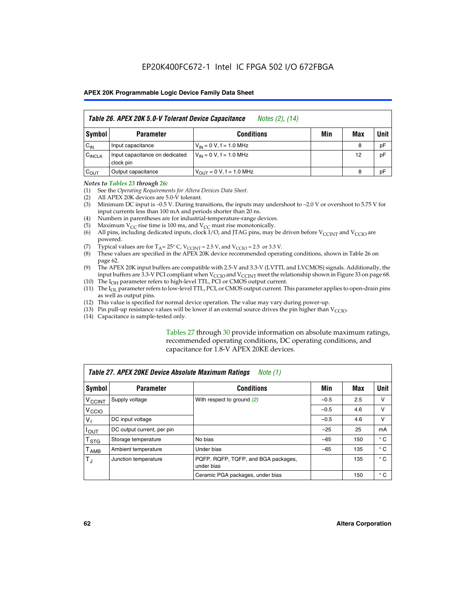|                    | Table 26. APEX 20K 5.0-V Tolerant Device Capacitance<br>Notes (2), (14) |                                     |     |     |      |  |  |
|--------------------|-------------------------------------------------------------------------|-------------------------------------|-----|-----|------|--|--|
| Symbol             | <b>Parameter</b>                                                        | <b>Conditions</b>                   | Min | Max | Unit |  |  |
| $C_{IN}$           | Input capacitance                                                       | $V_{1N} = 0 V$ , f = 1.0 MHz        |     | 8   | pF   |  |  |
| $C_{\text{INCLK}}$ | Input capacitance on dedicated<br>clock pin                             | $V_{IN} = 0 V$ , f = 1.0 MHz        |     | 12  | pF   |  |  |
| $C_{OUT}$          | Output capacitance                                                      | $V_{\text{OUT}} = 0 V, f = 1.0 MHz$ |     | 8   | pF   |  |  |

#### *Notes to Tables 23 through 26:*

- (1) See the *Operating Requirements for Altera Devices Data Sheet*.
- (2) All APEX 20K devices are 5.0-V tolerant.
- (3) Minimum DC input is –0.5 V. During transitions, the inputs may undershoot to –2.0 V or overshoot to 5.75 V for input currents less than 100 mA and periods shorter than 20 ns.
- (4) Numbers in parentheses are for industrial-temperature-range devices.
- (5) Maximum  $V_{CC}$  rise time is 100 ms, and  $V_{CC}$  must rise monotonically.<br>(6) All pins, including dedicated inputs, clock I/O, and JTAG pins, may b
- All pins, including dedicated inputs, clock I/O, and JTAG pins, may be driven before  $V_{\text{CCINT}}$  and  $V_{\text{CCIO}}$  are powered.
- (7) Typical values are for  $T_A = 25^\circ$  C, V<sub>CCINT</sub> = 2.5 V, and V<sub>CCIO</sub> = 2.5 or 3.3 V.<br>(8) These values are specified in the APEX 20K device recommended operat
- These values are specified in the APEX 20K device recommended operating conditions, shown in Table 26 on page 62.
- (9) The APEX 20K input buffers are compatible with 2.5-V and 3.3-V (LVTTL and LVCMOS) signals. Additionally, the input buffers are 3.3-V PCI compliant when  $V_{\text{CCIO}}$  and  $V_{\text{CCINI}}$  meet the relationship shown in Figure 33 on page 68.
- (10) The  $I<sub>OH</sub>$  parameter refers to high-level TTL, PCI or CMOS output current.
- (11) The I<sub>OL</sub> parameter refers to low-level TTL, PCI, or CMOS output current. This parameter applies to open-drain pins as well as output pins.
- (12) This value is specified for normal device operation. The value may vary during power-up.
- (13) Pin pull-up resistance values will be lower if an external source drives the pin higher than  $V_{\text{CCIO}}$ .
- (14) Capacitance is sample-tested only.

Tables 27 through 30 provide information on absolute maximum ratings, recommended operating conditions, DC operating conditions, and capacitance for 1.8-V APEX 20KE devices.

| Table 27. APEX 20KE Device Absolute Maximum Ratings<br>Note (1) |                            |                                                   |        |     |              |  |
|-----------------------------------------------------------------|----------------------------|---------------------------------------------------|--------|-----|--------------|--|
| Symbol                                                          | <b>Parameter</b>           | <b>Conditions</b>                                 | Min    | Max | Unit         |  |
| $V_{\text{CCINT}}$                                              | Supply voltage             | With respect to ground (2)                        | $-0.5$ | 2.5 | v            |  |
| V <sub>CCIO</sub>                                               |                            |                                                   | $-0.5$ | 4.6 | v            |  |
| $V_{1}$                                                         | DC input voltage           |                                                   | $-0.5$ | 4.6 | $\vee$       |  |
| $I_{OUT}$                                                       | DC output current, per pin |                                                   | $-25$  | 25  | mA           |  |
| $\mathsf{T}_{\texttt{STG}}$                                     | Storage temperature        | No bias                                           | $-65$  | 150 | $^{\circ}$ C |  |
| Т <sub>АМВ</sub>                                                | Ambient temperature        | Under bias                                        | $-65$  | 135 | $^{\circ}$ C |  |
| $\mathsf{T}_{\text{d}}$                                         | Junction temperature       | PQFP, RQFP, TQFP, and BGA packages,<br>under bias |        | 135 | $^{\circ}$ C |  |
|                                                                 |                            | Ceramic PGA packages, under bias                  |        | 150 | $^{\circ}$ C |  |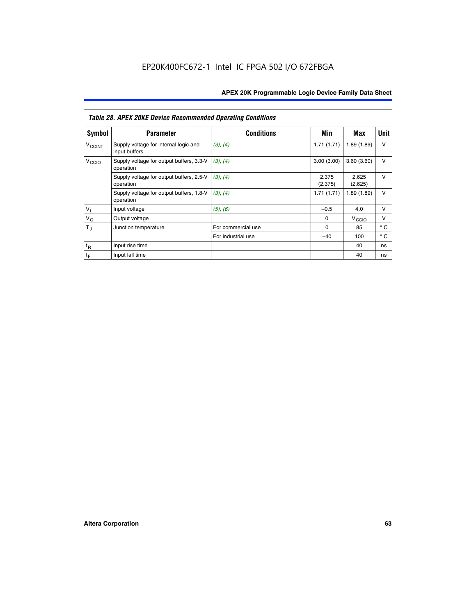|                             | <b>Table 28. APEX 20KE Device Recommended Operating Conditions</b> |                    |                  |                   |              |  |  |  |
|-----------------------------|--------------------------------------------------------------------|--------------------|------------------|-------------------|--------------|--|--|--|
| <b>Symbol</b>               | <b>Parameter</b>                                                   | <b>Conditions</b>  | Min              | Max               | <b>Unit</b>  |  |  |  |
| <b>V<sub>CCINT</sub></b>    | Supply voltage for internal logic and<br>input buffers             | (3), (4)           | 1.71(1.71)       | 1.89(1.89)        | $\vee$       |  |  |  |
| V <sub>CCIO</sub>           | Supply voltage for output buffers, 3.3-V<br>operation              | (3), (4)           | 3.00(3.00)       | 3.60(3.60)        | $\vee$       |  |  |  |
|                             | Supply voltage for output buffers, 2.5-V<br>operation              | (3), (4)           | 2.375<br>(2.375) | 2.625<br>(2.625)  | $\vee$       |  |  |  |
|                             | Supply voltage for output buffers, 1.8-V<br>operation              | (3), (4)           | 1.71(1.71)       | 1.89(1.89)        | $\vee$       |  |  |  |
| $V_1$                       | Input voltage                                                      | (5), (6)           | $-0.5$           | 4.0               | $\vee$       |  |  |  |
| $V_{\rm O}$                 | Output voltage                                                     |                    | $\Omega$         | V <sub>CCIO</sub> | v            |  |  |  |
| $T_{\rm J}$                 | Junction temperature                                               | For commercial use | $\Omega$         | 85                | $^{\circ}$ C |  |  |  |
|                             |                                                                    | For industrial use | $-40$            | 100               | $^{\circ}$ C |  |  |  |
| $t_{R}$                     | Input rise time                                                    |                    |                  | 40                | ns           |  |  |  |
| $\mathfrak{t}_{\mathsf{F}}$ | Input fall time                                                    |                    |                  | 40                | ns           |  |  |  |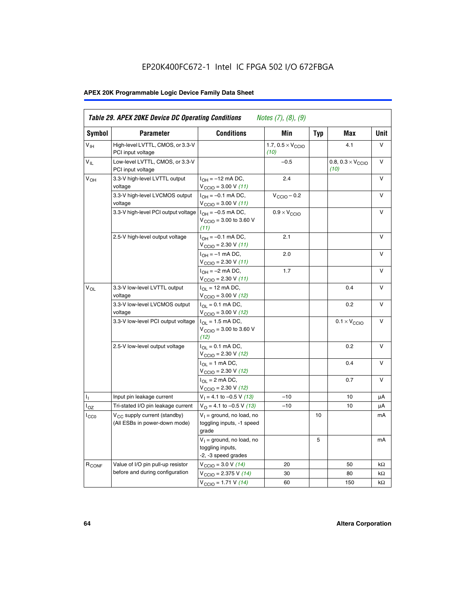# EP20K400FC672-1 Intel IC FPGA 502 I/O 672FBGA

# **APEX 20K Programmable Logic Device Family Data Sheet**

| Symbol            | <b>Parameter</b>                                                   | <b>Conditions</b>                                                                    | Min                                       | Typ | Max                                       | Unit   |
|-------------------|--------------------------------------------------------------------|--------------------------------------------------------------------------------------|-------------------------------------------|-----|-------------------------------------------|--------|
| $V_{\text{H}}$    | High-level LVTTL, CMOS, or 3.3-V<br>PCI input voltage              |                                                                                      | 1.7, $0.5 \times V_{\text{CCIO}}$<br>(10) |     | 4.1                                       | V      |
| $V_{IL}$          | Low-level LVTTL, CMOS, or 3.3-V<br>PCI input voltage               |                                                                                      | $-0.5$                                    |     | 0.8, $0.3 \times V_{\text{CCIO}}$<br>(10) | v      |
| V <sub>OH</sub>   | 3.3-V high-level LVTTL output<br>voltage                           | $I_{OH} = -12$ mA DC,<br>$V_{\text{CCIO}} = 3.00 V (11)$                             | 2.4                                       |     |                                           | $\vee$ |
|                   | 3.3-V high-level LVCMOS output<br>voltage                          | $I_{OH} = -0.1$ mA DC,<br>$V_{\text{CCIO}} = 3.00 V (11)$                            | $V_{\text{CCIO}} - 0.2$                   |     |                                           | v      |
|                   | 3.3-V high-level PCI output voltage $ I_{OH} = -0.5$ mA DC,        | $V_{CGIO} = 3.00$ to 3.60 V<br>(11)                                                  | $0.9 \times V_{\text{CCIO}}$              |     |                                           | $\vee$ |
|                   | 2.5-V high-level output voltage                                    | $I_{OH} = -0.1$ mA DC,<br>$V_{\text{CCIO}} = 2.30 V (11)$                            | 2.1                                       |     |                                           | V      |
|                   |                                                                    | $I_{OH} = -1$ mA DC,<br>$V_{\text{CCIO}} = 2.30 V (11)$                              | 2.0                                       |     |                                           | $\vee$ |
|                   |                                                                    | $I_{OH} = -2$ mA DC,<br>$V_{\text{CCIO}}$ = 2.30 V (11)                              | 1.7                                       |     |                                           | $\vee$ |
| $V_{OL}$          | 3.3-V low-level LVTTL output<br>voltage                            | $I_{\Omega I}$ = 12 mA DC,<br>$V_{\text{CCIO}} = 3.00 V (12)$                        |                                           |     | 0.4                                       | v      |
|                   | 3.3-V low-level LVCMOS output<br>voltage                           | $I_{\text{OL}} = 0.1 \text{ mA DC}$ ,<br>$V_{\text{CCIO}} = 3.00 V (12)$             |                                           |     | 0.2                                       | $\vee$ |
|                   | 3.3-V low-level PCI output voltage                                 | $I_{OL}$ = 1.5 mA DC,<br>$V_{\text{CCIO}} = 3.00 \text{ to } 3.60 \text{ V}$<br>(12) |                                           |     | $0.1 \times V_{\text{CCIO}}$              | v      |
|                   | 2.5-V low-level output voltage                                     | $I_{\Omega} = 0.1$ mA DC,<br>$V_{\text{CCIO}}$ = 2.30 V (12)                         |                                           |     | 0.2                                       | $\vee$ |
|                   |                                                                    | $I_{\Omega I}$ = 1 mA DC,<br>$V_{\text{CCIO}} = 2.30 V (12)$                         |                                           |     | 0.4                                       | $\vee$ |
|                   |                                                                    | $I_{OL}$ = 2 mA DC,<br>$V_{\text{CCIO}} = 2.30 V (12)$                               |                                           |     | 0.7                                       | $\vee$ |
| Τ,                | Input pin leakage current                                          | $V_1 = 4.1$ to -0.5 V (13)                                                           | $-10$                                     |     | 10                                        | μA     |
| l <sub>OZ</sub>   | Tri-stated I/O pin leakage current                                 | $V_{\Omega}$ = 4.1 to -0.5 V (13)                                                    | $-10$                                     |     | 10                                        | μA     |
| $_{\rm l_{CC0}}$  | $V_{CC}$ supply current (standby)<br>(All ESBs in power-down mode) | $V_1$ = ground, no load, no<br>toggling inputs, -1 speed<br>grade                    |                                           | 10  |                                           | mA     |
|                   |                                                                    | $V_1$ = ground, no load, no<br>toggling inputs,<br>-2, -3 speed grades               |                                           | 5   |                                           | mA     |
| R <sub>CONF</sub> | Value of I/O pin pull-up resistor                                  | $V_{\text{CCIO}} = 3.0 V (14)$                                                       | 20                                        |     | 50                                        | kΩ     |
|                   | before and during configuration                                    | $V_{\text{CCIO}} = 2.375 V (14)$                                                     | 30                                        |     | 80                                        | kΩ     |
|                   |                                                                    | $V_{\text{CCIO}} = 1.71 V (14)$                                                      | 60                                        |     | 150                                       | kΩ     |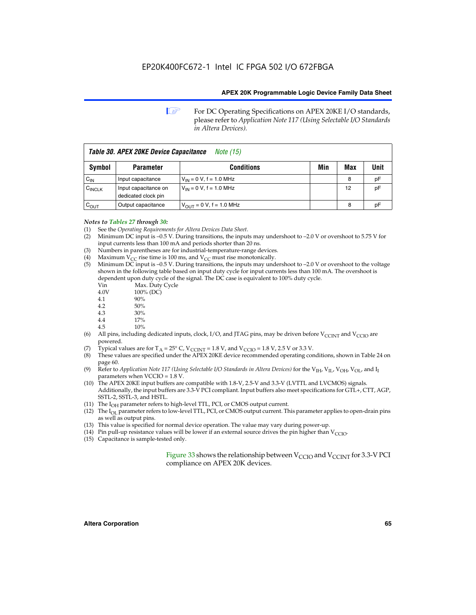**1 For DC Operating Specifications on APEX 20KE I/O standards,** please refer to *Application Note 117 (Using Selectable I/O Standards in Altera Devices).*

| Table 30. APEX 20KE Device Capacitance<br><i>Note (15)</i> |                                             |                                |     |     |      |  |
|------------------------------------------------------------|---------------------------------------------|--------------------------------|-----|-----|------|--|
| Symbol                                                     | <b>Parameter</b>                            | <b>Conditions</b>              | Min | Max | Unit |  |
| $C_{IN}$                                                   | Input capacitance                           | $V_{IN} = 0 V$ , f = 1.0 MHz   |     | 8   | рF   |  |
| $C_{\text{INCLK}}$                                         | Input capacitance on<br>dedicated clock pin | $V_{IN} = 0 V$ , f = 1.0 MHz   |     | 12  | pF   |  |
| $C_{OUT}$                                                  | Output capacitance                          | $V_{OUIT} = 0 V$ , f = 1.0 MHz |     | 8   | рF   |  |

- *Notes to Tables 27 through 30:* (1) See the *Operating Requirements for Altera Devices Data Sheet*.
- (2) Minimum DC input is –0.5 V. During transitions, the inputs may undershoot to –2.0 V or overshoot to 5.75 V for input currents less than 100 mA and periods shorter than 20 ns.
- (3) Numbers in parentheses are for industrial-temperature-range devices.
- (4) Maximum  $V_{CC}$  rise time is 100 ms, and  $V_{CC}$  must rise monotonically.<br>(5) Minimum DC input is -0.5 V. During transitions, the inputs may und
- Minimum DC input is  $-0.5$  V. During transitions, the inputs may undershoot to  $-2.0$  V or overshoot to the voltage shown in the following table based on input duty cycle for input currents less than 100 mA. The overshoot is dependent upon duty cycle of the signal. The DC case is equivalent to 100% duty cycle.

| Vin  | Max. Duty Cycle |
|------|-----------------|
| 4.0V | 100% (DC)       |
| 4.1  | 90%             |
| 4.2  | 50%             |
| 4.3  | 30%             |
| . .  |                 |

- 4.4  $17\%$ <br>4.5  $10\%$
- 10%
- (6) All pins, including dedicated inputs, clock, I/O, and JTAG pins, may be driven before  $V_{\text{CCINT}}$  and  $V_{\text{CCIO}}$  are powered.
- (7) Typical values are for  $T_A = 25^\circ$  C, V<sub>CCINT</sub> = 1.8 V, and V<sub>CCIO</sub> = 1.8 V, 2.5 V or 3.3 V.
- (8) These values are specified under the APEX 20KE device recommended operating conditions, shown in Table 24 on page 60.
- (9) Refer to *Application Note 117 (Using Selectable I/O Standards in Altera Devices)* for the V<sub>IH</sub>, V<sub>IL</sub>, V<sub>OH</sub>, V<sub>OL</sub>, and I<sub>I</sub> parameters when VCCIO = 1.8 V.
- (10) The APEX 20KE input buffers are compatible with 1.8-V, 2.5-V and 3.3-V (LVTTL and LVCMOS) signals. Additionally, the input buffers are 3.3-V PCI compliant. Input buffers also meet specifications for GTL+, CTT, AGP, SSTL-2, SSTL-3, and HSTL.
- (11) The  $I_{OH}$  parameter refers to high-level TTL, PCI, or CMOS output current.
- (12) The I<sub>OL</sub> parameter refers to low-level TTL, PCI, or CMOS output current. This parameter applies to open-drain pins as well as output pins.
- (13) This value is specified for normal device operation. The value may vary during power-up.
- (14) Pin pull-up resistance values will be lower if an external source drives the pin higher than  $V_{CCIO}$ .
- (15) Capacitance is sample-tested only.

Figure 33 shows the relationship between  $V_{\text{CCIO}}$  and  $V_{\text{CCINT}}$  for 3.3-V PCI compliance on APEX 20K devices.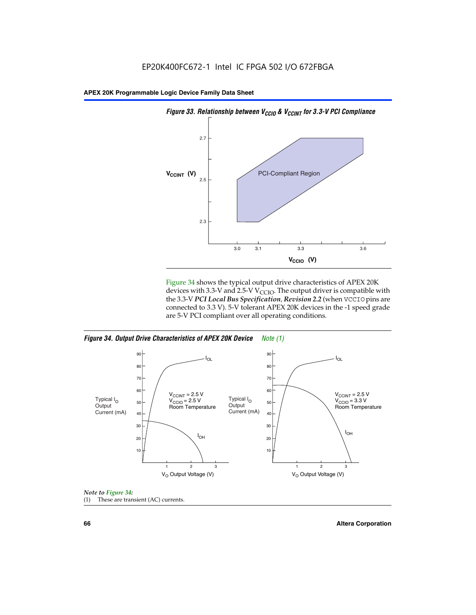

Figure 34 shows the typical output drive characteristics of APEX 20K devices with 3.3-V and 2.5-V V<sub>CCIO</sub>. The output driver is compatible with the 3.3-V *PCI Local Bus Specification, Revision 2.2* (when VCCIO pins are connected to 3.3 V). 5-V tolerant APEX 20K devices in the -1 speed grade are 5-V PCI compliant over all operating conditions.







**66 Altera Corporation**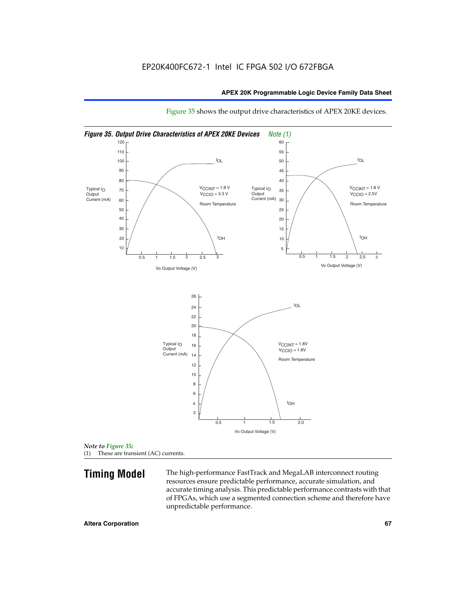

Figure 35 shows the output drive characteristics of APEX 20KE devices.

*Note to Figure 35:* (1) These are transient (AC) currents.

**Timing Model** The high-performance FastTrack and MegaLAB interconnect routing resources ensure predictable performance, accurate simulation, and accurate timing analysis. This predictable performance contrasts with that of FPGAs, which use a segmented connection scheme and therefore have unpredictable performance.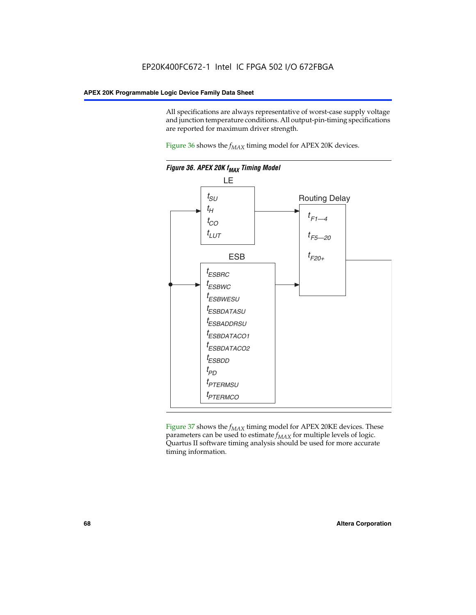All specifications are always representative of worst-case supply voltage and junction temperature conditions. All output-pin-timing specifications are reported for maximum driver strength.

Figure  $36$  shows the  $f_{MAX}$  timing model for APEX 20K devices.



Figure 37 shows the  $f_{MAX}$  timing model for APEX 20KE devices. These parameters can be used to estimate  $f_{MAX}$  for multiple levels of logic. Quartus II software timing analysis should be used for more accurate timing information.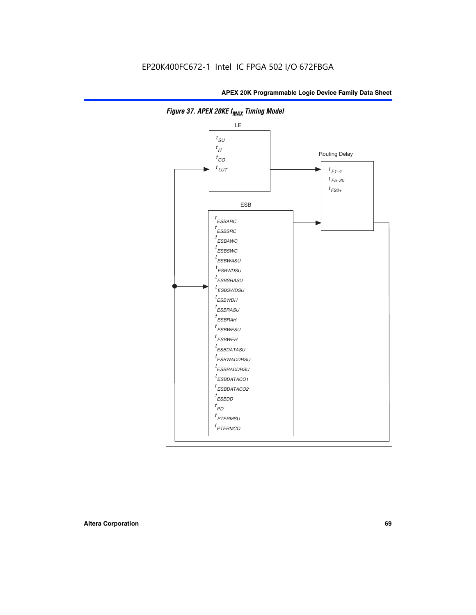

**Figure 37. APEX 20KE f<sub>MAX</sub> Timing Model**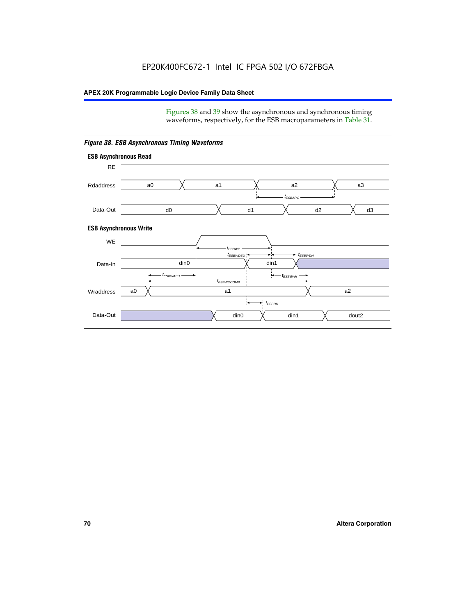Figures 38 and 39 show the asynchronous and synchronous timing waveforms, respectively, for the ESB macroparameters in Table 31.



*Figure 38. ESB Asynchronous Timing Waveforms*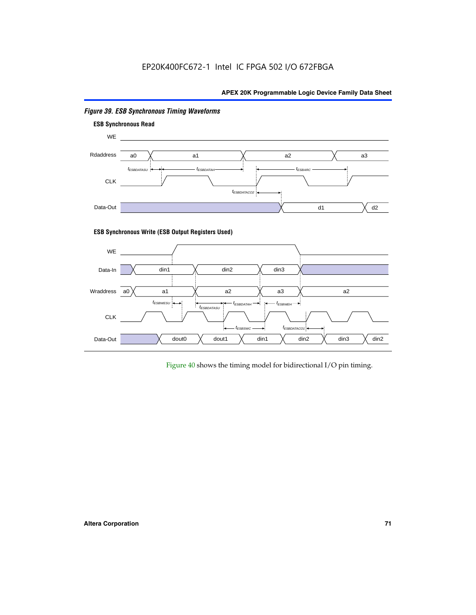

# *Figure 39. ESB Synchronous Timing Waveforms*

# **ESB Synchronous Write (ESB Output Registers Used)**



Figure 40 shows the timing model for bidirectional I/O pin timing.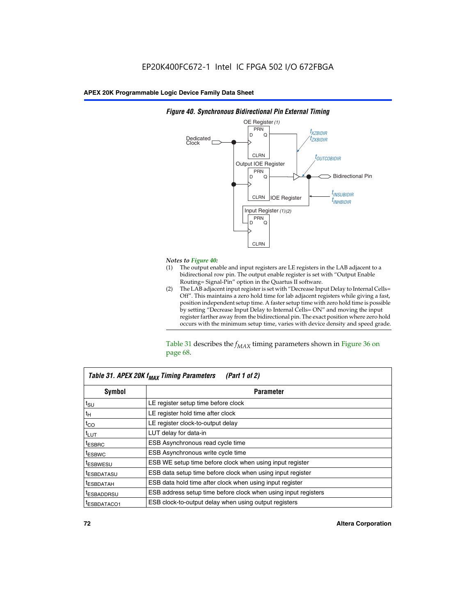

## *Figure 40. Synchronous Bidirectional Pin External Timing*

# *Notes to Figure 40:*

- The output enable and input registers are LE registers in the LAB adjacent to a bidirectional row pin. The output enable register is set with "Output Enable Routing= Signal-Pin" option in the Quartus II software.
- (2) The LAB adjacent input register is set with "Decrease Input Delay to Internal Cells= Off". This maintains a zero hold time for lab adjacent registers while giving a fast, position independent setup time. A faster setup time with zero hold time is possible by setting "Decrease Input Delay to Internal Cells= ON" and moving the input register farther away from the bidirectional pin. The exact position where zero hold occurs with the minimum setup time, varies with device density and speed grade.

Table 31 describes the  $f_{MAX}$  timing parameters shown in Figure 36 on page 68.

| Table 31. APEX 20K f <sub>MAX</sub> Timing Parameters<br>(Part 1 of 2) |                                                                |  |  |  |  |
|------------------------------------------------------------------------|----------------------------------------------------------------|--|--|--|--|
| Symbol                                                                 | <b>Parameter</b>                                               |  |  |  |  |
| $t_{\text{SU}}$                                                        | LE register setup time before clock                            |  |  |  |  |
| $t_H$                                                                  | LE register hold time after clock                              |  |  |  |  |
| $t_{CO}$                                                               | LE register clock-to-output delay                              |  |  |  |  |
| t <sub>LUT</sub>                                                       | LUT delay for data-in                                          |  |  |  |  |
| <sup>t</sup> ESBRC                                                     | ESB Asynchronous read cycle time                               |  |  |  |  |
| <sup>t</sup> ESBWC                                                     | ESB Asynchronous write cycle time                              |  |  |  |  |
| <sup>t</sup> ESBWESU                                                   | ESB WE setup time before clock when using input register       |  |  |  |  |
| <sup>t</sup> ESBDATASU                                                 | ESB data setup time before clock when using input register     |  |  |  |  |
| <sup>t</sup> ESBDATAH                                                  | ESB data hold time after clock when using input register       |  |  |  |  |
| <sup>t</sup> ESBADDRSU                                                 | ESB address setup time before clock when using input registers |  |  |  |  |
| ESBDATACO1                                                             | ESB clock-to-output delay when using output registers          |  |  |  |  |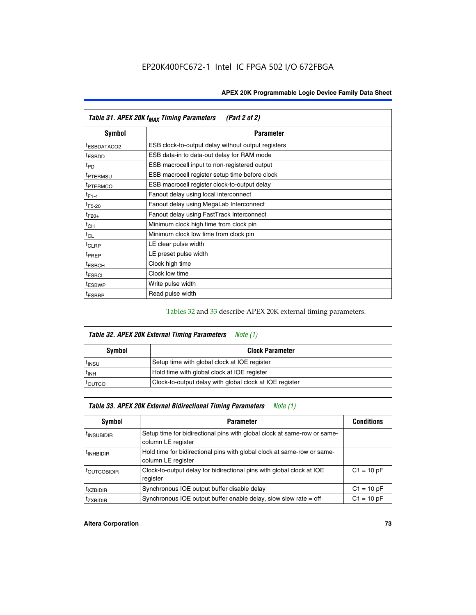| Table 31. APEX 20K f <sub>MAX</sub> Timing Parameters<br>(Part 2 of 2) |                                                    |  |  |  |  |
|------------------------------------------------------------------------|----------------------------------------------------|--|--|--|--|
| Symbol                                                                 | <b>Parameter</b>                                   |  |  |  |  |
| <sup>t</sup> ESBDATACO2                                                | ESB clock-to-output delay without output registers |  |  |  |  |
| <sup>t</sup> ESBDD                                                     | ESB data-in to data-out delay for RAM mode         |  |  |  |  |
| t <sub>PD</sub>                                                        | ESB macrocell input to non-registered output       |  |  |  |  |
| <sup>t</sup> PTERMSU                                                   | ESB macrocell register setup time before clock     |  |  |  |  |
| <sup>t</sup> PTERMCO                                                   | ESB macrocell register clock-to-output delay       |  |  |  |  |
| $t_{F1-4}$                                                             | Fanout delay using local interconnect              |  |  |  |  |
| $t_{F5-20}$                                                            | Fanout delay using MegaLab Interconnect            |  |  |  |  |
| $t_{F20+}$                                                             | Fanout delay using FastTrack Interconnect          |  |  |  |  |
| $t_{CH}$                                                               | Minimum clock high time from clock pin             |  |  |  |  |
| $t_{CL}$                                                               | Minimum clock low time from clock pin              |  |  |  |  |
| $t_{CLRP}$                                                             | LE clear pulse width                               |  |  |  |  |
| t <sub>PREP</sub>                                                      | LE preset pulse width                              |  |  |  |  |
| <sup>t</sup> ESBCH                                                     | Clock high time                                    |  |  |  |  |
| <sup>t</sup> ESBCL                                                     | Clock low time                                     |  |  |  |  |
| <sup>t</sup> ESBWP                                                     | Write pulse width                                  |  |  |  |  |
| <sup>t</sup> ESBRP                                                     | Read pulse width                                   |  |  |  |  |

## Tables 32 and 33 describe APEX 20K external timing parameters.

| Table 32. APEX 20K External Timing Parameters<br>Note (1) |                                                         |  |  |  |  |
|-----------------------------------------------------------|---------------------------------------------------------|--|--|--|--|
| Symbol                                                    | <b>Clock Parameter</b>                                  |  |  |  |  |
| <sup>t</sup> insu                                         | Setup time with global clock at IOE register            |  |  |  |  |
| $t_{\mathsf{INH}}$                                        | Hold time with global clock at IOE register             |  |  |  |  |
| toutco                                                    | Clock-to-output delay with global clock at IOE register |  |  |  |  |

| Table 33. APEX 20K External Bidirectional Timing Parameters<br>Note (1) |                                                                                                |              |  |  |  |
|-------------------------------------------------------------------------|------------------------------------------------------------------------------------------------|--------------|--|--|--|
| Symbol<br><b>Conditions</b><br><b>Parameter</b>                         |                                                                                                |              |  |  |  |
| <sup>I</sup> INSUBIDIR                                                  | Setup time for bidirectional pins with global clock at same-row or same-<br>column LE register |              |  |  |  |
| <sup>t</sup> INHBIDIR                                                   | Hold time for bidirectional pins with global clock at same-row or same-<br>column LE register  |              |  |  |  |
| <sup>t</sup> OUTCOBIDIR                                                 | Clock-to-output delay for bidirectional pins with global clock at IOE<br>register              | $C1 = 10 pF$ |  |  |  |
| <sup>T</sup> XZBIDIR                                                    | Synchronous IOE output buffer disable delay                                                    | $C1 = 10 pF$ |  |  |  |
| <sup>I</sup> ZXBIDIR                                                    | Synchronous IOE output buffer enable delay, slow slew rate $=$ off                             | $C1 = 10 pF$ |  |  |  |

### **Altera Corporation 73**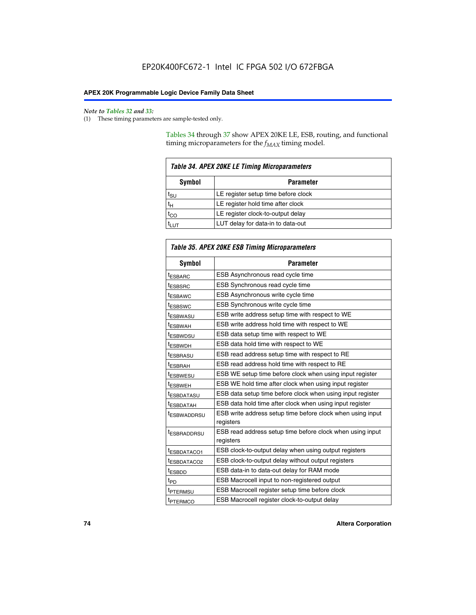**F** 

#### *Note to Tables 32 and 33:*

(1) These timing parameters are sample-tested only.

Tables 34 through 37 show APEX 20KE LE, ESB, routing, and functional timing microparameters for the  $f_{MAX}$  timing model.

| <b>Table 34. APEX 20KE LE Timing Microparameters</b> |                                     |  |  |  |
|------------------------------------------------------|-------------------------------------|--|--|--|
| Symbol<br><b>Parameter</b>                           |                                     |  |  |  |
| t <sub>SU</sub>                                      | LE register setup time before clock |  |  |  |
| $t_H$                                                | LE register hold time after clock   |  |  |  |
| $t_{CO}$                                             | LE register clock-to-output delay   |  |  |  |
| t <sub>LUT</sub>                                     | LUT delay for data-in to data-out   |  |  |  |

| Table 35. APEX 20KE ESB Timing Microparameters |                                                                        |  |  |  |
|------------------------------------------------|------------------------------------------------------------------------|--|--|--|
| Symbol                                         | <b>Parameter</b>                                                       |  |  |  |
| t <sub>ESBARC</sub>                            | ESB Asynchronous read cycle time                                       |  |  |  |
| <sup>t</sup> ESBSRC                            | <b>ESB Synchronous read cycle time</b>                                 |  |  |  |
| t <sub>ESBAWC</sub>                            | ESB Asynchronous write cycle time                                      |  |  |  |
| t <sub>ESBSWC</sub>                            | ESB Synchronous write cycle time                                       |  |  |  |
| tESBWASU                                       | ESB write address setup time with respect to WE                        |  |  |  |
| <sup>t</sup> ESBWAH                            | ESB write address hold time with respect to WE                         |  |  |  |
| t <sub>ESBWDSU</sub>                           | ESB data setup time with respect to WE                                 |  |  |  |
| <sup>t</sup> ESBWDH                            | ESB data hold time with respect to WE                                  |  |  |  |
| tESBRASU                                       | ESB read address setup time with respect to RE                         |  |  |  |
| t <sub>ESBRAH</sub>                            | ESB read address hold time with respect to RE                          |  |  |  |
| <sup>t</sup> ESBWESU                           | ESB WE setup time before clock when using input register               |  |  |  |
| <sup>t</sup> ESBWEH                            | ESB WE hold time after clock when using input register                 |  |  |  |
| <sup>t</sup> ESBDATASU                         | ESB data setup time before clock when using input register             |  |  |  |
| t <sub>ESBDATAH</sub>                          | ESB data hold time after clock when using input register               |  |  |  |
| <sup>t</sup> ESBWADDRSU                        | ESB write address setup time before clock when using input             |  |  |  |
|                                                | registers                                                              |  |  |  |
| tESBRADDRSU                                    | ESB read address setup time before clock when using input<br>registers |  |  |  |
| t <sub>ESBDATACO1</sub>                        | ESB clock-to-output delay when using output registers                  |  |  |  |
| t <sub>ESBDATACO2</sub>                        | ESB clock-to-output delay without output registers                     |  |  |  |
| $t_{ESBDD}$                                    | ESB data-in to data-out delay for RAM mode                             |  |  |  |
| $t_{PD}$                                       | ESB Macrocell input to non-registered output                           |  |  |  |
| t <sub>PTERMSU</sub>                           | ESB Macrocell register setup time before clock                         |  |  |  |
| t <sub>PTERMCO</sub>                           | ESB Macrocell register clock-to-output delay                           |  |  |  |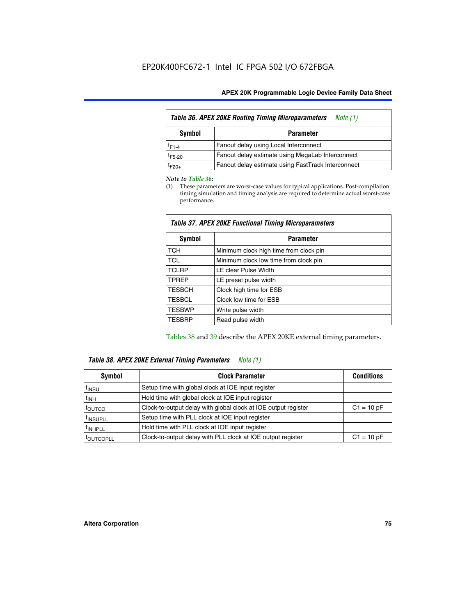| Table 36. APEX 20KE Routing Timing Microparameters<br>Note (1) |                                                    |  |  |  |  |
|----------------------------------------------------------------|----------------------------------------------------|--|--|--|--|
| Symbol<br><b>Parameter</b>                                     |                                                    |  |  |  |  |
| $t_{F1-4}$                                                     | Fanout delay using Local Interconnect              |  |  |  |  |
| $t_{F5-20}$                                                    | Fanout delay estimate using MegaLab Interconnect   |  |  |  |  |
| t <sub>F20+</sub>                                              | Fanout delay estimate using FastTrack Interconnect |  |  |  |  |

#### *Note to Table 36:*

(1) These parameters are worst-case values for typical applications. Post-compilation timing simulation and timing analysis are required to determine actual worst-case performance.

| Symbol        | <b>Parameter</b>                       |  |  |  |  |  |
|---------------|----------------------------------------|--|--|--|--|--|
| <b>TCH</b>    | Minimum clock high time from clock pin |  |  |  |  |  |
| <b>TCL</b>    | Minimum clock low time from clock pin  |  |  |  |  |  |
| <b>TCLRP</b>  | LE clear Pulse Width                   |  |  |  |  |  |
| <b>TPREP</b>  | LE preset pulse width                  |  |  |  |  |  |
| <b>TESBCH</b> | Clock high time for ESB                |  |  |  |  |  |
| <b>TESBCL</b> | Clock low time for ESB                 |  |  |  |  |  |
| <b>TESBWP</b> | Write pulse width                      |  |  |  |  |  |
| <b>TESBRP</b> | Read pulse width                       |  |  |  |  |  |

## *Table 37. APEX 20KE Functional Timing Microparameters*

Tables 38 and 39 describe the APEX 20KE external timing parameters.

| Table 38. APEX 20KE External Timing Parameters<br>Note (1) |                                                                |              |  |  |  |
|------------------------------------------------------------|----------------------------------------------------------------|--------------|--|--|--|
| <b>Clock Parameter</b><br>Symbol<br><b>Conditions</b>      |                                                                |              |  |  |  |
| <sup>t</sup> insu                                          | Setup time with global clock at IOE input register             |              |  |  |  |
| $t_{\text{INH}}$                                           | Hold time with global clock at IOE input register              |              |  |  |  |
| toutco                                                     | Clock-to-output delay with global clock at IOE output register | $C1 = 10 pF$ |  |  |  |
| <sup>t</sup> INSUPLL                                       | Setup time with PLL clock at IOE input register                |              |  |  |  |
| <sup>t</sup> INHPLL                                        | Hold time with PLL clock at IOE input register                 |              |  |  |  |
| <sup>I</sup> OUTCOPLL                                      | Clock-to-output delay with PLL clock at IOE output register    | $C1 = 10 pF$ |  |  |  |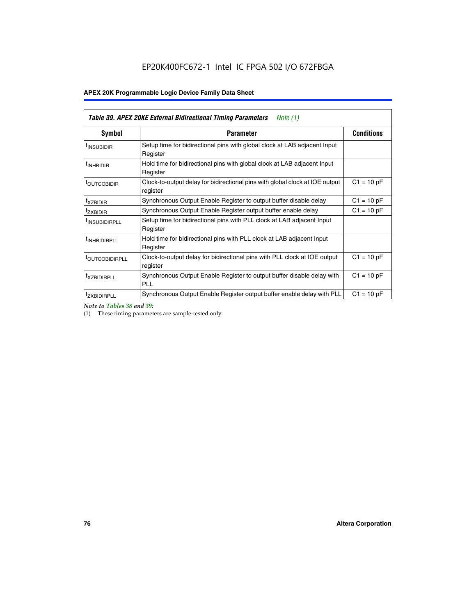| Table 39. APEX 20KE External Bidirectional Timing Parameters<br>Note $(1)$ |                                                                                                          |              |  |  |  |  |  |  |
|----------------------------------------------------------------------------|----------------------------------------------------------------------------------------------------------|--------------|--|--|--|--|--|--|
| Symbol                                                                     | <b>Conditions</b><br><b>Parameter</b>                                                                    |              |  |  |  |  |  |  |
| <sup>t</sup> INSUBIDIR                                                     | Setup time for bidirectional pins with global clock at LAB adjacent Input<br>Register                    |              |  |  |  |  |  |  |
| <sup>t</sup> INHBIDIR                                                      | Hold time for bidirectional pins with global clock at LAB adjacent Input<br>Register                     |              |  |  |  |  |  |  |
| <b><i>LOUTCOBIDIR</i></b>                                                  | $C1 = 10 pF$<br>Clock-to-output delay for bidirectional pins with global clock at IOE output<br>register |              |  |  |  |  |  |  |
| t <sub>XZBIDIR</sub>                                                       | $C1 = 10 pF$<br>Synchronous Output Enable Register to output buffer disable delay                        |              |  |  |  |  |  |  |
| <sup>t</sup> zxbidir                                                       | Synchronous Output Enable Register output buffer enable delay                                            | $C1 = 10 pF$ |  |  |  |  |  |  |
| <sup>I</sup> INSUBIDIRPLL                                                  | Setup time for bidirectional pins with PLL clock at LAB adjacent Input<br>Register                       |              |  |  |  |  |  |  |
| <sup>t</sup> INHBIDIRPLL                                                   | Hold time for bidirectional pins with PLL clock at LAB adjacent Input<br>Register                        |              |  |  |  |  |  |  |
| <b><i>LOUTCOBIDIRPLL</i></b>                                               | Clock-to-output delay for bidirectional pins with PLL clock at IOE output<br>register                    | $C1 = 10 pF$ |  |  |  |  |  |  |
| <sup>t</sup> XZBIDIRPLL                                                    | Synchronous Output Enable Register to output buffer disable delay with<br><b>PLL</b>                     | $C1 = 10 pF$ |  |  |  |  |  |  |
| <sup>I</sup> ZXBIDIRPLL                                                    | Synchronous Output Enable Register output buffer enable delay with PLL                                   | $C1 = 10 pF$ |  |  |  |  |  |  |

*Note to Tables 38 and 39:*

(1) These timing parameters are sample-tested only.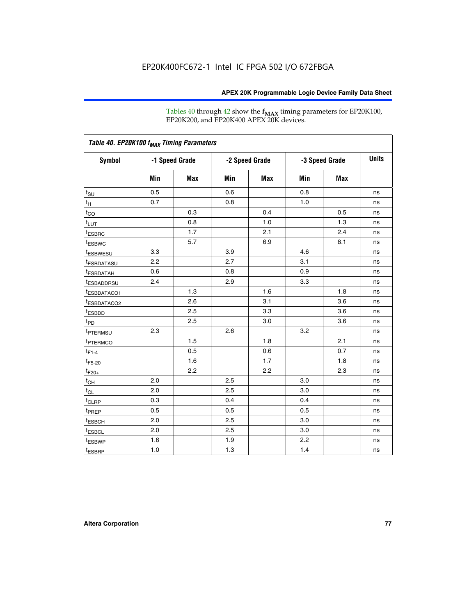Tables 40 through 42 show the **f<sub>MAX</sub>** timing parameters for EP20K100, EP20K200, and EP20K400 APEX 20K devices.

| Table 40. EP20K100 f <sub>MAX</sub> Timing Parameters |                |     |                |     |                |     |              |
|-------------------------------------------------------|----------------|-----|----------------|-----|----------------|-----|--------------|
| <b>Symbol</b>                                         | -1 Speed Grade |     | -2 Speed Grade |     | -3 Speed Grade |     | <b>Units</b> |
|                                                       | Min            | Max | Min            | Max | Min            | Max |              |
| $t_{\text{SU}}$                                       | 0.5            |     | 0.6            |     | 0.8            |     | ns           |
| $t_H$                                                 | 0.7            |     | 0.8            |     | 1.0            |     | ns           |
| $t_{CO}$                                              |                | 0.3 |                | 0.4 |                | 0.5 | ns           |
| $t_{LUT}$                                             |                | 0.8 |                | 1.0 |                | 1.3 | ns           |
| <sup>t</sup> ESBRC                                    |                | 1.7 |                | 2.1 |                | 2.4 | ns           |
| t <sub>ESBWC</sub>                                    |                | 5.7 |                | 6.9 |                | 8.1 | ns           |
| t <sub>ESBWESU</sub>                                  | 3.3            |     | 3.9            |     | 4.6            |     | ns           |
| <sup>t</sup> ESBDATASU                                | 2.2            |     | 2.7            |     | 3.1            |     | ns           |
| t <sub>ESBDATAH</sub>                                 | 0.6            |     | 0.8            |     | 0.9            |     | ns           |
| <sup>t</sup> ESBADDRSU                                | 2.4            |     | 2.9            |     | 3.3            |     | ns           |
| t <sub>ESBDATACO1</sub>                               |                | 1.3 |                | 1.6 |                | 1.8 | ns           |
| t <sub>ESBDATACO2</sub>                               |                | 2.6 |                | 3.1 |                | 3.6 | ns           |
| t <sub>ESBDD</sub>                                    |                | 2.5 |                | 3.3 |                | 3.6 | ns           |
| t <sub>PD</sub>                                       |                | 2.5 |                | 3.0 |                | 3.6 | ns           |
| <sup>t</sup> PTERMSU                                  | 2.3            |     | 2.6            |     | 3.2            |     | ns           |
| t <sub>PTERMCO</sub>                                  |                | 1.5 |                | 1.8 |                | 2.1 | ns           |
| $t_{F1-4}$                                            |                | 0.5 |                | 0.6 |                | 0.7 | ns           |
| $t_{F5-20}$                                           |                | 1.6 |                | 1.7 |                | 1.8 | ns           |
| $t_{F20+}$                                            |                | 2.2 |                | 2.2 |                | 2.3 | ns           |
| $t_{\mathsf{CH}}$                                     | 2.0            |     | 2.5            |     | 3.0            |     | ns           |
| $t_{CL}$                                              | 2.0            |     | 2.5            |     | 3.0            |     | ns           |
| t <sub>CLRP</sub>                                     | 0.3            |     | 0.4            |     | 0.4            |     | ns           |
| t <sub>PREP</sub>                                     | 0.5            |     | 0.5            |     | 0.5            |     | ns           |
| t <sub>ESBCH</sub>                                    | 2.0            |     | 2.5            |     | 3.0            |     | ns           |
| t <sub>ESBCL</sub>                                    | 2.0            |     | 2.5            |     | 3.0            |     | ns           |
| t <sub>ESBWP</sub>                                    | 1.6            |     | 1.9            |     | 2.2            |     | ns           |
| $t_{ESBRP}$                                           | 1.0            |     | 1.3            |     | 1.4            |     | ns           |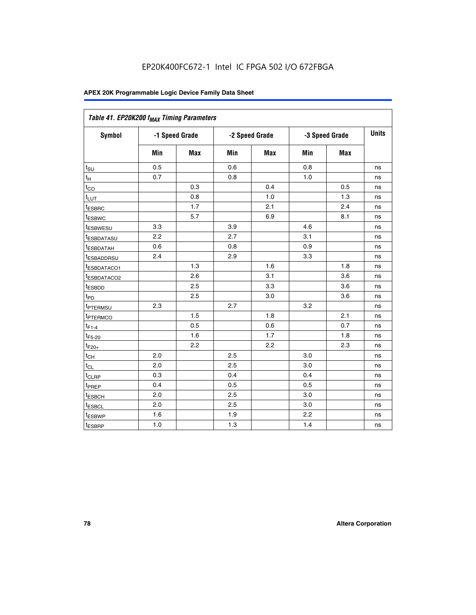| Table 41. EP20K200 f <sub>MAX</sub> Timing Parameters |                |     |     |                |     |                |    |
|-------------------------------------------------------|----------------|-----|-----|----------------|-----|----------------|----|
| Symbol                                                | -1 Speed Grade |     |     | -2 Speed Grade |     | -3 Speed Grade |    |
|                                                       | Min            | Max | Min | <b>Max</b>     | Min | Max            |    |
| $t_{\text{SU}}$                                       | 0.5            |     | 0.6 |                | 0.8 |                | ns |
| $t_H$                                                 | 0.7            |     | 0.8 |                | 1.0 |                | ns |
| $t_{CO}$                                              |                | 0.3 |     | 0.4            |     | 0.5            | ns |
| $t_{LUT}$                                             |                | 0.8 |     | 1.0            |     | 1.3            | ns |
| t <sub>ESBRC</sub>                                    |                | 1.7 |     | 2.1            |     | 2.4            | ns |
| t <sub>ESBWC</sub>                                    |                | 5.7 |     | 6.9            |     | 8.1            | ns |
| t <sub>ESBWESU</sub>                                  | 3.3            |     | 3.9 |                | 4.6 |                | ns |
| <sup>t</sup> ESBDATASU                                | 2.2            |     | 2.7 |                | 3.1 |                | ns |
| t <sub>ESBDATAH</sub>                                 | 0.6            |     | 0.8 |                | 0.9 |                | ns |
| t <sub>ESBADDRSU</sub>                                | 2.4            |     | 2.9 |                | 3.3 |                | ns |
| <u>t<sub>ESBDATACO1</sub></u>                         |                | 1.3 |     | 1.6            |     | 1.8            | ns |
| <sup>t</sup> ESBDATACO2                               |                | 2.6 |     | 3.1            |     | 3.6            | ns |
| t <sub>ESBDD</sub>                                    |                | 2.5 |     | 3.3            |     | 3.6            | ns |
| t <sub>PD</sub>                                       |                | 2.5 |     | 3.0            |     | 3.6            | ns |
| t <sub>PTERMSU</sub>                                  | 2.3            |     | 2.7 |                | 3.2 |                | ns |
| t <sub>PTERMCO</sub>                                  |                | 1.5 |     | 1.8            |     | 2.1            | ns |
| $t_{F1-4}$                                            |                | 0.5 |     | 0.6            |     | 0.7            | ns |
| $t_{F5-20}$                                           |                | 1.6 |     | 1.7            |     | 1.8            | ns |
| $t_{F20+}$                                            |                | 2.2 |     | 2.2            |     | 2.3            | ns |
| $\textnormal{t}_{\textnormal{CH}}$                    | 2.0            |     | 2.5 |                | 3.0 |                | ns |
| $t_{CL}$                                              | 2.0            |     | 2.5 |                | 3.0 |                | ns |
| t <sub>CLRP</sub>                                     | 0.3            |     | 0.4 |                | 0.4 |                | ns |
| t <sub>PREP</sub>                                     | 0.4            |     | 0.5 |                | 0.5 |                | ns |
| t <sub>ESBCH</sub>                                    | 2.0            |     | 2.5 |                | 3.0 |                | ns |
| t <sub>ESBCL</sub>                                    | 2.0            |     | 2.5 |                | 3.0 |                | ns |
| t <sub>ESBWP</sub>                                    | 1.6            |     | 1.9 |                | 2.2 |                | ns |
| t <sub>ESBRP</sub>                                    | 1.0            |     | 1.3 |                | 1.4 |                | ns |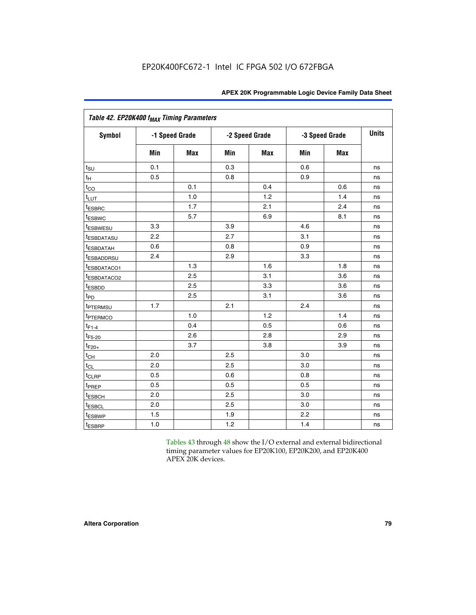|                         | Table 42. EP20K400 f <sub>MAX</sub> Timing Parameters |                |                |            |     |                |              |  |  |  |  |  |
|-------------------------|-------------------------------------------------------|----------------|----------------|------------|-----|----------------|--------------|--|--|--|--|--|
| <b>Symbol</b>           |                                                       | -1 Speed Grade | -2 Speed Grade |            |     | -3 Speed Grade | <b>Units</b> |  |  |  |  |  |
|                         | Min                                                   | <b>Max</b>     | Min            | <b>Max</b> | Min | <b>Max</b>     |              |  |  |  |  |  |
| $t_{\text{SU}}$         | 0.1                                                   |                | 0.3            |            | 0.6 |                | ns           |  |  |  |  |  |
| $t_H$                   | 0.5                                                   |                | 0.8            |            | 0.9 |                | ns           |  |  |  |  |  |
| $t_{CO}$                |                                                       | 0.1            |                | 0.4        |     | 0.6            | ns           |  |  |  |  |  |
| $t_{LUT}$               |                                                       | 1.0            |                | 1.2        |     | 1.4            | ns           |  |  |  |  |  |
| t <sub>ESBRC</sub>      |                                                       | 1.7            |                | 2.1        |     | 2.4            | ns           |  |  |  |  |  |
| <sup>t</sup> ESBWC      |                                                       | 5.7            |                | 6.9        |     | 8.1            | ns           |  |  |  |  |  |
| t <sub>ESBWESU</sub>    | 3.3                                                   |                | 3.9            |            | 4.6 |                | ns           |  |  |  |  |  |
| t <sub>ESBDATASU</sub>  | 2.2                                                   |                | 2.7            |            | 3.1 |                | ns           |  |  |  |  |  |
| <sup>t</sup> ESBDATAH   | 0.6                                                   |                | 0.8            |            | 0.9 |                | ns           |  |  |  |  |  |
| <sup>t</sup> ESBADDRSU  | 2.4                                                   |                | 2.9            |            | 3.3 |                | ns           |  |  |  |  |  |
| t <sub>ESBDATACO1</sub> |                                                       | 1.3            |                | 1.6        |     | 1.8            | ns           |  |  |  |  |  |
| t <sub>ESBDATACO2</sub> |                                                       | 2.5            |                | 3.1        |     | 3.6            | ns           |  |  |  |  |  |
| t <sub>ESBDD</sub>      |                                                       | 2.5            |                | 3.3        |     | 3.6            | ns           |  |  |  |  |  |
| t <sub>PD</sub>         |                                                       | 2.5            |                | 3.1        |     | 3.6            | ns           |  |  |  |  |  |
| t <sub>PTERMSU</sub>    | 1.7                                                   |                | 2.1            |            | 2.4 |                | ns           |  |  |  |  |  |
| t <sub>PTERMCO</sub>    |                                                       | 1.0            |                | 1.2        |     | 1.4            | ns           |  |  |  |  |  |
| $t_{F1-4}$              |                                                       | 0.4            |                | 0.5        |     | 0.6            | ns           |  |  |  |  |  |
| $t_{F5-20}$             |                                                       | 2.6            |                | 2.8        |     | 2.9            | ns           |  |  |  |  |  |
| $t_{F20+}$              |                                                       | 3.7            |                | 3.8        |     | 3.9            | ns           |  |  |  |  |  |
| $t_{\text{CH}}$         | 2.0                                                   |                | 2.5            |            | 3.0 |                | ns           |  |  |  |  |  |
| $t_{CL}$                | 2.0                                                   |                | 2.5            |            | 3.0 |                | ns           |  |  |  |  |  |
| t <sub>CLRP</sub>       | 0.5                                                   |                | 0.6            |            | 0.8 |                | ns           |  |  |  |  |  |
| t <sub>PREP</sub>       | 0.5                                                   |                | 0.5            |            | 0.5 |                | ns           |  |  |  |  |  |
| t <sub>ESBCH</sub>      | 2.0                                                   |                | 2.5            |            | 3.0 |                | ns           |  |  |  |  |  |
| t <sub>ESBCL</sub>      | 2.0                                                   |                | 2.5            |            | 3.0 |                | ns           |  |  |  |  |  |
| <sup>t</sup> ESBWP      | 1.5                                                   |                | 1.9            |            | 2.2 |                | ns           |  |  |  |  |  |
| t <sub>ESBRP</sub>      | 1.0                                                   |                | 1.2            |            | 1.4 |                | ns           |  |  |  |  |  |

Tables 43 through 48 show the I/O external and external bidirectional timing parameter values for EP20K100, EP20K200, and EP20K400 APEX 20K devices.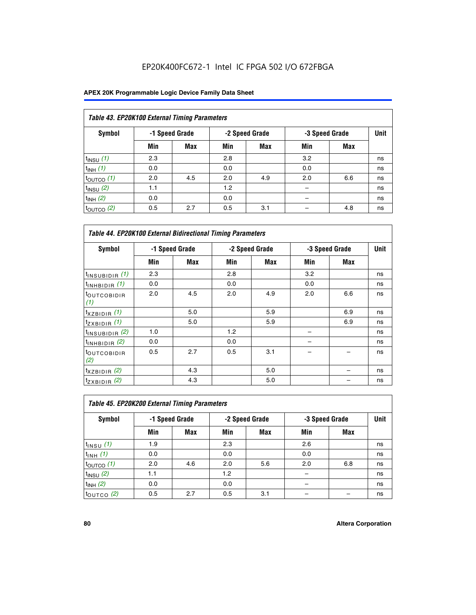## EP20K400FC672-1 Intel IC FPGA 502 I/O 672FBGA

| Table 43. EP20K100 External Timing Parameters |     |                |     |                |     |                |             |  |  |  |
|-----------------------------------------------|-----|----------------|-----|----------------|-----|----------------|-------------|--|--|--|
| Symbol                                        |     | -1 Speed Grade |     | -2 Speed Grade |     | -3 Speed Grade | <b>Unit</b> |  |  |  |
|                                               | Min | Max            | Min | <b>Max</b>     | Min | <b>Max</b>     |             |  |  |  |
| $t_{INSU}$ (1)                                | 2.3 |                | 2.8 |                | 3.2 |                | ns          |  |  |  |
| $t_{INH}$ (1)                                 | 0.0 |                | 0.0 |                | 0.0 |                | ns          |  |  |  |
| $t_{\text{OUTCO}}(1)$                         | 2.0 | 4.5            | 2.0 | 4.9            | 2.0 | 6.6            | ns          |  |  |  |
| $t_{INSU}(2)$                                 | 1.1 |                | 1.2 |                |     |                | ns          |  |  |  |
| $t_{INH}$ (2)                                 | 0.0 |                | 0.0 |                |     |                | ns          |  |  |  |
| $t_{\text{OUTCO}}$ (2)                        | 0.5 | 2.7            | 0.5 | 3.1            |     | 4.8            | ns          |  |  |  |

|                                | <b>Table 44. EP20K100 External Bidirectional Timing Parameters</b> |                |     |                |     |                |    |  |  |  |  |
|--------------------------------|--------------------------------------------------------------------|----------------|-----|----------------|-----|----------------|----|--|--|--|--|
| Symbol                         |                                                                    | -1 Speed Grade |     | -2 Speed Grade |     | -3 Speed Grade |    |  |  |  |  |
|                                | Min                                                                | Max            | Min | Max            | Min | Max            |    |  |  |  |  |
| $t_{\text{INSUBIDIR}}(1)$      | 2.3                                                                |                | 2.8 |                | 3.2 |                | ns |  |  |  |  |
| $t_{INHBIDIR}$ (1)             | 0.0                                                                |                | 0.0 |                | 0.0 |                | ns |  |  |  |  |
| <sup>t</sup> OUTCOBIDIR<br>(1) | 2.0                                                                | 4.5            | 2.0 | 4.9            | 2.0 | 6.6            | ns |  |  |  |  |
| $t_{XZBIDIR}$ (1)              |                                                                    | 5.0            |     | 5.9            |     | 6.9            | ns |  |  |  |  |
| $t_{ZXBIDIR}$ (1)              |                                                                    | 5.0            |     | 5.9            |     | 6.9            | ns |  |  |  |  |
| $t_{INSUBIDIR}$ (2)            | 1.0                                                                |                | 1.2 |                |     |                | ns |  |  |  |  |
| $t_{INHBIDIR}$ (2)             | 0.0                                                                |                | 0.0 |                |     |                | ns |  |  |  |  |
| <sup>t</sup> OUTCOBIDIR<br>(2) | 0.5                                                                | 2.7            | 0.5 | 3.1            |     |                | ns |  |  |  |  |
| $t_{XZBIDIR}$ (2)              |                                                                    | 4.3            |     | 5.0            |     |                | ns |  |  |  |  |
| $t_{ZXBIDIR}$ (2)              |                                                                    | 4.3            |     | 5.0            |     |                | ns |  |  |  |  |

| Table 45. EP20K200 External Timing Parameters |     |                |     |                |     |                |             |  |  |  |  |
|-----------------------------------------------|-----|----------------|-----|----------------|-----|----------------|-------------|--|--|--|--|
| Symbol                                        |     | -1 Speed Grade |     | -2 Speed Grade |     | -3 Speed Grade | <b>Unit</b> |  |  |  |  |
|                                               | Min | Max            | Min | <b>Max</b>     | Min | <b>Max</b>     |             |  |  |  |  |
| $t$ <sub>INSU</sub> $(1)$                     | 1.9 |                | 2.3 |                | 2.6 |                | ns          |  |  |  |  |
| $t_{INH}$ (1)                                 | 0.0 |                | 0.0 |                | 0.0 |                | ns          |  |  |  |  |
| $t_{\text{OUTCO}}(1)$                         | 2.0 | 4.6            | 2.0 | 5.6            | 2.0 | 6.8            | ns          |  |  |  |  |
| $t_{INSU}$ (2)                                | 1.1 |                | 1.2 |                |     |                | ns          |  |  |  |  |
| $t_{INH}$ (2)                                 | 0.0 |                | 0.0 |                |     |                | ns          |  |  |  |  |
| $t_{OUTCO}$ (2)                               | 0.5 | 2.7            | 0.5 | 3.1            |     |                | ns          |  |  |  |  |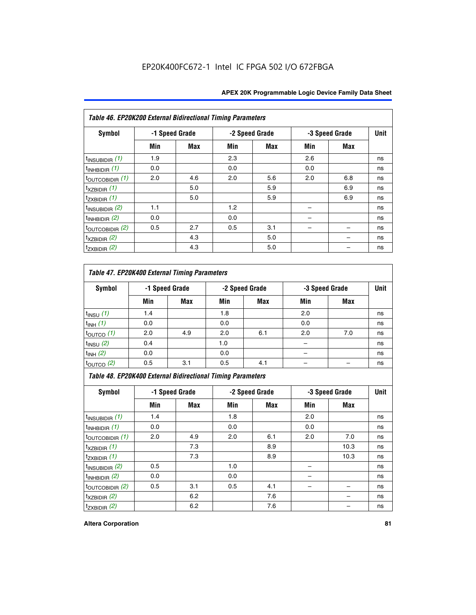| Table 46. EP20K200 External Bidirectional Timing Parameters |     |                |     |                |     |                |             |
|-------------------------------------------------------------|-----|----------------|-----|----------------|-----|----------------|-------------|
| Symbol                                                      |     | -1 Speed Grade |     | -2 Speed Grade |     | -3 Speed Grade | <b>Unit</b> |
|                                                             | Min | <b>Max</b>     | Min | Max            | Min | <b>Max</b>     |             |
| $t_{\text{INSUBIDIR}}(1)$                                   | 1.9 |                | 2.3 |                | 2.6 |                | ns          |
| $t_{INHBIDIR}$ (1)                                          | 0.0 |                | 0.0 |                | 0.0 |                | ns          |
| $t_{\text{OUTCOBIDIR}}(1)$                                  | 2.0 | 4.6            | 2.0 | 5.6            | 2.0 | 6.8            | ns          |
| $t_{XZBIDIR}$ (1)                                           |     | 5.0            |     | 5.9            |     | 6.9            | ns          |
| $t_{ZXBIDIR}$ (1)                                           |     | 5.0            |     | 5.9            |     | 6.9            | ns          |
| $t_{\text{INSUBIDIR}}(2)$                                   | 1.1 |                | 1.2 |                |     |                | ns          |
| $t_{INHBIDIR}$ (2)                                          | 0.0 |                | 0.0 |                |     |                | ns          |
| $t_{\text{OUTCOBIDIR}}(2)$                                  | 0.5 | 2.7            | 0.5 | 3.1            |     |                | ns          |
| $t_{XZBIDIR}$ $(2)$                                         |     | 4.3            |     | 5.0            |     |                | ns          |
| $t_{ZXBIDIR}$ (2)                                           |     | 4.3            |     | 5.0            |     |                | ns          |

## *Table 47. EP20K400 External Timing Parameters*

| Symbol                |     | -1 Speed Grade |     | -2 Speed Grade |     | -3 Speed Grade |    |  |
|-----------------------|-----|----------------|-----|----------------|-----|----------------|----|--|
|                       | Min | <b>Max</b>     | Min | <b>Max</b>     | Min | <b>Max</b>     |    |  |
| $t_{INSU}$ (1)        | 1.4 |                | 1.8 |                | 2.0 |                | ns |  |
| $t_{INH}$ (1)         | 0.0 |                | 0.0 |                | 0.0 |                | ns |  |
| $t_{\text{OUTCO}}(1)$ | 2.0 | 4.9            | 2.0 | 6.1            | 2.0 | 7.0            | ns |  |
| $t_{INSU}$ (2)        | 0.4 |                | 1.0 |                |     |                | ns |  |
| $t_{INH}$ (2)         | 0.0 |                | 0.0 |                | -   |                | ns |  |
| $t_{\text{OUTCO}}(2)$ | 0.5 | 3.1            | 0.5 | 4.1            |     |                | ns |  |

*Table 48. EP20K400 External Bidirectional Timing Parameters*

| Symbol                      | -1 Speed Grade |     | -2 Speed Grade |     |     | -3 Speed Grade | <b>Unit</b> |
|-----------------------------|----------------|-----|----------------|-----|-----|----------------|-------------|
|                             | Min            | Max | Min            | Max | Min | Max            |             |
| $t_{\text{INSUBIDIR}}(1)$   | 1.4            |     | 1.8            |     | 2.0 |                | ns          |
| $t_{INHBIDIR}$ (1)          | 0.0            |     | 0.0            |     | 0.0 |                | ns          |
| $t_{\text{OUTCOBIDIR}}(1)$  | 2.0            | 4.9 | 2.0            | 6.1 | 2.0 | 7.0            | ns          |
| $t_{XZBIDIR}$ (1)           |                | 7.3 |                | 8.9 |     | 10.3           | ns          |
| $t_{ZXBIDIR}$ (1)           |                | 7.3 |                | 8.9 |     | 10.3           | ns          |
| $t_{\text{INSUBIDIR}}(2)$   | 0.5            |     | 1.0            |     |     |                | ns          |
| $t_{INHBIDIR}$ (2)          | 0.0            |     | 0.0            |     |     |                | ns          |
| $t_{\text{OUTCOBIDIR}}$ (2) | 0.5            | 3.1 | 0.5            | 4.1 |     |                | ns          |
| $t_{XZBIDIR}$ (2)           |                | 6.2 |                | 7.6 |     |                | ns          |
| $t_{ZXBIDIR}$ (2)           |                | 6.2 |                | 7.6 |     |                | ns          |

#### **Altera Corporation 81**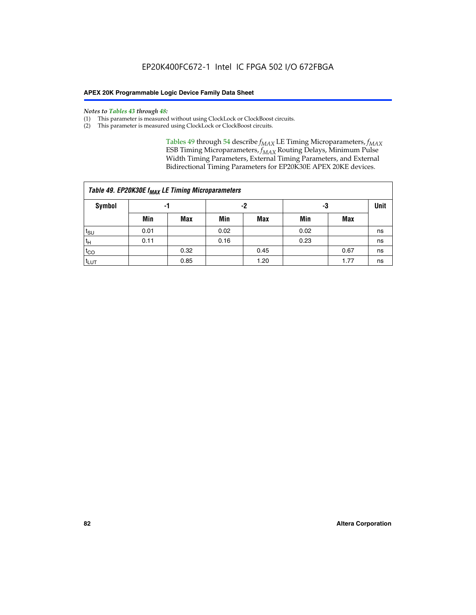#### *Notes to Tables 43 through 48:*

- (1) This parameter is measured without using ClockLock or ClockBoost circuits.
- (2) This parameter is measured using ClockLock or ClockBoost circuits.

Tables 49 through 54 describe  $f_{MAX}$  LE Timing Microparameters,  $f_{MAX}$ ESB Timing Microparameters, *f<sub>MAX</sub>* Routing Delays, Minimum Pulse Width Timing Parameters, External Timing Parameters, and External Bidirectional Timing Parameters for EP20K30E APEX 20KE devices.

|                 | Table 49. EP20K30E f <sub>MAX</sub> LE Timing Microparameters |      |      |            |      |      |    |  |  |  |  |  |
|-----------------|---------------------------------------------------------------|------|------|------------|------|------|----|--|--|--|--|--|
| <b>Symbol</b>   |                                                               | -1   |      | -2         | -3   |      |    |  |  |  |  |  |
|                 | Min                                                           | Max  | Min  | <b>Max</b> | Min  | Max  |    |  |  |  |  |  |
| $t_{\text{SU}}$ | 0.01                                                          |      | 0.02 |            | 0.02 |      | ns |  |  |  |  |  |
| $t_H$           | 0.11                                                          |      | 0.16 |            | 0.23 |      | ns |  |  |  |  |  |
| $t_{CO}$        |                                                               | 0.32 |      | 0.45       |      | 0.67 | ns |  |  |  |  |  |
| $t_{LUT}$       |                                                               | 0.85 |      | 1.20       |      | 1.77 | ns |  |  |  |  |  |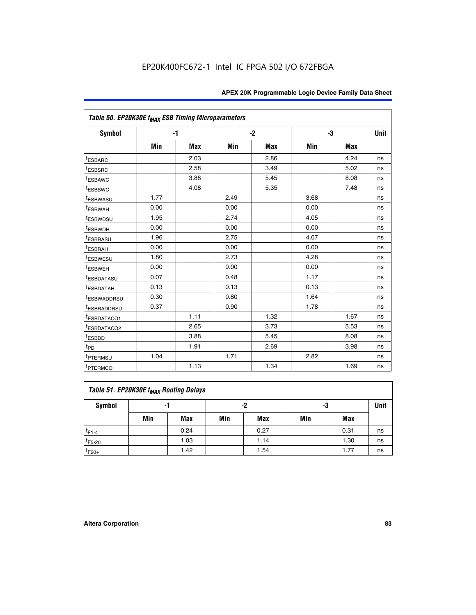| Table 50. EP20K30E f <sub>MAX</sub> ESB Timing Microparameters |      |      |      |            |      |            |             |
|----------------------------------------------------------------|------|------|------|------------|------|------------|-------------|
| <b>Symbol</b>                                                  |      | -1   |      | $-2$       |      | -3         | <b>Unit</b> |
|                                                                | Min  | Max  | Min  | <b>Max</b> | Min  | <b>Max</b> |             |
| <sup>t</sup> ESBARC                                            |      | 2.03 |      | 2.86       |      | 4.24       | ns          |
| <sup>t</sup> ESBSRC                                            |      | 2.58 |      | 3.49       |      | 5.02       | ns          |
| <sup>t</sup> ESBAWC                                            |      | 3.88 |      | 5.45       |      | 8.08       | ns          |
| t <sub>ESBSWC</sub>                                            |      | 4.08 |      | 5.35       |      | 7.48       | ns          |
| <sup>t</sup> ESBWASU                                           | 1.77 |      | 2.49 |            | 3.68 |            | ns          |
| <sup>t</sup> ESBWAH                                            | 0.00 |      | 0.00 |            | 0.00 |            | ns          |
| t <sub>ESBWDSU</sub>                                           | 1.95 |      | 2.74 |            | 4.05 |            | ns          |
| <sup>t</sup> ESBWDH                                            | 0.00 |      | 0.00 |            | 0.00 |            | ns          |
| <sup>t</sup> ESBRASU                                           | 1.96 |      | 2.75 |            | 4.07 |            | ns          |
| <sup>t</sup> ESBRAH                                            | 0.00 |      | 0.00 |            | 0.00 |            | ns          |
| <sup>t</sup> ESBWESU                                           | 1.80 |      | 2.73 |            | 4.28 |            | ns          |
| <sup>t</sup> ESBWEH                                            | 0.00 |      | 0.00 |            | 0.00 |            | ns          |
| t <sub>ESBDATASU</sub>                                         | 0.07 |      | 0.48 |            | 1.17 |            | ns          |
| <sup>t</sup> ESBDATAH                                          | 0.13 |      | 0.13 |            | 0.13 |            | ns          |
| <sup>t</sup> ESBWADDRSU                                        | 0.30 |      | 0.80 |            | 1.64 |            | ns          |
| <sup>t</sup> ESBRADDRSU                                        | 0.37 |      | 0.90 |            | 1.78 |            | ns          |
| ESBDATACO1                                                     |      | 1.11 |      | 1.32       |      | 1.67       | ns          |
| t <sub>ESBDATACO2</sub>                                        |      | 2.65 |      | 3.73       |      | 5.53       | ns          |
| <sup>t</sup> ESBDD                                             |      | 3.88 |      | 5.45       |      | 8.08       | ns          |
| t <sub>PD</sub>                                                |      | 1.91 |      | 2.69       |      | 3.98       | ns          |
| <sup>t</sup> PTERMSU                                           | 1.04 |      | 1.71 |            | 2.82 |            | ns          |
| t <sub>PTERMCO</sub>                                           |      | 1.13 |      | 1.34       |      | 1.69       | ns          |

## **Table 51. EP20K30E f<sub>MAX</sub> Routing Delays**

| Symbol      | - 1 |            | -2  |            | -3  |            | Unit |
|-------------|-----|------------|-----|------------|-----|------------|------|
|             | Min | <b>Max</b> | Min | <b>Max</b> | Min | <b>Max</b> |      |
| $t_{F1-4}$  |     | 0.24       |     | 0.27       |     | 0.31       | ns   |
| $t_{F5-20}$ |     | 1.03       |     | 1.14       |     | 1.30       | ns   |
| $t_{F20+}$  |     | 1.42       |     | 1.54       |     | 1.77       | ns   |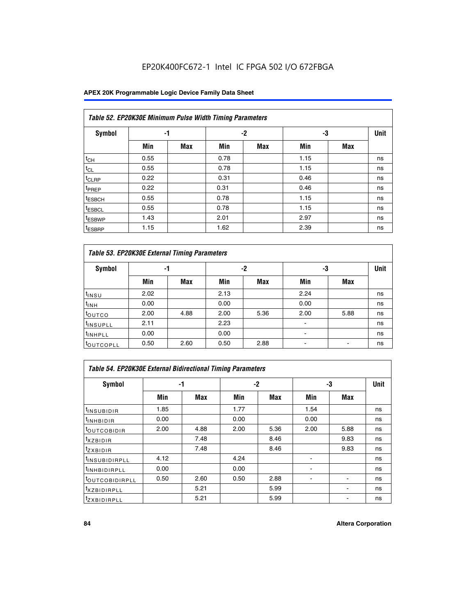## EP20K400FC672-1 Intel IC FPGA 502 I/O 672FBGA

## **APEX 20K Programmable Logic Device Family Data Sheet**

|                    | Table 52. EP20K30E Minimum Pulse Width Timing Parameters |            |      |            |      |            |             |  |  |  |  |  |
|--------------------|----------------------------------------------------------|------------|------|------------|------|------------|-------------|--|--|--|--|--|
| <b>Symbol</b>      | -1                                                       |            |      | $-2$       | -3   |            | <b>Unit</b> |  |  |  |  |  |
|                    | Min                                                      | <b>Max</b> | Min  | <b>Max</b> | Min  | <b>Max</b> |             |  |  |  |  |  |
| $t_{CH}$           | 0.55                                                     |            | 0.78 |            | 1.15 |            | ns          |  |  |  |  |  |
| $t_{CL}$           | 0.55                                                     |            | 0.78 |            | 1.15 |            | ns          |  |  |  |  |  |
| $t_{CLRP}$         | 0.22                                                     |            | 0.31 |            | 0.46 |            | ns          |  |  |  |  |  |
| <sup>t</sup> PREP  | 0.22                                                     |            | 0.31 |            | 0.46 |            | ns          |  |  |  |  |  |
| <sup>t</sup> ESBCH | 0.55                                                     |            | 0.78 |            | 1.15 |            | ns          |  |  |  |  |  |
| <sup>t</sup> ESBCL | 0.55                                                     |            | 0.78 |            | 1.15 |            | ns          |  |  |  |  |  |
| <sup>t</sup> ESBWP | 1.43                                                     |            | 2.01 |            | 2.97 |            | ns          |  |  |  |  |  |
| <sup>t</sup> ESBRP | 1.15                                                     |            | 1.62 |            | 2.39 |            | ns          |  |  |  |  |  |

| Table 53. EP20K30E External Timing Parameters |      |            |      |            |      |            |             |  |  |  |  |
|-----------------------------------------------|------|------------|------|------------|------|------------|-------------|--|--|--|--|
| <b>Symbol</b>                                 | -1   |            |      | -2         |      | -3         | <b>Unit</b> |  |  |  |  |
|                                               | Min  | <b>Max</b> | Min  | <b>Max</b> | Min  | <b>Max</b> |             |  |  |  |  |
| t <sub>INSU</sub>                             | 2.02 |            | 2.13 |            | 2.24 |            | ns          |  |  |  |  |
| $t_{\text{INH}}$                              | 0.00 |            | 0.00 |            | 0.00 |            | ns          |  |  |  |  |
| toutco                                        | 2.00 | 4.88       | 2.00 | 5.36       | 2.00 | 5.88       | ns          |  |  |  |  |
| <sup>t</sup> INSUPLL                          | 2.11 |            | 2.23 |            |      |            | ns          |  |  |  |  |
| <sup>t</sup> INHPLL                           | 0.00 |            | 0.00 |            | ٠    |            | ns          |  |  |  |  |
| <b>LOUTCOPLL</b>                              | 0.50 | 2.60       | 0.50 | 2.88       |      |            | ns          |  |  |  |  |

| Table 54. EP20K30E External Bidirectional Timing Parameters |      |      |      |      |                          |      |             |  |  |  |  |
|-------------------------------------------------------------|------|------|------|------|--------------------------|------|-------------|--|--|--|--|
| Symbol                                                      |      | -1   |      | $-2$ |                          | -3   | <b>Unit</b> |  |  |  |  |
|                                                             | Min  | Max  | Min  | Max  | Min                      | Max  |             |  |  |  |  |
| <sup>t</sup> INSUBIDIR                                      | 1.85 |      | 1.77 |      | 1.54                     |      | ns          |  |  |  |  |
| <b>INHBIDIR</b>                                             | 0.00 |      | 0.00 |      | 0.00                     |      | ns          |  |  |  |  |
| <b>LOUTCOBIDIR</b>                                          | 2.00 | 4.88 | 2.00 | 5.36 | 2.00                     | 5.88 | ns          |  |  |  |  |
| <sup>T</sup> XZBIDIR                                        |      | 7.48 |      | 8.46 |                          | 9.83 | ns          |  |  |  |  |
| <sup>t</sup> zxbidir                                        |      | 7.48 |      | 8.46 |                          | 9.83 | ns          |  |  |  |  |
| <sup>I</sup> INSUBIDIRPLL                                   | 4.12 |      | 4.24 |      | $\overline{\phantom{0}}$ |      | ns          |  |  |  |  |
| <b>INHBIDIRPLL</b>                                          | 0.00 |      | 0.00 |      |                          |      | ns          |  |  |  |  |
| <b><i>COUTCOBIDIRPLL</i></b>                                | 0.50 | 2.60 | 0.50 | 2.88 |                          |      | ns          |  |  |  |  |
| <sup>I</sup> XZBIDIRPLL                                     |      | 5.21 |      | 5.99 |                          |      | ns          |  |  |  |  |
| <sup>I</sup> ZXBIDIRPLL                                     |      | 5.21 |      | 5.99 |                          |      | ns          |  |  |  |  |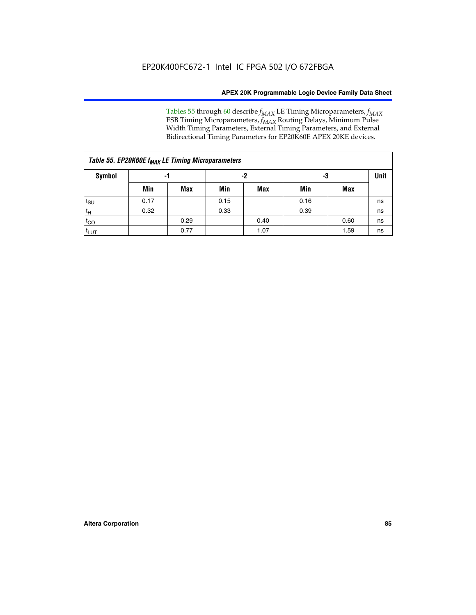Tables 55 through 60 describe *f<sub>MAX</sub>* LE Timing Microparameters, *f<sub>MAX</sub>* ESB Timing Microparameters, *f<sub>MAX</sub>* Routing Delays, Minimum Pulse Width Timing Parameters, External Timing Parameters, and External Bidirectional Timing Parameters for EP20K60E APEX 20KE devices.

| Table 55. EP20K60E f <sub>MAX</sub> LE Timing Microparameters |                |      |      |      |      |             |    |  |  |  |  |
|---------------------------------------------------------------|----------------|------|------|------|------|-------------|----|--|--|--|--|
| <b>Symbol</b>                                                 | -3<br>-2<br>-1 |      |      |      |      | <b>Unit</b> |    |  |  |  |  |
|                                                               | Min            | Max  | Min  | Max  | Min  | Max         |    |  |  |  |  |
| $t_{\text{SU}}$                                               | 0.17           |      | 0.15 |      | 0.16 |             | ns |  |  |  |  |
| $t_H$                                                         | 0.32           |      | 0.33 |      | 0.39 |             | ns |  |  |  |  |
| $t_{CO}$                                                      |                | 0.29 |      | 0.40 |      | 0.60        | ns |  |  |  |  |
| t <sub>lut</sub>                                              |                | 0.77 |      | 1.07 |      | 1.59        | ns |  |  |  |  |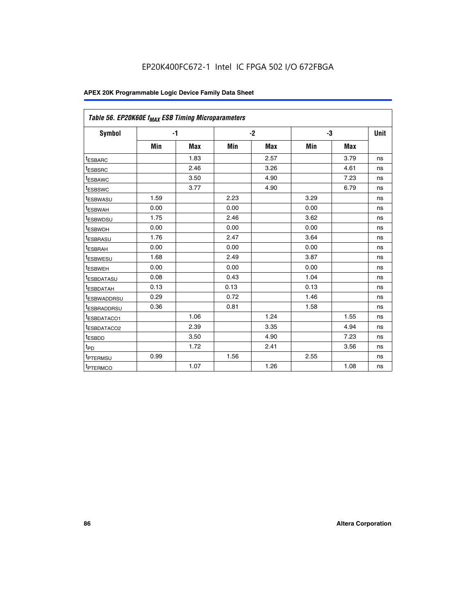| Table 56. EP20K60E f <sub>MAX</sub> ESB Timing Microparameters |      |            |      |            |      |            |             |
|----------------------------------------------------------------|------|------------|------|------------|------|------------|-------------|
| <b>Symbol</b>                                                  |      | $-1$       |      | $-2$       |      | -3         | <b>Unit</b> |
|                                                                | Min  | <b>Max</b> | Min  | <b>Max</b> | Min  | <b>Max</b> |             |
| <sup>t</sup> ESBARC                                            |      | 1.83       |      | 2.57       |      | 3.79       | ns          |
| t <sub>ESBSRC</sub>                                            |      | 2.46       |      | 3.26       |      | 4.61       | ns          |
| <sup>t</sup> ESBAWC                                            |      | 3.50       |      | 4.90       |      | 7.23       | ns          |
| <sup>t</sup> ESBSWC                                            |      | 3.77       |      | 4.90       |      | 6.79       | ns          |
| <sup>t</sup> ESBWASU                                           | 1.59 |            | 2.23 |            | 3.29 |            | ns          |
| <sup>t</sup> ESBWAH                                            | 0.00 |            | 0.00 |            | 0.00 |            | ns          |
| t <sub>ESBWDSU</sub>                                           | 1.75 |            | 2.46 |            | 3.62 |            | ns          |
| <sup>t</sup> ESBWDH                                            | 0.00 |            | 0.00 |            | 0.00 |            | ns          |
| t <sub>ESBRASU</sub>                                           | 1.76 |            | 2.47 |            | 3.64 |            | ns          |
| <sup>t</sup> ESBRAH                                            | 0.00 |            | 0.00 |            | 0.00 |            | ns          |
| t <sub>ESBWESU</sub>                                           | 1.68 |            | 2.49 |            | 3.87 |            | ns          |
| t <sub>ESBWEH</sub>                                            | 0.00 |            | 0.00 |            | 0.00 |            | ns          |
| <sup>t</sup> ESBDATASU                                         | 0.08 |            | 0.43 |            | 1.04 |            | ns          |
| t <sub>ESBDATAH</sub>                                          | 0.13 |            | 0.13 |            | 0.13 |            | ns          |
| <sup>t</sup> ESBWADDRSU                                        | 0.29 |            | 0.72 |            | 1.46 |            | ns          |
| <sup>t</sup> ESBRADDRSU                                        | 0.36 |            | 0.81 |            | 1.58 |            | ns          |
| <sup>I</sup> ESBDATACO1                                        |      | 1.06       |      | 1.24       |      | 1.55       | ns          |
| <sup>t</sup> ESBDATACO2                                        |      | 2.39       |      | 3.35       |      | 4.94       | ns          |
| <sup>t</sup> ESBDD                                             |      | 3.50       |      | 4.90       |      | 7.23       | ns          |
| t <sub>PD</sub>                                                |      | 1.72       |      | 2.41       |      | 3.56       | ns          |
| t <sub>PTERMSU</sub>                                           | 0.99 |            | 1.56 |            | 2.55 |            | ns          |
| t <sub>PTERMCO</sub>                                           |      | 1.07       |      | 1.26       |      | 1.08       | ns          |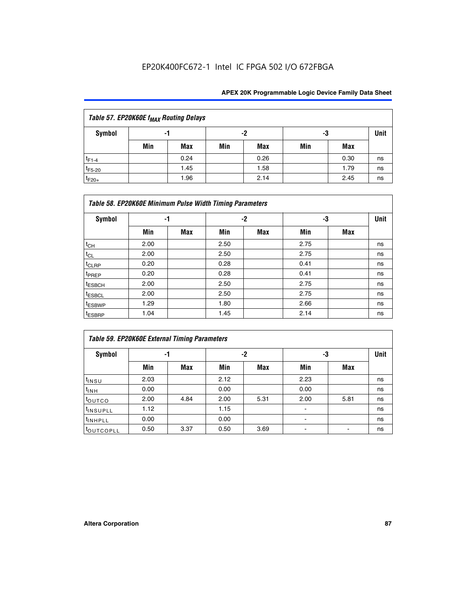## EP20K400FC672-1 Intel IC FPGA 502 I/O 672FBGA

| Table 57. EP20K60E f <sub>MAX</sub> Routing Delays |     |      |     |      |     |      |             |  |  |  |  |
|----------------------------------------------------|-----|------|-----|------|-----|------|-------------|--|--|--|--|
| Symbol                                             |     | -1   |     | -2   |     | -3   | <b>Unit</b> |  |  |  |  |
|                                                    | Min | Max  | Min | Max  | Min | Max  |             |  |  |  |  |
| $t_{F1-4}$                                         |     | 0.24 |     | 0.26 |     | 0.30 | ns          |  |  |  |  |
| $t_{F5-20}$                                        |     | 1.45 |     | 1.58 |     | 1.79 | ns          |  |  |  |  |
| $t_{F20+}$                                         |     | 1.96 |     | 2.14 |     | 2.45 | ns          |  |  |  |  |

|                    | Table 58. EP20K60E Minimum Pulse Width Timing Parameters |            |      |     |      |     |             |
|--------------------|----------------------------------------------------------|------------|------|-----|------|-----|-------------|
| Symbol             |                                                          | -1         |      | -2  |      | -3  | <b>Unit</b> |
|                    | Min                                                      | <b>Max</b> | Min  | Max | Min  | Max |             |
| $t_{CH}$           | 2.00                                                     |            | 2.50 |     | 2.75 |     | ns          |
| $t_{CL}$           | 2.00                                                     |            | 2.50 |     | 2.75 |     | ns          |
| $t_{CLRP}$         | 0.20                                                     |            | 0.28 |     | 0.41 |     | ns          |
| t <sub>PREP</sub>  | 0.20                                                     |            | 0.28 |     | 0.41 |     | ns          |
| <sup>t</sup> ESBCH | 2.00                                                     |            | 2.50 |     | 2.75 |     | ns          |
| <sup>t</sup> ESBCL | 2.00                                                     |            | 2.50 |     | 2.75 |     | ns          |
| <sup>t</sup> ESBWP | 1.29                                                     |            | 1.80 |     | 2.66 |     | ns          |
| <sup>t</sup> ESBRP | 1.04                                                     |            | 1.45 |     | 2.14 |     | ns          |

| <b>Table 59. EP20K60E External Timing Parameters</b> |      |      |      |      |      |      |      |  |  |  |  |
|------------------------------------------------------|------|------|------|------|------|------|------|--|--|--|--|
| Symbol                                               | -1   |      |      | -2   | -3   |      | Unit |  |  |  |  |
|                                                      | Min  | Max  | Min  | Max  | Min  | Max  |      |  |  |  |  |
| $t_{INSU}$                                           | 2.03 |      | 2.12 |      | 2.23 |      | ns   |  |  |  |  |
| $t_{INH}$                                            | 0.00 |      | 0.00 |      | 0.00 |      | ns   |  |  |  |  |
| toutco                                               | 2.00 | 4.84 | 2.00 | 5.31 | 2.00 | 5.81 | ns   |  |  |  |  |
| <sup>t</sup> INSUPLL                                 | 1.12 |      | 1.15 |      | ۰    |      | ns   |  |  |  |  |
| <sup>t</sup> INHPLL                                  | 0.00 |      | 0.00 |      | ۰    |      | ns   |  |  |  |  |
| toutcopll                                            | 0.50 | 3.37 | 0.50 | 3.69 |      |      | ns   |  |  |  |  |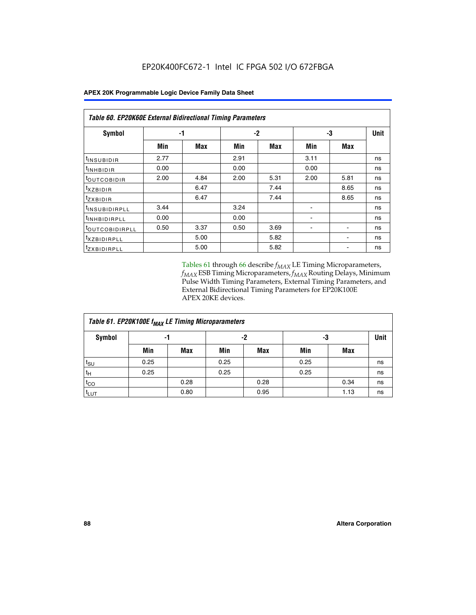| <b>Table 60. EP20K60E External Bidirectional Timing Parameters</b> |      |      |      |            |      |            |      |
|--------------------------------------------------------------------|------|------|------|------------|------|------------|------|
| Symbol                                                             | -1   |      |      | $-2$       |      | -3         | Unit |
|                                                                    | Min  | Max  | Min  | <b>Max</b> | Min  | <b>Max</b> |      |
| <sup>t</sup> INSUBIDIR                                             | 2.77 |      | 2.91 |            | 3.11 |            | ns   |
| <sup>t</sup> INHBIDIR                                              | 0.00 |      | 0.00 |            | 0.00 |            | ns   |
| <sup>t</sup> OUTCOBIDIR                                            | 2.00 | 4.84 | 2.00 | 5.31       | 2.00 | 5.81       | ns   |
| $t_{XZBIDIR}$                                                      |      | 6.47 |      | 7.44       |      | 8.65       | ns   |
| <sup>t</sup> zxbidir                                               |      | 6.47 |      | 7.44       |      | 8.65       | ns   |
| <sup>t</sup> INSUBIDIRPLL                                          | 3.44 |      | 3.24 |            |      |            | ns   |
| <sup>t</sup> INHBIDIRPLL                                           | 0.00 |      | 0.00 |            |      |            | ns   |
| <sup>t</sup> OUTCOBIDIRPLL                                         | 0.50 | 3.37 | 0.50 | 3.69       |      |            | ns   |
| <sup>t</sup> xzbidirpll                                            |      | 5.00 |      | 5.82       |      |            | ns   |
| <sup>t</sup> zxbidirpll                                            |      | 5.00 |      | 5.82       |      |            | ns   |

Tables 61 through 66 describe  $f_{MAX}$  LE Timing Microparameters, *fMAX* ESB Timing Microparameters, *fMAX* Routing Delays, Minimum Pulse Width Timing Parameters, External Timing Parameters, and External Bidirectional Timing Parameters for EP20K100E APEX 20KE devices.

| Table 61. EP20K100E f <sub>MAX</sub> LE Timing Microparameters |      |      |      |            |      |            |    |  |  |  |  |
|----------------------------------------------------------------|------|------|------|------------|------|------------|----|--|--|--|--|
| <b>Symbol</b>                                                  |      | -1   |      | -2         | -3   |            |    |  |  |  |  |
|                                                                | Min  | Max  | Min  | <b>Max</b> | Min  | <b>Max</b> |    |  |  |  |  |
| $t_{\text{SU}}$                                                | 0.25 |      | 0.25 |            | 0.25 |            | ns |  |  |  |  |
| tμ                                                             | 0.25 |      | 0.25 |            | 0.25 |            | ns |  |  |  |  |
| $t_{CO}$                                                       |      | 0.28 |      | 0.28       |      | 0.34       | ns |  |  |  |  |
| t <sub>LUT</sub>                                               |      | 0.80 |      | 0.95       |      | 1.13       | ns |  |  |  |  |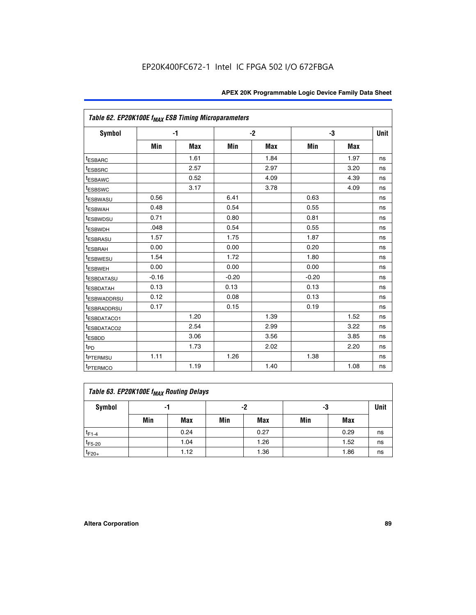| Table 62. EP20K100E f <sub>MAX</sub> ESB Timing Microparameters |         |            |         |            |         |            |             |
|-----------------------------------------------------------------|---------|------------|---------|------------|---------|------------|-------------|
| <b>Symbol</b>                                                   |         | $-1$       |         | $-2$       |         | -3         | <b>Unit</b> |
|                                                                 | Min     | <b>Max</b> | Min     | <b>Max</b> | Min     | <b>Max</b> |             |
| <sup>t</sup> ESBARC                                             |         | 1.61       |         | 1.84       |         | 1.97       | ns          |
| <sup>t</sup> ESBSRC                                             |         | 2.57       |         | 2.97       |         | 3.20       | ns          |
| <sup>t</sup> ESBAWC                                             |         | 0.52       |         | 4.09       |         | 4.39       | ns          |
| <sup>t</sup> ESBSWC                                             |         | 3.17       |         | 3.78       |         | 4.09       | ns          |
| <b><i>ESBWASU</i></b>                                           | 0.56    |            | 6.41    |            | 0.63    |            | ns          |
| <sup>t</sup> ESBWAH                                             | 0.48    |            | 0.54    |            | 0.55    |            | ns          |
| <sup>t</sup> ESBWDSU                                            | 0.71    |            | 0.80    |            | 0.81    |            | ns          |
| <sup>t</sup> ESBWDH                                             | .048    |            | 0.54    |            | 0.55    |            | ns          |
| <sup>t</sup> ESBRASU                                            | 1.57    |            | 1.75    |            | 1.87    |            | ns          |
| <sup>t</sup> ESBRAH                                             | 0.00    |            | 0.00    |            | 0.20    |            | ns          |
| t <sub>ESBWESU</sub>                                            | 1.54    |            | 1.72    |            | 1.80    |            | ns          |
| <sup>t</sup> ESBWEH                                             | 0.00    |            | 0.00    |            | 0.00    |            | ns          |
| <sup>t</sup> ESBDATASU                                          | $-0.16$ |            | $-0.20$ |            | $-0.20$ |            | ns          |
| <b>ESBDATAH</b>                                                 | 0.13    |            | 0.13    |            | 0.13    |            | ns          |
| <sup>t</sup> ESBWADDRSU                                         | 0.12    |            | 0.08    |            | 0.13    |            | ns          |
| <sup>I</sup> ESBRADDRSU                                         | 0.17    |            | 0.15    |            | 0.19    |            | ns          |
| ESBDATACO1                                                      |         | 1.20       |         | 1.39       |         | 1.52       | ns          |
| <sup>t</sup> ESBDATACO2                                         |         | 2.54       |         | 2.99       |         | 3.22       | ns          |
| t <sub>ESBDD</sub>                                              |         | 3.06       |         | 3.56       |         | 3.85       | ns          |
| t <sub>PD</sub>                                                 |         | 1.73       |         | 2.02       |         | 2.20       | ns          |
| <sup>t</sup> PTERMSU                                            | 1.11    |            | 1.26    |            | 1.38    |            | ns          |
| t <sub>PTERMCO</sub>                                            |         | 1.19       |         | 1.40       |         | 1.08       | ns          |

| Table 63. EP20K100E f <sub>MAX</sub> Routing Delays |     |      |     |            |     |      |    |  |  |  |
|-----------------------------------------------------|-----|------|-----|------------|-----|------|----|--|--|--|
| Symbol                                              |     | -1   |     | -2         |     | -3   |    |  |  |  |
|                                                     | Min | Max  | Min | <b>Max</b> | Min | Max  |    |  |  |  |
| $t_{F1-4}$                                          |     | 0.24 |     | 0.27       |     | 0.29 | ns |  |  |  |
| $t_{F5-20}$                                         |     | 1.04 |     | 1.26       |     | 1.52 | ns |  |  |  |
| $t_{F20+}$                                          |     | 1.12 |     | 1.36       |     | 1.86 | ns |  |  |  |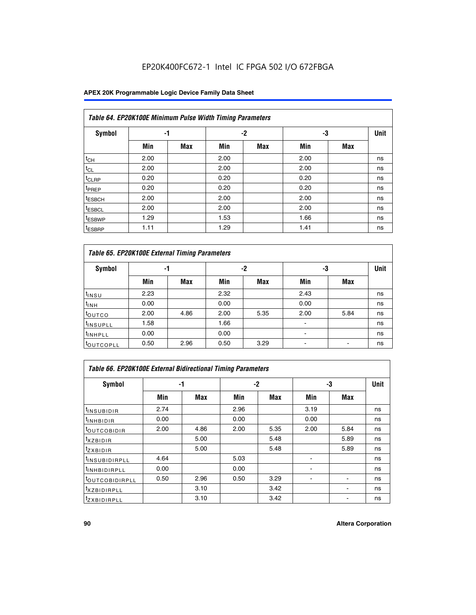## EP20K400FC672-1 Intel IC FPGA 502 I/O 672FBGA

## **APEX 20K Programmable Logic Device Family Data Sheet**

|                    | Table 64. EP20K100E Minimum Pulse Width Timing Parameters |            |      |            |      |            |             |  |  |  |  |  |  |
|--------------------|-----------------------------------------------------------|------------|------|------------|------|------------|-------------|--|--|--|--|--|--|
| <b>Symbol</b>      | -1                                                        |            |      | $-2$       | -3   |            | <b>Unit</b> |  |  |  |  |  |  |
|                    | Min                                                       | <b>Max</b> | Min  | <b>Max</b> | Min  | <b>Max</b> |             |  |  |  |  |  |  |
| $t_{CH}$           | 2.00                                                      |            | 2.00 |            | 2.00 |            | ns          |  |  |  |  |  |  |
| $t_{CL}$           | 2.00                                                      |            | 2.00 |            | 2.00 |            | ns          |  |  |  |  |  |  |
| t <sub>CLRP</sub>  | 0.20                                                      |            | 0.20 |            | 0.20 |            | ns          |  |  |  |  |  |  |
| <sup>t</sup> PREP  | 0.20                                                      |            | 0.20 |            | 0.20 |            | ns          |  |  |  |  |  |  |
| <sup>t</sup> ESBCH | 2.00                                                      |            | 2.00 |            | 2.00 |            | ns          |  |  |  |  |  |  |
| <sup>t</sup> ESBCL | 2.00                                                      |            | 2.00 |            | 2.00 |            | ns          |  |  |  |  |  |  |
| <sup>t</sup> ESBWP | 1.29                                                      |            | 1.53 |            | 1.66 |            | ns          |  |  |  |  |  |  |
| <sup>t</sup> ESBRP | 1.11                                                      |            | 1.29 |            | 1.41 |            | ns          |  |  |  |  |  |  |

|                      | Table 65. EP20K100E External Timing Parameters |            |      |            |                          |            |             |  |  |  |  |  |  |
|----------------------|------------------------------------------------|------------|------|------------|--------------------------|------------|-------------|--|--|--|--|--|--|
| <b>Symbol</b>        | -1                                             |            |      | -2         | -3                       |            | <b>Unit</b> |  |  |  |  |  |  |
|                      | Min                                            | <b>Max</b> | Min  | <b>Max</b> | Min                      | <b>Max</b> |             |  |  |  |  |  |  |
| t <sub>INSU</sub>    | 2.23                                           |            | 2.32 |            | 2.43                     |            | ns          |  |  |  |  |  |  |
| $t_{\rm INH}$        | 0.00                                           |            | 0.00 |            | 0.00                     |            | ns          |  |  |  |  |  |  |
| toutco               | 2.00                                           | 4.86       | 2.00 | 5.35       | 2.00                     | 5.84       | ns          |  |  |  |  |  |  |
| <sup>t</sup> INSUPLL | 1.58                                           |            | 1.66 |            |                          |            | ns          |  |  |  |  |  |  |
| <sup>t</sup> INHPLL  | 0.00                                           |            | 0.00 |            | $\overline{\phantom{a}}$ |            | ns          |  |  |  |  |  |  |
| <b>LOUTCOPLL</b>     | 0.50                                           | 2.96       | 0.50 | 3.29       | -                        |            | ns          |  |  |  |  |  |  |

| <b>Table 66. EP20K100E External Bidirectional Timing Parameters</b> |      |      |      |      |                |      |      |  |  |  |
|---------------------------------------------------------------------|------|------|------|------|----------------|------|------|--|--|--|
| Symbol                                                              |      | -1   |      | $-2$ | -3             |      | Unit |  |  |  |
|                                                                     | Min  | Max  | Min  | Max  | Min            | Max  |      |  |  |  |
| <sup>t</sup> INSUBIDIR                                              | 2.74 |      | 2.96 |      | 3.19           |      | ns   |  |  |  |
| <b>TINHBIDIR</b>                                                    | 0.00 |      | 0.00 |      | 0.00           |      | ns   |  |  |  |
| <b>LOUTCOBIDIR</b>                                                  | 2.00 | 4.86 | 2.00 | 5.35 | 2.00           | 5.84 | ns   |  |  |  |
| <sup>T</sup> XZBIDIR                                                |      | 5.00 |      | 5.48 |                | 5.89 | ns   |  |  |  |
| <sup>T</sup> ZXBIDIR                                                |      | 5.00 |      | 5.48 |                | 5.89 | ns   |  |  |  |
| <sup>t</sup> INSUBIDIRPLL                                           | 4.64 |      | 5.03 |      |                |      | ns   |  |  |  |
| <sup>I</sup> INHBIDIRPLL                                            | 0.00 |      | 0.00 |      | $\blacksquare$ |      | ns   |  |  |  |
| <b><i>LOUTCOBIDIRPLL</i></b>                                        | 0.50 | 2.96 | 0.50 | 3.29 |                |      | ns   |  |  |  |
| <sup>T</sup> XZBIDIRPLL                                             |      | 3.10 |      | 3.42 |                |      | ns   |  |  |  |
| <sup>I</sup> ZXBIDIRPLL                                             |      | 3.10 |      | 3.42 |                |      | ns   |  |  |  |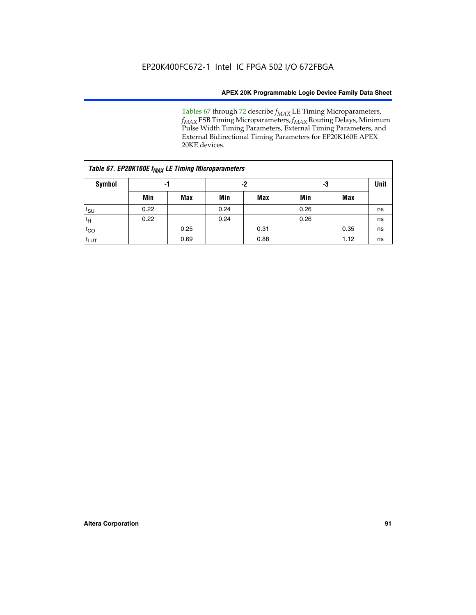Tables 67 through 72 describe *f<sub>MAX</sub>* LE Timing Microparameters, *f<sub>MAX</sub>* ESB Timing Microparameters, *f<sub>MAX</sub>* Routing Delays, Minimum Pulse Width Timing Parameters, External Timing Parameters, and External Bidirectional Timing Parameters for EP20K160E APEX 20KE devices.

| Table 67. EP20K160E f <sub>MAX</sub> LE Timing Microparameters |      |            |      |            |      |      |    |  |  |  |
|----------------------------------------------------------------|------|------------|------|------------|------|------|----|--|--|--|
| Symbol                                                         | -1   |            |      | -2         |      | -3   |    |  |  |  |
|                                                                | Min  | <b>Max</b> | Min  | <b>Max</b> | Min  | Max  |    |  |  |  |
| $t_{\text{SU}}$                                                | 0.22 |            | 0.24 |            | 0.26 |      | ns |  |  |  |
| $t_H$                                                          | 0.22 |            | 0.24 |            | 0.26 |      | ns |  |  |  |
| $t_{CO}$                                                       |      | 0.25       |      | 0.31       |      | 0.35 | ns |  |  |  |
| t <sub>lut</sub>                                               |      | 0.69       |      | 0.88       |      | 1.12 | ns |  |  |  |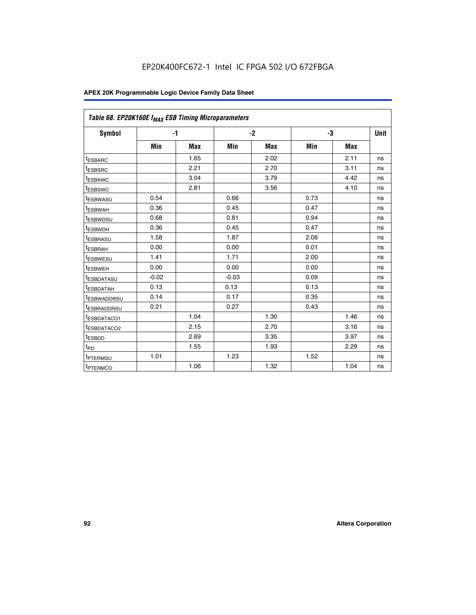| Table 68. EP20K160E f <sub>MAX</sub> ESB Timing Microparameters |         |            |         |            |      |      |      |
|-----------------------------------------------------------------|---------|------------|---------|------------|------|------|------|
| <b>Symbol</b>                                                   |         | $-1$       |         | $-2$       |      | -3   | Unit |
|                                                                 | Min     | <b>Max</b> | Min     | <b>Max</b> | Min  | Max  |      |
| <sup>I</sup> ESBARC                                             |         | 1.65       |         | 2.02       |      | 2.11 | ns   |
| t <sub>ESBSRC</sub>                                             |         | 2.21       |         | 2.70       |      | 3.11 | ns   |
| <sup>t</sup> ESBAWC                                             |         | 3.04       |         | 3.79       |      | 4.42 | ns   |
| t <sub>ESBSWC</sub>                                             |         | 2.81       |         | 3.56       |      | 4.10 | ns   |
| t <sub>ESBWASU</sub>                                            | 0.54    |            | 0.66    |            | 0.73 |      | ns   |
| t <sub>ESBWAH</sub>                                             | 0.36    |            | 0.45    |            | 0.47 |      | ns   |
| t <sub>ESBWDSU</sub>                                            | 0.68    |            | 0.81    |            | 0.94 |      | ns   |
| <sup>t</sup> ESBWDH                                             | 0.36    |            | 0.45    |            | 0.47 |      | ns   |
| t <sub>ESBRASU</sub>                                            | 1.58    |            | 1.87    |            | 2.06 |      | ns   |
| t <sub>ESBRAH</sub>                                             | 0.00    |            | 0.00    |            | 0.01 |      | ns   |
| <sup>t</sup> ESBWESU                                            | 1.41    |            | 1.71    |            | 2.00 |      | ns   |
| t <sub>ESBWEH</sub>                                             | 0.00    |            | 0.00    |            | 0.00 |      | ns   |
| <sup>t</sup> ESBDATASU                                          | $-0.02$ |            | $-0.03$ |            | 0.09 |      | ns   |
| t <sub>esbdatah</sub>                                           | 0.13    |            | 0.13    |            | 0.13 |      | ns   |
| <sup>t</sup> ESBWADDRSU                                         | 0.14    |            | 0.17    |            | 0.35 |      | ns   |
| <sup>t</sup> ESBRADDRSU                                         | 0.21    |            | 0.27    |            | 0.43 |      | ns   |
| <sup>t</sup> ESBDATACO1                                         |         | 1.04       |         | 1.30       |      | 1.46 | ns   |
| <sup>t</sup> ESBDATACO2                                         |         | 2.15       |         | 2.70       |      | 3.16 | ns   |
| t <sub>ESBDD</sub>                                              |         | 2.69       |         | 3.35       |      | 3.97 | ns   |
| t <sub>PD</sub>                                                 |         | 1.55       |         | 1.93       |      | 2.29 | ns   |
| <sup>t</sup> PTERMSU                                            | 1.01    |            | 1.23    |            | 1.52 |      | ns   |
| t <sub>PTERMCO</sub>                                            |         | 1.06       |         | 1.32       |      | 1.04 | ns   |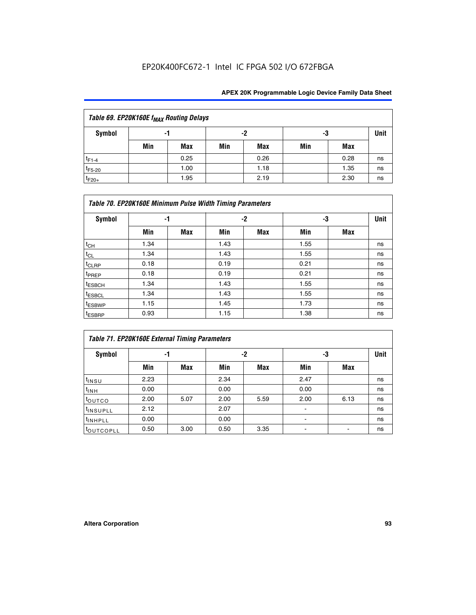## EP20K400FC672-1 Intel IC FPGA 502 I/O 672FBGA

| Table 69. EP20K160E f <sub>MAX</sub> Routing Delays |     |            |     |      |     |      |      |  |  |  |
|-----------------------------------------------------|-----|------------|-----|------|-----|------|------|--|--|--|
| Symbol                                              | -1  |            |     | -2   | -3  |      | Unit |  |  |  |
|                                                     | Min | <b>Max</b> | Min | Max  | Min | Max  |      |  |  |  |
| $t_{F1-4}$                                          |     | 0.25       |     | 0.26 |     | 0.28 | ns   |  |  |  |
| $t_{F5-20}$                                         |     | 1.00       |     | 1.18 |     | 1.35 | ns   |  |  |  |
| $t_{F20+}$                                          |     | 1.95       |     | 2.19 |     | 2.30 | ns   |  |  |  |

| Table 70. EP20K160E Minimum Pulse Width Timing Parameters |      |     |      |      |      |     |             |  |  |  |  |
|-----------------------------------------------------------|------|-----|------|------|------|-----|-------------|--|--|--|--|
| Symbol                                                    |      | -1  |      | $-2$ |      | -3  | <b>Unit</b> |  |  |  |  |
|                                                           | Min  | Max | Min  | Max  | Min  | Max |             |  |  |  |  |
| $t_{CH}$                                                  | 1.34 |     | 1.43 |      | 1.55 |     | ns          |  |  |  |  |
| $t_{CL}$                                                  | 1.34 |     | 1.43 |      | 1.55 |     | ns          |  |  |  |  |
| $t_{CLRP}$                                                | 0.18 |     | 0.19 |      | 0.21 |     | ns          |  |  |  |  |
| t <sub>PREP</sub>                                         | 0.18 |     | 0.19 |      | 0.21 |     | ns          |  |  |  |  |
| <sup>t</sup> ESBCH                                        | 1.34 |     | 1.43 |      | 1.55 |     | ns          |  |  |  |  |
| <sup>t</sup> ESBCL                                        | 1.34 |     | 1.43 |      | 1.55 |     | ns          |  |  |  |  |
| <sup>t</sup> ESBWP                                        | 1.15 |     | 1.45 |      | 1.73 |     | ns          |  |  |  |  |
| <sup>t</sup> ESBRP                                        | 0.93 |     | 1.15 |      | 1.38 |     | ns          |  |  |  |  |

| Table 71. EP20K160E External Timing Parameters |      |      |      |      |                |      |      |  |  |  |  |
|------------------------------------------------|------|------|------|------|----------------|------|------|--|--|--|--|
| Symbol                                         | -1   |      |      | -2   | -3             |      | Unit |  |  |  |  |
|                                                | Min  | Max  | Min  | Max  | Min            | Max  |      |  |  |  |  |
| $t_{INSU}$                                     | 2.23 |      | 2.34 |      | 2.47           |      | ns   |  |  |  |  |
| $t_{INH}$                                      | 0.00 |      | 0.00 |      | 0.00           |      | ns   |  |  |  |  |
| toutco                                         | 2.00 | 5.07 | 2.00 | 5.59 | 2.00           | 6.13 | ns   |  |  |  |  |
| <sup>t</sup> INSUPLL                           | 2.12 |      | 2.07 |      | $\blacksquare$ |      | ns   |  |  |  |  |
| <sup>t</sup> INHPLL                            | 0.00 |      | 0.00 |      | ۰              |      | ns   |  |  |  |  |
| toutcopll                                      | 0.50 | 3.00 | 0.50 | 3.35 |                |      | ns   |  |  |  |  |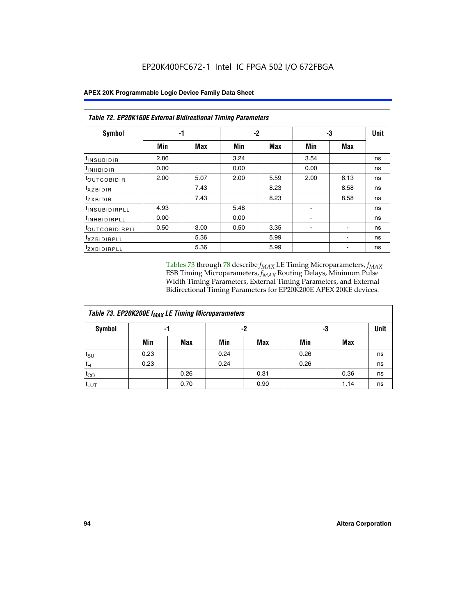|  |  |  | <b>APEX 20K Programmable Logic Device Family Data Sheet</b> |
|--|--|--|-------------------------------------------------------------|
|--|--|--|-------------------------------------------------------------|

|                                | Table 72. EP20K160E External Bidirectional Timing Parameters |      |      |      |      |             |    |  |  |  |  |
|--------------------------------|--------------------------------------------------------------|------|------|------|------|-------------|----|--|--|--|--|
| Symbol                         |                                                              | -1   |      | $-2$ | -3   | <b>Unit</b> |    |  |  |  |  |
|                                | Min                                                          | Max  | Min  | Max  | Min  | Max         |    |  |  |  |  |
| <sup>t</sup> INSUB <u>IDIR</u> | 2.86                                                         |      | 3.24 |      | 3.54 |             | ns |  |  |  |  |
| <b>UNHBIDIR</b>                | 0.00                                                         |      | 0.00 |      | 0.00 |             | ns |  |  |  |  |
| <b>LOUTCOBIDIR</b>             | 2.00                                                         | 5.07 | 2.00 | 5.59 | 2.00 | 6.13        | ns |  |  |  |  |
| KZBIDIR                        |                                                              | 7.43 |      | 8.23 |      | 8.58        | ns |  |  |  |  |
| <sup>t</sup> zxbidir           |                                                              | 7.43 |      | 8.23 |      | 8.58        | ns |  |  |  |  |
| <sup>t</sup> INSUBIDIRPLL      | 4.93                                                         |      | 5.48 |      |      |             | ns |  |  |  |  |
| <sup>I</sup> INHBIDIRPLL       | 0.00                                                         |      | 0.00 |      | ۰    |             | ns |  |  |  |  |
| <b><i>LOUTCOBIDIRPLL</i></b>   | 0.50                                                         | 3.00 | 0.50 | 3.35 |      |             | ns |  |  |  |  |
| <sup>T</sup> XZBIDIRPLL        |                                                              | 5.36 |      | 5.99 |      |             | ns |  |  |  |  |
| <sup>t</sup> ZXBIDIRPLL        |                                                              | 5.36 |      | 5.99 |      |             | ns |  |  |  |  |

Tables 73 through 78 describe  $f_{MAX}$  LE Timing Microparameters,  $f_{MAX}$ ESB Timing Microparameters, *f<sub>MAX</sub>* Routing Delays, Minimum Pulse Width Timing Parameters, External Timing Parameters, and External Bidirectional Timing Parameters for EP20K200E APEX 20KE devices.

| Table 73. EP20K200E f <sub>MAX</sub> LE Timing Microparameters |      |      |      |            |      |      |    |  |  |  |  |
|----------------------------------------------------------------|------|------|------|------------|------|------|----|--|--|--|--|
| <b>Symbol</b>                                                  | -1   |      |      | -2         |      | -3   |    |  |  |  |  |
|                                                                | Min  | Max  | Min  | <b>Max</b> | Min  | Max  |    |  |  |  |  |
| t <sub>SU</sub>                                                | 0.23 |      | 0.24 |            | 0.26 |      | ns |  |  |  |  |
| tμ                                                             | 0.23 |      | 0.24 |            | 0.26 |      | ns |  |  |  |  |
| $t_{CO}$                                                       |      | 0.26 |      | 0.31       |      | 0.36 | ns |  |  |  |  |
| t <sub>LUT</sub>                                               |      | 0.70 |      | 0.90       |      | 1.14 | ns |  |  |  |  |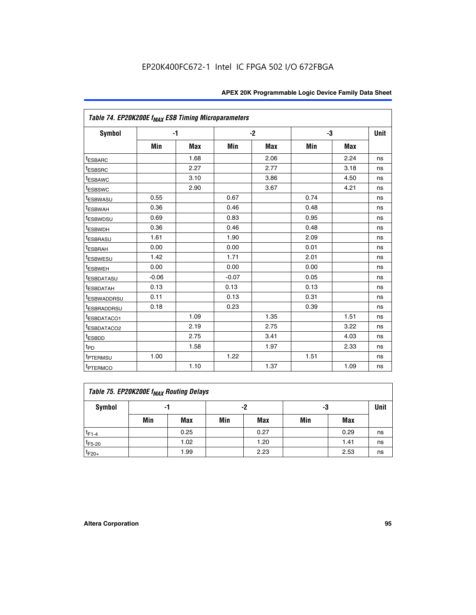|                                     | Table 74. EP20K200E f <sub>MAX</sub> ESB Timing Microparameters |            |         |      |      |      |             |  |  |  |  |
|-------------------------------------|-----------------------------------------------------------------|------------|---------|------|------|------|-------------|--|--|--|--|
| <b>Symbol</b>                       | $-1$                                                            |            |         | $-2$ |      | -3   | <b>Unit</b> |  |  |  |  |
|                                     | Min                                                             | <b>Max</b> | Min     | Max  | Min  | Max  |             |  |  |  |  |
| <sup>t</sup> ESBARC                 |                                                                 | 1.68       |         | 2.06 |      | 2.24 | ns          |  |  |  |  |
| <sup>t</sup> ESBSRC                 |                                                                 | 2.27       |         | 2.77 |      | 3.18 | ns          |  |  |  |  |
| <sup>t</sup> ESBAWC                 |                                                                 | 3.10       |         | 3.86 |      | 4.50 | ns          |  |  |  |  |
| <sup>t</sup> ESBSWC                 |                                                                 | 2.90       |         | 3.67 |      | 4.21 | ns          |  |  |  |  |
| t <sub>ESBWASU</sub>                | 0.55                                                            |            | 0.67    |      | 0.74 |      | ns          |  |  |  |  |
| <sup>t</sup> ESBWAH                 | 0.36                                                            |            | 0.46    |      | 0.48 |      | ns          |  |  |  |  |
| <sup>t</sup> ESBWDSU                | 0.69                                                            |            | 0.83    |      | 0.95 |      | ns          |  |  |  |  |
| <sup>t</sup> ESBWDH                 | 0.36                                                            |            | 0.46    |      | 0.48 |      | ns          |  |  |  |  |
| <sup>t</sup> ESBRASU                | 1.61                                                            |            | 1.90    |      | 2.09 |      | ns          |  |  |  |  |
| t <sub>ESBRAH</sub>                 | 0.00                                                            |            | 0.00    |      | 0.01 |      | ns          |  |  |  |  |
| t <sub>ESBWESU</sub>                | 1.42                                                            |            | 1.71    |      | 2.01 |      | ns          |  |  |  |  |
| <sup>t</sup> ESBWEH                 | 0.00                                                            |            | 0.00    |      | 0.00 |      | ns          |  |  |  |  |
| t <sub>ESBDATASU</sub>              | $-0.06$                                                         |            | $-0.07$ |      | 0.05 |      | ns          |  |  |  |  |
| <b>ESBDATAH</b>                     | 0.13                                                            |            | 0.13    |      | 0.13 |      | ns          |  |  |  |  |
| t <sub>ESBWADDRSU</sub>             | 0.11                                                            |            | 0.13    |      | 0.31 |      | ns          |  |  |  |  |
| <sup>t</sup> ESBRADDRSU             | 0.18                                                            |            | 0.23    |      | 0.39 |      | ns          |  |  |  |  |
| ESBDATACO1                          |                                                                 | 1.09       |         | 1.35 |      | 1.51 | ns          |  |  |  |  |
| <sup>t</sup> ESBDATACO <sub>2</sub> |                                                                 | 2.19       |         | 2.75 |      | 3.22 | ns          |  |  |  |  |
| t <sub>ESBDD</sub>                  |                                                                 | 2.75       |         | 3.41 |      | 4.03 | ns          |  |  |  |  |
| $t_{PD}$                            |                                                                 | 1.58       |         | 1.97 |      | 2.33 | ns          |  |  |  |  |
| <sup>t</sup> PTERMSU                | 1.00                                                            |            | 1.22    |      | 1.51 |      | ns          |  |  |  |  |
| t <sub>PTERMCO</sub>                |                                                                 | 1.10       |         | 1.37 |      | 1.09 | ns          |  |  |  |  |

| Table 75. EP20K200E f <sub>MAX</sub> Routing Delays |     |      |     |            |     |      |             |  |  |  |  |
|-----------------------------------------------------|-----|------|-----|------------|-----|------|-------------|--|--|--|--|
| Symbol                                              |     | -1   |     | -2         | -3  |      | <b>Unit</b> |  |  |  |  |
|                                                     | Min | Max  | Min | <b>Max</b> | Min | Max  |             |  |  |  |  |
| $t_{F1-4}$                                          |     | 0.25 |     | 0.27       |     | 0.29 | ns          |  |  |  |  |
| $t_{F5-20}$                                         |     | 1.02 |     | 1.20       |     | 1.41 | ns          |  |  |  |  |
| $t_{F20+}$                                          |     | 1.99 |     | 2.23       |     | 2.53 | ns          |  |  |  |  |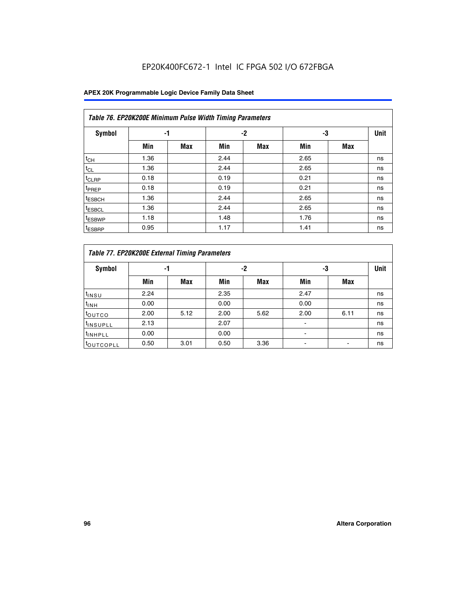## EP20K400FC672-1 Intel IC FPGA 502 I/O 672FBGA

|                    | Table 76. EP20K200E Minimum Pulse Width Timing Parameters |            |      |      |      |            |             |  |  |  |  |  |
|--------------------|-----------------------------------------------------------|------------|------|------|------|------------|-------------|--|--|--|--|--|
| Symbol             | -1                                                        |            |      | $-2$ | -3   |            | <b>Unit</b> |  |  |  |  |  |
|                    | Min                                                       | <b>Max</b> | Min  | Max  | Min  | <b>Max</b> |             |  |  |  |  |  |
| $t_{CH}$           | 1.36                                                      |            | 2.44 |      | 2.65 |            | ns          |  |  |  |  |  |
| $t_{CL}$           | 1.36                                                      |            | 2.44 |      | 2.65 |            | ns          |  |  |  |  |  |
| $t_{CLRP}$         | 0.18                                                      |            | 0.19 |      | 0.21 |            | ns          |  |  |  |  |  |
| <sup>t</sup> PREP  | 0.18                                                      |            | 0.19 |      | 0.21 |            | ns          |  |  |  |  |  |
| <sup>t</sup> ESBCH | 1.36                                                      |            | 2.44 |      | 2.65 |            | ns          |  |  |  |  |  |
| <sup>t</sup> ESBCL | 1.36                                                      |            | 2.44 |      | 2.65 |            | ns          |  |  |  |  |  |
| <sup>t</sup> ESBWP | 1.18                                                      |            | 1.48 |      | 1.76 |            | ns          |  |  |  |  |  |
| <sup>t</sup> ESBRP | 0.95                                                      |            | 1.17 |      | 1.41 |            | ns          |  |  |  |  |  |

|                       | Table 77. EP20K200E External Timing Parameters |            |      |            |      |      |             |  |  |  |  |  |
|-----------------------|------------------------------------------------|------------|------|------------|------|------|-------------|--|--|--|--|--|
| <b>Symbol</b>         |                                                | -1         |      | -2         |      | -3   | <b>Unit</b> |  |  |  |  |  |
|                       | Min                                            | <b>Max</b> | Min  | <b>Max</b> | Min  | Max  |             |  |  |  |  |  |
| t <sub>INSU</sub>     | 2.24                                           |            | 2.35 |            | 2.47 |      | ns          |  |  |  |  |  |
| $t_{\text{INH}}$      | 0.00                                           |            | 0.00 |            | 0.00 |      | ns          |  |  |  |  |  |
| toutco                | 2.00                                           | 5.12       | 2.00 | 5.62       | 2.00 | 6.11 | ns          |  |  |  |  |  |
| <sup>t</sup> INSUPLL  | 2.13                                           |            | 2.07 |            |      |      | ns          |  |  |  |  |  |
| <sup>t</sup> INHPLL   | 0.00                                           |            | 0.00 |            | -    |      | ns          |  |  |  |  |  |
| <sup>I</sup> OUTCOPLL | 0.50                                           | 3.01       | 0.50 | 3.36       |      |      | ns          |  |  |  |  |  |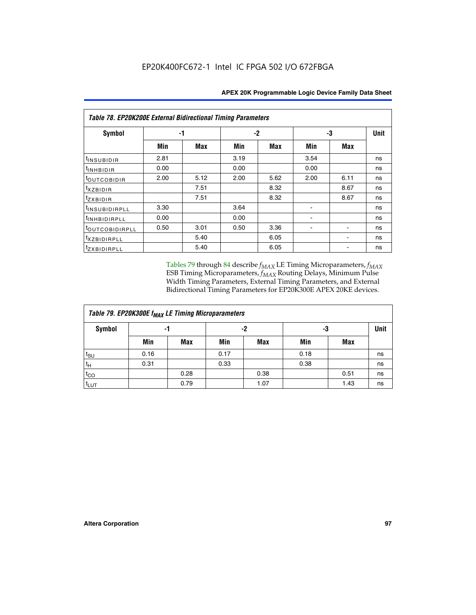| <b>Table 78. EP20K200E External Bidirectional Timing Parameters</b> |      |      |      |      |      |            |             |  |  |  |  |
|---------------------------------------------------------------------|------|------|------|------|------|------------|-------------|--|--|--|--|
| Symbol                                                              |      | -1   |      | $-2$ |      | -3         | <b>Unit</b> |  |  |  |  |
|                                                                     | Min  | Max  | Min  | Max  | Min  | <b>Max</b> |             |  |  |  |  |
| t <sub>INSUBIDIR</sub>                                              | 2.81 |      | 3.19 |      | 3.54 |            | ns          |  |  |  |  |
| t <sub>INHBIDIR</sub>                                               | 0.00 |      | 0.00 |      | 0.00 |            | ns          |  |  |  |  |
| t <sub>outcobidir</sub>                                             | 2.00 | 5.12 | 2.00 | 5.62 | 2.00 | 6.11       | ns          |  |  |  |  |
| <i>txzbidir</i>                                                     |      | 7.51 |      | 8.32 |      | 8.67       | ns          |  |  |  |  |
| tzxbidir                                                            |      | 7.51 |      | 8.32 |      | 8.67       | ns          |  |  |  |  |
| t <sub>INSUBIDIRPLL</sub>                                           | 3.30 |      | 3.64 |      |      |            | ns          |  |  |  |  |
| t <sub>INHBIDIRPLL</sub>                                            | 0.00 |      | 0.00 |      |      |            | ns          |  |  |  |  |
| tout COBIDIRPLL                                                     | 0.50 | 3.01 | 0.50 | 3.36 |      |            | ns          |  |  |  |  |
| <i>txzBIDIRPLL</i>                                                  |      | 5.40 |      | 6.05 |      |            | ns          |  |  |  |  |
| tzxBIDIRPLL                                                         |      | 5.40 |      | 6.05 |      |            | ns          |  |  |  |  |

Tables 79 through 84 describe  $f_{MAX}$  LE Timing Microparameters,  $f_{MAX}$ ESB Timing Microparameters, *f<sub>MAX</sub>* Routing Delays, Minimum Pulse Width Timing Parameters, External Timing Parameters, and External Bidirectional Timing Parameters for EP20K300E APEX 20KE devices.

| Table 79. EP20K300E f <sub>MAX</sub> LE Timing Microparameters |      |            |      |      |      |      |      |  |  |  |  |
|----------------------------------------------------------------|------|------------|------|------|------|------|------|--|--|--|--|
| <b>Symbol</b>                                                  | -1   |            | -2   |      | -3   |      | Unit |  |  |  |  |
|                                                                | Min  | <b>Max</b> | Min  | Max  | Min  | Max  |      |  |  |  |  |
| $t_{\text{SU}}$                                                | 0.16 |            | 0.17 |      | 0.18 |      | ns   |  |  |  |  |
| $t_H$                                                          | 0.31 |            | 0.33 |      | 0.38 |      | ns   |  |  |  |  |
| $t_{CO}$                                                       |      | 0.28       |      | 0.38 |      | 0.51 | ns   |  |  |  |  |
| $t_{LUT}$                                                      |      | 0.79       |      | 1.07 |      | 1.43 | ns   |  |  |  |  |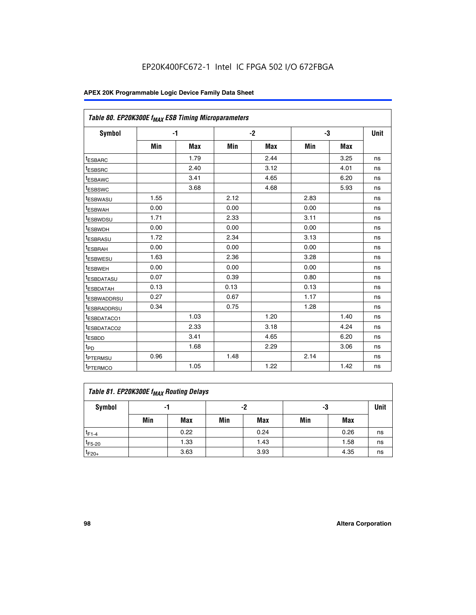| Table 80. EP20K300E f <sub>MAX</sub> ESB Timing Microparameters |      |            |      |            |      |            |      |
|-----------------------------------------------------------------|------|------------|------|------------|------|------------|------|
| <b>Symbol</b>                                                   |      | -1         |      | $-2$       |      | -3         | Unit |
|                                                                 | Min  | <b>Max</b> | Min  | <b>Max</b> | Min  | <b>Max</b> |      |
| t <sub>ESBARC</sub>                                             |      | 1.79       |      | 2.44       |      | 3.25       | ns   |
| t <sub>ESBSRC</sub>                                             |      | 2.40       |      | 3.12       |      | 4.01       | ns   |
| t <sub>ESBAWC</sub>                                             |      | 3.41       |      | 4.65       |      | 6.20       | ns   |
| t <sub>ESBSWC</sub>                                             |      | 3.68       |      | 4.68       |      | 5.93       | ns   |
| <sup>I</sup> ESBWASU                                            | 1.55 |            | 2.12 |            | 2.83 |            | ns   |
| <sup>t</sup> ESBWAH                                             | 0.00 |            | 0.00 |            | 0.00 |            | ns   |
| <sup>I</sup> ESBWDSU                                            | 1.71 |            | 2.33 |            | 3.11 |            | ns   |
| <sup>t</sup> ESBWDH                                             | 0.00 |            | 0.00 |            | 0.00 |            | ns   |
| <sup>t</sup> ESBRASU                                            | 1.72 |            | 2.34 |            | 3.13 |            | ns   |
| t <sub>ESBRAH</sub>                                             | 0.00 |            | 0.00 |            | 0.00 |            | ns   |
| <sup>t</sup> ESBWESU                                            | 1.63 |            | 2.36 |            | 3.28 |            | ns   |
| <sup>t</sup> ESBWEH                                             | 0.00 |            | 0.00 |            | 0.00 |            | ns   |
| t <sub>ESBDATASU</sub>                                          | 0.07 |            | 0.39 |            | 0.80 |            | ns   |
| <sup>t</sup> ESBDATAH                                           | 0.13 |            | 0.13 |            | 0.13 |            | ns   |
| <sup>t</sup> ESBWADDRSU                                         | 0.27 |            | 0.67 |            | 1.17 |            | ns   |
| <sup>t</sup> ESBRADDRSU                                         | 0.34 |            | 0.75 |            | 1.28 |            | ns   |
| <sup>I</sup> ESBDATACO1                                         |      | 1.03       |      | 1.20       |      | 1.40       | ns   |
| <sup>t</sup> ESBDATACO2                                         |      | 2.33       |      | 3.18       |      | 4.24       | ns   |
| <sup>t</sup> ESBDD                                              |      | 3.41       |      | 4.65       |      | 6.20       | ns   |
| t <sub>PD</sub>                                                 |      | 1.68       |      | 2.29       |      | 3.06       | ns   |
| t <sub>PTERMSU</sub>                                            | 0.96 |            | 1.48 |            | 2.14 |            | ns   |
| t <sub>PTERMCO</sub>                                            |      | 1.05       |      | 1.22       |      | 1.42       | ns   |

| Table 81. EP20K300E f <sub>MAX</sub> Routing Delays |                |      |     |      |     |      |    |  |  |  |
|-----------------------------------------------------|----------------|------|-----|------|-----|------|----|--|--|--|
| Symbol                                              | -2<br>-3<br>-1 |      |     |      |     |      |    |  |  |  |
|                                                     | Min            | Max  | Min | Max  | Min | Max  |    |  |  |  |
| $t_{F1-4}$                                          |                | 0.22 |     | 0.24 |     | 0.26 | ns |  |  |  |
| $t_{F5-20}$                                         |                | 1.33 |     | 1.43 |     | 1.58 | ns |  |  |  |
| $t_{F20+}$                                          |                | 3.63 |     | 3.93 |     | 4.35 | ns |  |  |  |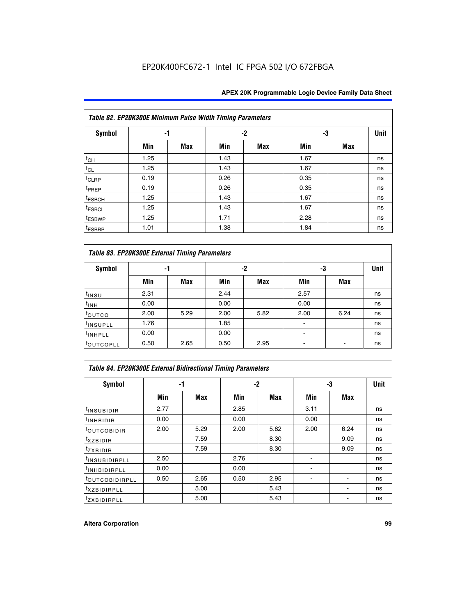|                    | Table 82. EP20K300E Minimum Pulse Width Timing Parameters |            |      |     |      |     |      |  |  |  |  |  |
|--------------------|-----------------------------------------------------------|------------|------|-----|------|-----|------|--|--|--|--|--|
| <b>Symbol</b>      | -1                                                        |            |      | -2  |      | -3  | Unit |  |  |  |  |  |
|                    | Min                                                       | <b>Max</b> | Min  | Max | Min  | Max |      |  |  |  |  |  |
| $t_{CH}$           | 1.25                                                      |            | 1.43 |     | 1.67 |     | ns   |  |  |  |  |  |
| $t_{CL}$           | 1.25                                                      |            | 1.43 |     | 1.67 |     | ns   |  |  |  |  |  |
| t <sub>CLRP</sub>  | 0.19                                                      |            | 0.26 |     | 0.35 |     | ns   |  |  |  |  |  |
| t <sub>PREP</sub>  | 0.19                                                      |            | 0.26 |     | 0.35 |     | ns   |  |  |  |  |  |
| t <sub>ESBCH</sub> | 1.25                                                      |            | 1.43 |     | 1.67 |     | ns   |  |  |  |  |  |
| <sup>t</sup> ESBCL | 1.25                                                      |            | 1.43 |     | 1.67 |     | ns   |  |  |  |  |  |
| <sup>t</sup> ESBWP | 1.25                                                      |            | 1.71 |     | 2.28 |     | ns   |  |  |  |  |  |
| <sup>t</sup> ESBRP | 1.01                                                      |            | 1.38 |     | 1.84 |     | ns   |  |  |  |  |  |

| Table 83. EP20K300E External Timing Parameters |      |      |      |      |      |            |             |  |  |  |  |
|------------------------------------------------|------|------|------|------|------|------------|-------------|--|--|--|--|
| Symbol                                         |      | -1   |      | -2   |      | -3         | <b>Unit</b> |  |  |  |  |
|                                                | Min  | Max  | Min  | Max  | Min  | <b>Max</b> |             |  |  |  |  |
| t <sub>INSU</sub>                              | 2.31 |      | 2.44 |      | 2.57 |            | ns          |  |  |  |  |
| $t_{INH}$                                      | 0.00 |      | 0.00 |      | 0.00 |            | ns          |  |  |  |  |
| toutco                                         | 2.00 | 5.29 | 2.00 | 5.82 | 2.00 | 6.24       | ns          |  |  |  |  |
| <sup>t</sup> INSUPLL                           | 1.76 |      | 1.85 |      |      |            | ns          |  |  |  |  |
| <sup>t</sup> INHPLL                            | 0.00 |      | 0.00 |      | -    |            | ns          |  |  |  |  |
| <sup>t</sup> OUTCOPLL                          | 0.50 | 2.65 | 0.50 | 2.95 |      |            | ns          |  |  |  |  |

| Table 84. EP20K300E External Bidirectional Timing Parameters |      |      |      |      |      |             |    |  |  |  |  |
|--------------------------------------------------------------|------|------|------|------|------|-------------|----|--|--|--|--|
| Symbol                                                       | -1   |      | $-2$ |      | -3   | <b>Unit</b> |    |  |  |  |  |
|                                                              | Min  | Max  | Min  | Max  | Min  | <b>Max</b>  |    |  |  |  |  |
| <sup>t</sup> INSUBIDIR                                       | 2.77 |      | 2.85 |      | 3.11 |             | ns |  |  |  |  |
| <b>TINHBIDIR</b>                                             | 0.00 |      | 0.00 |      | 0.00 |             | ns |  |  |  |  |
| <sup>t</sup> OUTCOBIDIR                                      | 2.00 | 5.29 | 2.00 | 5.82 | 2.00 | 6.24        | ns |  |  |  |  |
| KZBIDIR                                                      |      | 7.59 |      | 8.30 |      | 9.09        | ns |  |  |  |  |
| $t_{Z}$ <i>x</i> BIDIR                                       |      | 7.59 |      | 8.30 |      | 9.09        | ns |  |  |  |  |
| <b>INSUBIDIRPLL</b>                                          | 2.50 |      | 2.76 |      |      |             | ns |  |  |  |  |
| <sup>t</sup> INHBIDIRPLL                                     | 0.00 |      | 0.00 |      |      |             | ns |  |  |  |  |
| <sup>t</sup> OUTCOBIDIRPLL                                   | 0.50 | 2.65 | 0.50 | 2.95 |      |             | ns |  |  |  |  |
| <sup>t</sup> XZBIDIRPLL                                      |      | 5.00 |      | 5.43 |      |             | ns |  |  |  |  |
| <sup>t</sup> ZXBIDIRPLL                                      |      | 5.00 |      | 5.43 |      |             | ns |  |  |  |  |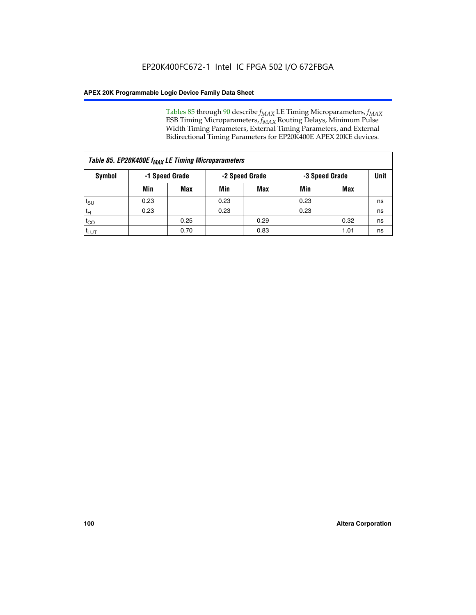Tables 85 through 90 describe  $f_{MAX}$  LE Timing Microparameters,  $f_{MAX}$ ESB Timing Microparameters, *f<sub>MAX</sub>* Routing Delays, Minimum Pulse Width Timing Parameters, External Timing Parameters, and External Bidirectional Timing Parameters for EP20K400E APEX 20KE devices.

| Table 85. EP20K400E f <sub>MAX</sub> LE Timing Microparameters |                |            |                |            |                |      |             |  |  |  |  |
|----------------------------------------------------------------|----------------|------------|----------------|------------|----------------|------|-------------|--|--|--|--|
| Symbol                                                         | -1 Speed Grade |            | -2 Speed Grade |            | -3 Speed Grade |      | <b>Unit</b> |  |  |  |  |
|                                                                | Min            | <b>Max</b> | Min            | <b>Max</b> | Min            | Max  |             |  |  |  |  |
| $t_{\text{SU}}$                                                | 0.23           |            | 0.23           |            | 0.23           |      | ns          |  |  |  |  |
| $t_H$                                                          | 0.23           |            | 0.23           |            | 0.23           |      | ns          |  |  |  |  |
| $t_{CO}$                                                       |                | 0.25       |                | 0.29       |                | 0.32 | ns          |  |  |  |  |
| ι <sup>t</sup> ιυτ                                             |                | 0.70       |                | 0.83       |                | 1.01 | ns          |  |  |  |  |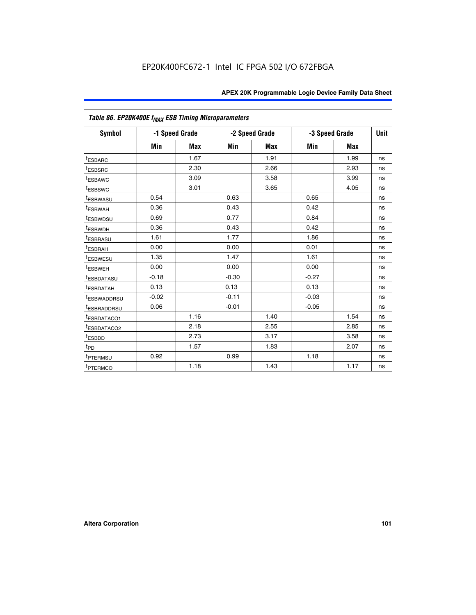|                         | Table 86. EP20K400E f <sub>MAX</sub> ESB Timing Microparameters |                |         |                |                |            |             |  |  |  |  |
|-------------------------|-----------------------------------------------------------------|----------------|---------|----------------|----------------|------------|-------------|--|--|--|--|
| <b>Symbol</b>           |                                                                 | -1 Speed Grade |         | -2 Speed Grade | -3 Speed Grade |            | <b>Unit</b> |  |  |  |  |
|                         | Min                                                             | <b>Max</b>     | Min     | Max            | Min            | <b>Max</b> |             |  |  |  |  |
| <sup>t</sup> ESBARC     |                                                                 | 1.67           |         | 1.91           |                | 1.99       | ns          |  |  |  |  |
| <sup>t</sup> ESBSRC     |                                                                 | 2.30           |         | 2.66           |                | 2.93       | ns          |  |  |  |  |
| <sup>t</sup> ESBAWC     |                                                                 | 3.09           |         | 3.58           |                | 3.99       | ns          |  |  |  |  |
| <sup>t</sup> ESBSWC     |                                                                 | 3.01           |         | 3.65           |                | 4.05       | ns          |  |  |  |  |
| <sup>t</sup> ESBWASU    | 0.54                                                            |                | 0.63    |                | 0.65           |            | ns          |  |  |  |  |
| t <sub>ESBWAH</sub>     | 0.36                                                            |                | 0.43    |                | 0.42           |            | ns          |  |  |  |  |
| <sup>t</sup> ESBWDSU    | 0.69                                                            |                | 0.77    |                | 0.84           |            | ns          |  |  |  |  |
| <sup>I</sup> ESBWDH     | 0.36                                                            |                | 0.43    |                | 0.42           |            | ns          |  |  |  |  |
| t <sub>ESBRASU</sub>    | 1.61                                                            |                | 1.77    |                | 1.86           |            | ns          |  |  |  |  |
| t <sub>ESBRAH</sub>     | 0.00                                                            |                | 0.00    |                | 0.01           |            | ns          |  |  |  |  |
| <sup>t</sup> ESBWESU    | 1.35                                                            |                | 1.47    |                | 1.61           |            | ns          |  |  |  |  |
| t <sub>ESBWEH</sub>     | 0.00                                                            |                | 0.00    |                | 0.00           |            | ns          |  |  |  |  |
| <sup>I</sup> ESBDATASU  | $-0.18$                                                         |                | $-0.30$ |                | $-0.27$        |            | ns          |  |  |  |  |
| <b>ESBDATAH</b>         | 0.13                                                            |                | 0.13    |                | 0.13           |            | ns          |  |  |  |  |
| <sup>T</sup> ESBWADDRSU | $-0.02$                                                         |                | $-0.11$ |                | $-0.03$        |            | ns          |  |  |  |  |
| <sup>T</sup> ESBRADDRSU | 0.06                                                            |                | $-0.01$ |                | $-0.05$        |            | ns          |  |  |  |  |
| <sup>t</sup> ESBDATACO1 |                                                                 | 1.16           |         | 1.40           |                | 1.54       | ns          |  |  |  |  |
| <sup>t</sup> ESBDATACO2 |                                                                 | 2.18           |         | 2.55           |                | 2.85       | ns          |  |  |  |  |
| <sup>t</sup> ESBDD      |                                                                 | 2.73           |         | 3.17           |                | 3.58       | ns          |  |  |  |  |
| $t_{P\underline{D}}$    |                                                                 | 1.57           |         | 1.83           |                | 2.07       | ns          |  |  |  |  |
| t <sub>PTERMSU</sub>    | 0.92                                                            |                | 0.99    |                | 1.18           |            | ns          |  |  |  |  |
| <sup>t</sup> PTERMCO    |                                                                 | 1.18           |         | 1.43           |                | 1.17       | ns          |  |  |  |  |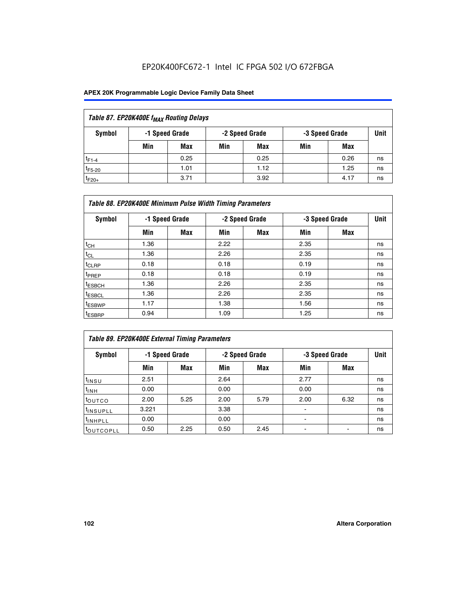## EP20K400FC672-1 Intel IC FPGA 502 I/O 672FBGA

| Table 87. EP20K400E f <sub>MAX</sub> Routing Delays |     |                |     |                |     |                |             |  |  |  |
|-----------------------------------------------------|-----|----------------|-----|----------------|-----|----------------|-------------|--|--|--|
| Symbol                                              |     | -1 Speed Grade |     | -2 Speed Grade |     | -3 Speed Grade | <b>Unit</b> |  |  |  |
|                                                     | Min | <b>Max</b>     | Min | Max            | Min | Max            |             |  |  |  |
| $t_{F1-4}$                                          |     | 0.25           |     | 0.25           |     | 0.26           | ns          |  |  |  |
| $t_{F5-20}$                                         |     | 1.01           |     | 1.12           |     | 1.25           | ns          |  |  |  |
| $t_{F20+}$                                          |     | 3.71           |     | 3.92           |     | 4.17           | ns          |  |  |  |

|                    | Table 88. EP20K400E Minimum Pulse Width Timing Parameters |                |      |                |      |                |             |  |  |  |  |
|--------------------|-----------------------------------------------------------|----------------|------|----------------|------|----------------|-------------|--|--|--|--|
| Symbol             |                                                           | -1 Speed Grade |      | -2 Speed Grade |      | -3 Speed Grade | <b>Unit</b> |  |  |  |  |
|                    | Min                                                       | <b>Max</b>     | Min  | <b>Max</b>     | Min  | <b>Max</b>     |             |  |  |  |  |
| $t_{CH}$           | 1.36                                                      |                | 2.22 |                | 2.35 |                | ns          |  |  |  |  |
| $t_{\rm CL}$       | 1.36                                                      |                | 2.26 |                | 2.35 |                | ns          |  |  |  |  |
| $t_{CLRP}$         | 0.18                                                      |                | 0.18 |                | 0.19 |                | ns          |  |  |  |  |
| <sup>t</sup> PREP  | 0.18                                                      |                | 0.18 |                | 0.19 |                | ns          |  |  |  |  |
| <sup>t</sup> ESBCH | 1.36                                                      |                | 2.26 |                | 2.35 |                | ns          |  |  |  |  |
| <sup>t</sup> ESBCL | 1.36                                                      |                | 2.26 |                | 2.35 |                | ns          |  |  |  |  |
| <sup>t</sup> ESBWP | 1.17                                                      |                | 1.38 |                | 1.56 |                | ns          |  |  |  |  |
| <sup>t</sup> ESBRP | 0.94                                                      |                | 1.09 |                | 1.25 |                | ns          |  |  |  |  |

| Table 89. EP20K400E External Timing Parameters |       |                |      |                |                          |                               |    |  |  |
|------------------------------------------------|-------|----------------|------|----------------|--------------------------|-------------------------------|----|--|--|
| Symbol                                         |       | -1 Speed Grade |      | -2 Speed Grade |                          | <b>Unit</b><br>-3 Speed Grade |    |  |  |
|                                                | Min   | Max            | Min  | <b>Max</b>     | Min                      | Max                           |    |  |  |
| $t_{INSU}$                                     | 2.51  |                | 2.64 |                | 2.77                     |                               | ns |  |  |
| $t_{INH}$                                      | 0.00  |                | 0.00 |                | 0.00                     |                               | ns |  |  |
| toutco                                         | 2.00  | 5.25           | 2.00 | 5.79           | 2.00                     | 6.32                          | ns |  |  |
| <sup>t</sup> INSUPLL                           | 3.221 |                | 3.38 |                | ۰                        |                               | ns |  |  |
| I <sup>t</sup> INHPLL                          | 0.00  |                | 0.00 |                | $\overline{\phantom{0}}$ |                               | ns |  |  |
| toutcopll                                      | 0.50  | 2.25           | 0.50 | 2.45           |                          |                               | ns |  |  |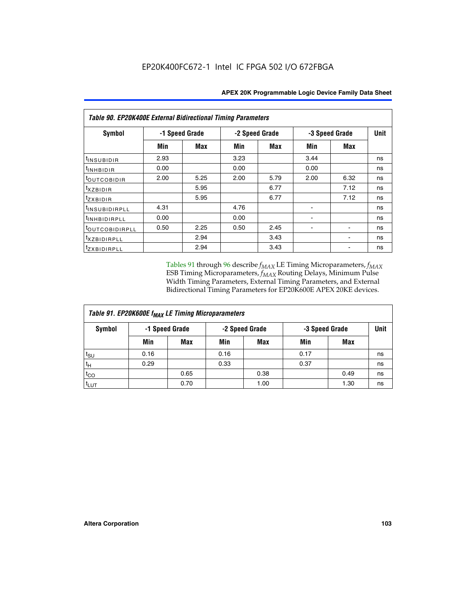| <b>Table 90. EP20K400E External Bidirectional Timing Parameters</b> |      |                |                |      |      |                |             |  |  |
|---------------------------------------------------------------------|------|----------------|----------------|------|------|----------------|-------------|--|--|
| Symbol                                                              |      | -1 Speed Grade | -2 Speed Grade |      |      | -3 Speed Grade | <b>Unit</b> |  |  |
|                                                                     | Min  | Max            | Min            | Max  | Min  | Max            |             |  |  |
| t <sub>INSUBIDIR</sub>                                              | 2.93 |                | 3.23           |      | 3.44 |                | ns          |  |  |
| t <sub>INHBIDIR</sub>                                               | 0.00 |                | 0.00           |      | 0.00 |                | ns          |  |  |
| t <sub>OUTCOBIDIR</sub>                                             | 2.00 | 5.25           | 2.00           | 5.79 | 2.00 | 6.32           | ns          |  |  |
| <i>txzbidir</i>                                                     |      | 5.95           |                | 6.77 |      | 7.12           | ns          |  |  |
| tzxbidir                                                            |      | 5.95           |                | 6.77 |      | 7.12           | ns          |  |  |
| <sup>t</sup> INSUBIDIRPLL                                           | 4.31 |                | 4.76           |      |      |                | ns          |  |  |
| t <sub>INHBIDIRPLL</sub>                                            | 0.00 |                | 0.00           |      |      |                | ns          |  |  |
| toutco <u>bidirpll</u>                                              | 0.50 | 2.25           | 0.50           | 2.45 |      |                | ns          |  |  |
| <sup>t</sup> xzbidirpll                                             |      | 2.94           |                | 3.43 |      |                | ns          |  |  |
| tzxBIDIRPLL                                                         |      | 2.94           |                | 3.43 |      |                | ns          |  |  |

Tables 91 through 96 describe  $f_{MAX}$  LE Timing Microparameters,  $f_{MAX}$ ESB Timing Microparameters, *f<sub>MAX</sub>* Routing Delays, Minimum Pulse Width Timing Parameters, External Timing Parameters, and External Bidirectional Timing Parameters for EP20K600E APEX 20KE devices.

| Table 91. EP20K600E f <sub>MAX</sub> LE Timing Microparameters |                                  |            |      |                |             |      |    |  |
|----------------------------------------------------------------|----------------------------------|------------|------|----------------|-------------|------|----|--|
| Symbol                                                         | -2 Speed Grade<br>-1 Speed Grade |            |      | -3 Speed Grade | <b>Unit</b> |      |    |  |
|                                                                | Min                              | <b>Max</b> | Min  | <b>Max</b>     | Min         | Max  |    |  |
| $t_{\sf SU}$                                                   | 0.16                             |            | 0.16 |                | 0.17        |      | ns |  |
| $t_H$                                                          | 0.29                             |            | 0.33 |                | 0.37        |      | ns |  |
| $t_{CO}$                                                       |                                  | 0.65       |      | 0.38           |             | 0.49 | ns |  |
| <sup>t</sup> LUT                                               |                                  | 0.70       |      | 1.00           |             | 1.30 | ns |  |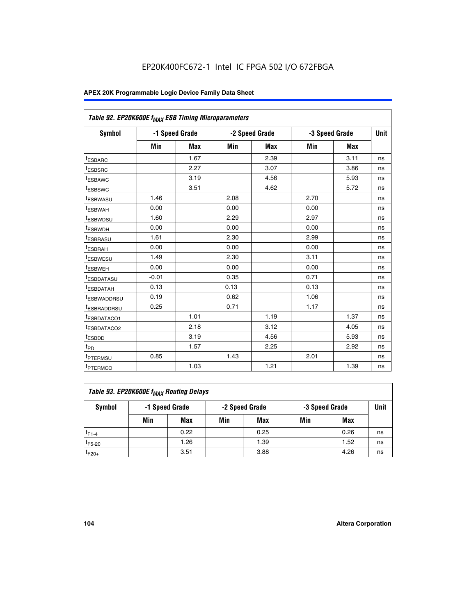| Table 92. EP20K600E f <sub>MAX</sub> ESB Timing Microparameters |         |                |      |                |                |      |             |
|-----------------------------------------------------------------|---------|----------------|------|----------------|----------------|------|-------------|
| <b>Symbol</b>                                                   |         | -1 Speed Grade |      | -2 Speed Grade | -3 Speed Grade |      | <b>Unit</b> |
|                                                                 | Min     | Max            | Min  | Max            | Min            | Max  |             |
| <sup>t</sup> ESBARC                                             |         | 1.67           |      | 2.39           |                | 3.11 | ns          |
| t <sub>ESBSRC</sub>                                             |         | 2.27           |      | 3.07           |                | 3.86 | ns          |
| <sup>t</sup> ESBAWC                                             |         | 3.19           |      | 4.56           |                | 5.93 | ns          |
| <sup>t</sup> ESBSWC                                             |         | 3.51           |      | 4.62           |                | 5.72 | ns          |
| <sup>t</sup> ESBWASU                                            | 1.46    |                | 2.08 |                | 2.70           |      | ns          |
| t <sub>ESBWAH</sub>                                             | 0.00    |                | 0.00 |                | 0.00           |      | ns          |
| t <sub>ESBWDSU</sub>                                            | 1.60    |                | 2.29 |                | 2.97           |      | ns          |
| t <sub>ESBWDH</sub>                                             | 0.00    |                | 0.00 |                | 0.00           |      | ns          |
| <sup>t</sup> ESBRASU                                            | 1.61    |                | 2.30 |                | 2.99           |      | ns          |
| <sup>t</sup> ESBRAH                                             | 0.00    |                | 0.00 |                | 0.00           |      | ns          |
| t <sub>ESBWESU</sub>                                            | 1.49    |                | 2.30 |                | 3.11           |      | ns          |
| t <sub>ESBWEH</sub>                                             | 0.00    |                | 0.00 |                | 0.00           |      | ns          |
| t <sub>ESBDATASU</sub>                                          | $-0.01$ |                | 0.35 |                | 0.71           |      | ns          |
| <sup>t</sup> ESBDATAH                                           | 0.13    |                | 0.13 |                | 0.13           |      | ns          |
| <sup>t</sup> ESBWADDRSU                                         | 0.19    |                | 0.62 |                | 1.06           |      | ns          |
| <sup>t</sup> ESBRADDRSU                                         | 0.25    |                | 0.71 |                | 1.17           |      | ns          |
| <sup>t</sup> ESBDATACO1                                         |         | 1.01           |      | 1.19           |                | 1.37 | ns          |
| <sup>t</sup> ESBDATACO2                                         |         | 2.18           |      | 3.12           |                | 4.05 | ns          |
| <sup>t</sup> ESBDD                                              |         | 3.19           |      | 4.56           |                | 5.93 | ns          |
| t <sub>PD</sub>                                                 |         | 1.57           |      | 2.25           |                | 2.92 | ns          |
| t <sub>PTERMSU</sub>                                            | 0.85    |                | 1.43 |                | 2.01           |      | ns          |
| t <sub>PTERMCO</sub>                                            |         | 1.03           |      | 1.21           |                | 1.39 | ns          |

| Table 93. EP20K600E f <sub>MAX</sub> Routing Delays |                                                    |      |     |      |             |      |    |  |  |
|-----------------------------------------------------|----------------------------------------------------|------|-----|------|-------------|------|----|--|--|
| Symbol                                              | -1 Speed Grade<br>-2 Speed Grade<br>-3 Speed Grade |      |     |      | <b>Unit</b> |      |    |  |  |
|                                                     | Min                                                | Max  | Min | Max  | Min         | Max  |    |  |  |
| $t_{F1-4}$                                          |                                                    | 0.22 |     | 0.25 |             | 0.26 | ns |  |  |
| $t_{F5-20}$                                         |                                                    | 1.26 |     | 1.39 |             | 1.52 | ns |  |  |
| $t_{F20+}$                                          |                                                    | 3.51 |     | 3.88 |             | 4.26 | ns |  |  |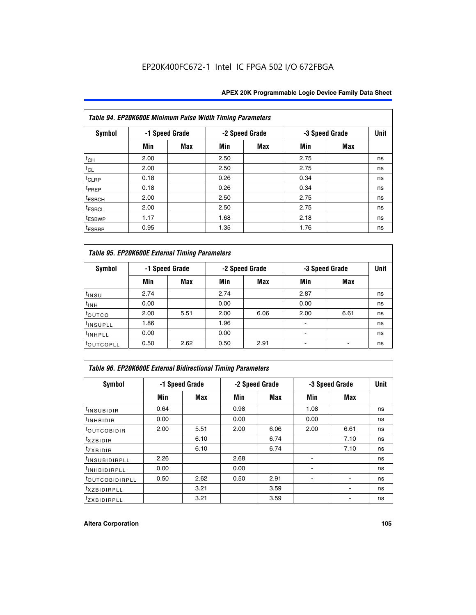|                    | Table 94. EP20K600E Minimum Pulse Width Timing Parameters |                |      |                |                |            |             |
|--------------------|-----------------------------------------------------------|----------------|------|----------------|----------------|------------|-------------|
| Symbol             |                                                           | -1 Speed Grade |      | -2 Speed Grade | -3 Speed Grade |            | <b>Unit</b> |
|                    | Min                                                       | Max            | Min  | Max            | Min            | <b>Max</b> |             |
| $t_{CH}$           | 2.00                                                      |                | 2.50 |                | 2.75           |            | ns          |
| $t_{CL}$           | 2.00                                                      |                | 2.50 |                | 2.75           |            | ns          |
| $t_{CLRP}$         | 0.18                                                      |                | 0.26 |                | 0.34           |            | ns          |
| t <sub>PREP</sub>  | 0.18                                                      |                | 0.26 |                | 0.34           |            | ns          |
| <sup>t</sup> ESBCH | 2.00                                                      |                | 2.50 |                | 2.75           |            | ns          |
| <sup>t</sup> ESBCL | 2.00                                                      |                | 2.50 |                | 2.75           |            | ns          |
| <sup>t</sup> ESBWP | 1.17                                                      |                | 1.68 |                | 2.18           |            | ns          |
| <sup>t</sup> ESBRP | 0.95                                                      |                | 1.35 |                | 1.76           |            | ns          |

| Table 95. EP20K600E External Timing Parameters |                |      |      |                |                               |      |    |  |  |
|------------------------------------------------|----------------|------|------|----------------|-------------------------------|------|----|--|--|
| Symbol                                         | -1 Speed Grade |      |      | -2 Speed Grade | <b>Unit</b><br>-3 Speed Grade |      |    |  |  |
|                                                | Min            | Max  | Min  | Max            | Min                           | Max  |    |  |  |
| t <sub>insu</sub>                              | 2.74           |      | 2.74 |                | 2.87                          |      | ns |  |  |
| $t_{INH}$                                      | 0.00           |      | 0.00 |                | 0.00                          |      | ns |  |  |
| toutco                                         | 2.00           | 5.51 | 2.00 | 6.06           | 2.00                          | 6.61 | ns |  |  |
| <sup>t</sup> INSUPLL                           | 1.86           |      | 1.96 |                |                               |      | ns |  |  |
| <sup>t</sup> INHPLL                            | 0.00           |      | 0.00 |                | $\overline{\phantom{a}}$      |      | ns |  |  |
| <b>LOUTCOPLL</b>                               | 0.50           | 2.62 | 0.50 | 2.91           |                               |      | ns |  |  |

|                              | Table 96. EP20K600E External Bidirectional Timing Parameters |      |      |                |      |                |             |  |  |  |
|------------------------------|--------------------------------------------------------------|------|------|----------------|------|----------------|-------------|--|--|--|
| Symbol                       | -1 Speed Grade                                               |      |      | -2 Speed Grade |      | -3 Speed Grade | <b>Unit</b> |  |  |  |
|                              | Min                                                          | Max  | Min  | Max            | Min  | Max            |             |  |  |  |
| <sup>t</sup> INSUBIDIR       | 0.64                                                         |      | 0.98 |                | 1.08 |                | ns          |  |  |  |
| $t_{\text{INHBIDIR}}$        | 0.00                                                         |      | 0.00 |                | 0.00 |                | ns          |  |  |  |
| <sup>t</sup> OUTCOBIDIR      | 2.00                                                         | 5.51 | 2.00 | 6.06           | 2.00 | 6.61           | ns          |  |  |  |
| txzBIDIR                     |                                                              | 6.10 |      | 6.74           |      | 7.10           | ns          |  |  |  |
| <sup>t</sup> zxbidir         |                                                              | 6.10 |      | 6.74           |      | 7.10           | ns          |  |  |  |
| <sup>t</sup> INSUBIDIRPLL    | 2.26                                                         |      | 2.68 |                |      |                | ns          |  |  |  |
| <sup>t</sup> INHBIDIRPLL     | 0.00                                                         |      | 0.00 |                |      |                | ns          |  |  |  |
| <b><i>LOUTCOBIDIRPLL</i></b> | 0.50                                                         | 2.62 | 0.50 | 2.91           |      |                | ns          |  |  |  |
| <sup>t</sup> xzbidirpll      |                                                              | 3.21 |      | 3.59           |      |                | ns          |  |  |  |
| <i>t</i> zxbidirpll          |                                                              | 3.21 |      | 3.59           |      | ٠              | ns          |  |  |  |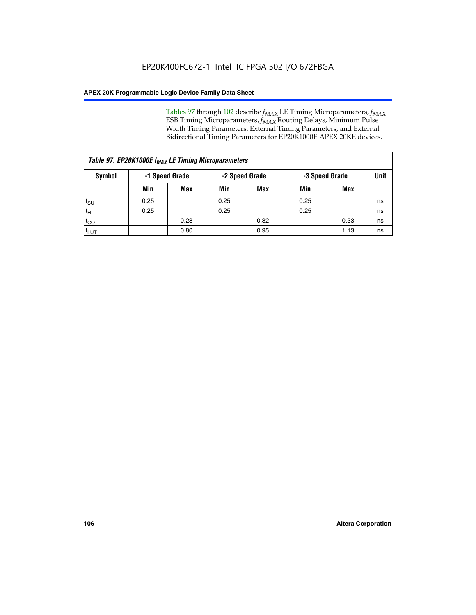Tables 97 through 102 describe  $f_{MAX}$  LE Timing Microparameters,  $f_{MAX}$ ESB Timing Microparameters, *f<sub>MAX</sub>* Routing Delays, Minimum Pulse Width Timing Parameters, External Timing Parameters, and External Bidirectional Timing Parameters for EP20K1000E APEX 20KE devices.

| Table 97. EP20K1000E f <sub>MAX</sub> LE Timing Microparameters |      |                |                                  |            |      |             |    |  |  |
|-----------------------------------------------------------------|------|----------------|----------------------------------|------------|------|-------------|----|--|--|
| Symbol                                                          |      | -1 Speed Grade | -2 Speed Grade<br>-3 Speed Grade |            |      | <b>Unit</b> |    |  |  |
|                                                                 | Min  | <b>Max</b>     | Min                              | <b>Max</b> | Min  | Max         |    |  |  |
| $t_{\text{SU}}$                                                 | 0.25 |                | 0.25                             |            | 0.25 |             | ns |  |  |
| $t_H$                                                           | 0.25 |                | 0.25                             |            | 0.25 |             | ns |  |  |
| $t_{CO}$                                                        |      | 0.28           |                                  | 0.32       |      | 0.33        | ns |  |  |
| t <sub>LUT</sub>                                                |      | 0.80           |                                  | 0.95       |      | 1.13        | ns |  |  |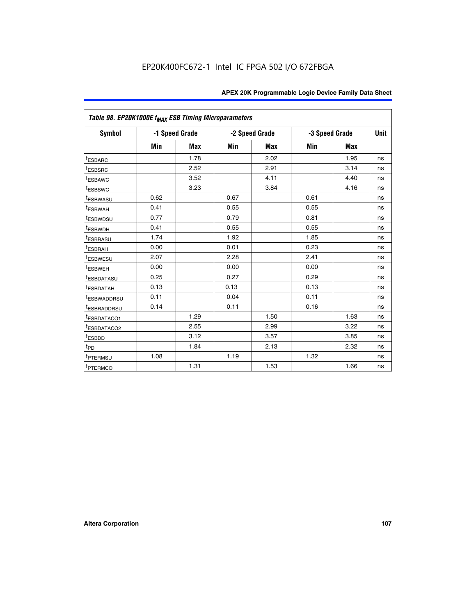| Table 98. EP20K1000E f <sub>MAX</sub> ESB Timing Microparameters |      |                |      |                |      |                |             |
|------------------------------------------------------------------|------|----------------|------|----------------|------|----------------|-------------|
| <b>Symbol</b>                                                    |      | -1 Speed Grade |      | -2 Speed Grade |      | -3 Speed Grade | <b>Unit</b> |
|                                                                  | Min  | <b>Max</b>     | Min  | <b>Max</b>     | Min  | <b>Max</b>     |             |
| <sup>t</sup> ESBARC                                              |      | 1.78           |      | 2.02           |      | 1.95           | ns          |
| <sup>t</sup> ESBSRC                                              |      | 2.52           |      | 2.91           |      | 3.14           | ns          |
| <b><i>ESBAWC</i></b>                                             |      | 3.52           |      | 4.11           |      | 4.40           | ns          |
| <sup>t</sup> ESBSWC                                              |      | 3.23           |      | 3.84           |      | 4.16           | ns          |
| <sup>t</sup> ESBWASU                                             | 0.62 |                | 0.67 |                | 0.61 |                | ns          |
| t <sub>ESBWAH</sub>                                              | 0.41 |                | 0.55 |                | 0.55 |                | ns          |
| <sup>t</sup> ESBWDSU                                             | 0.77 |                | 0.79 |                | 0.81 |                | ns          |
| <sup>t</sup> ESBWDH                                              | 0.41 |                | 0.55 |                | 0.55 |                | ns          |
| <sup>t</sup> ESBRASU                                             | 1.74 |                | 1.92 |                | 1.85 |                | ns          |
| <sup>t</sup> ESBRAH                                              | 0.00 |                | 0.01 |                | 0.23 |                | ns          |
| <i>t</i> <sub>ESBWESU</sub>                                      | 2.07 |                | 2.28 |                | 2.41 |                | ns          |
| <sup>t</sup> ESBWEH                                              | 0.00 |                | 0.00 |                | 0.00 |                | ns          |
| <sup>t</sup> ESBDATASU                                           | 0.25 |                | 0.27 |                | 0.29 |                | ns          |
| <sup>t</sup> ESBDATAH                                            | 0.13 |                | 0.13 |                | 0.13 |                | ns          |
| <sup>t</sup> ESBWADDRSU                                          | 0.11 |                | 0.04 |                | 0.11 |                | ns          |
| <sup>t</sup> ESBRADDRSU                                          | 0.14 |                | 0.11 |                | 0.16 |                | ns          |
| <sup>t</sup> ESBDATACO1                                          |      | 1.29           |      | 1.50           |      | 1.63           | ns          |
| <sup>I</sup> ESBDATACO2                                          |      | 2.55           |      | 2.99           |      | 3.22           | ns          |
| <sup>t</sup> ESBDD                                               |      | 3.12           |      | 3.57           |      | 3.85           | ns          |
| t <sub>PD</sub>                                                  |      | 1.84           |      | 2.13           |      | 2.32           | ns          |
| <sup>t</sup> PTERMSU                                             | 1.08 |                | 1.19 |                | 1.32 |                | ns          |
| t <sub>PTERMCO</sub>                                             |      | 1.31           |      | 1.53           |      | 1.66           | ns          |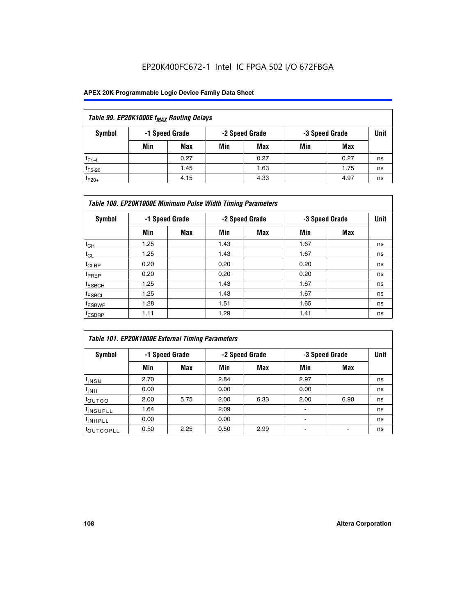## EP20K400FC672-1 Intel IC FPGA 502 I/O 672FBGA

## **APEX 20K Programmable Logic Device Family Data Sheet**

| Table 99. EP20K1000E f <sub>MAX</sub> Routing Delays |                                                    |      |     |      |     |      |    |  |  |  |  |
|------------------------------------------------------|----------------------------------------------------|------|-----|------|-----|------|----|--|--|--|--|
| Symbol                                               | -1 Speed Grade<br>-2 Speed Grade<br>-3 Speed Grade |      |     |      |     |      |    |  |  |  |  |
|                                                      | Min                                                | Max  | Min | Max  | Min | Max  |    |  |  |  |  |
| $t_{F1-4}$                                           |                                                    | 0.27 |     | 0.27 |     | 0.27 | ns |  |  |  |  |
| $t_{F5-20}$                                          |                                                    | 1.45 |     | 1.63 |     | 1.75 | ns |  |  |  |  |
| $t_{F20+}$                                           |                                                    | 4.15 |     | 4.33 |     | 4.97 | ns |  |  |  |  |

|                    | Table 100. EP20K1000E Minimum Pulse Width Timing Parameters |            |      |                |      |                |             |  |  |  |  |  |
|--------------------|-------------------------------------------------------------|------------|------|----------------|------|----------------|-------------|--|--|--|--|--|
| Symbol             | -1 Speed Grade                                              |            |      | -2 Speed Grade |      | -3 Speed Grade | <b>Unit</b> |  |  |  |  |  |
|                    | Min                                                         | <b>Max</b> | Min  | Max            | Min  | Max            |             |  |  |  |  |  |
| $t_{CH}$           | 1.25                                                        |            | 1.43 |                | 1.67 |                | ns          |  |  |  |  |  |
| $t_{CL}$           | 1.25                                                        |            | 1.43 |                | 1.67 |                | ns          |  |  |  |  |  |
| t <sub>CLRP</sub>  | 0.20                                                        |            | 0.20 |                | 0.20 |                | ns          |  |  |  |  |  |
| <sup>t</sup> PREP  | 0.20                                                        |            | 0.20 |                | 0.20 |                | ns          |  |  |  |  |  |
| <sup>t</sup> ESBCH | 1.25                                                        |            | 1.43 |                | 1.67 |                | ns          |  |  |  |  |  |
| <sup>t</sup> ESBCL | 1.25                                                        |            | 1.43 |                | 1.67 |                | ns          |  |  |  |  |  |
| <sup>t</sup> ESBWP | 1.28                                                        |            | 1.51 |                | 1.65 |                | ns          |  |  |  |  |  |
| <sup>t</sup> ESBRP | 1.11                                                        |            | 1.29 |                | 1.41 |                | ns          |  |  |  |  |  |

| Table 101. EP20K1000E External Timing Parameters |      |                |      |                |                          |      |             |  |  |  |  |  |
|--------------------------------------------------|------|----------------|------|----------------|--------------------------|------|-------------|--|--|--|--|--|
| Symbol                                           |      | -1 Speed Grade |      | -2 Speed Grade | -3 Speed Grade           |      | <b>Unit</b> |  |  |  |  |  |
|                                                  | Min  | Max            | Min  | <b>Max</b>     | Min                      | Max  |             |  |  |  |  |  |
| t <sub>INSU</sub>                                | 2.70 |                | 2.84 |                | 2.97                     |      | ns          |  |  |  |  |  |
| $t_{INH}$                                        | 0.00 |                | 0.00 |                | 0.00                     |      | ns          |  |  |  |  |  |
| toutco                                           | 2.00 | 5.75           | 2.00 | 6.33           | 2.00                     | 6.90 | ns          |  |  |  |  |  |
| <sup>t</sup> INSUPLL                             | 1.64 |                | 2.09 |                | ۰                        |      | ns          |  |  |  |  |  |
| I <sup>t</sup> INHPLL                            | 0.00 |                | 0.00 |                | $\overline{\phantom{a}}$ |      | ns          |  |  |  |  |  |
| toutcopll                                        | 0.50 | 2.25           | 0.50 | 2.99           | -                        |      | ns          |  |  |  |  |  |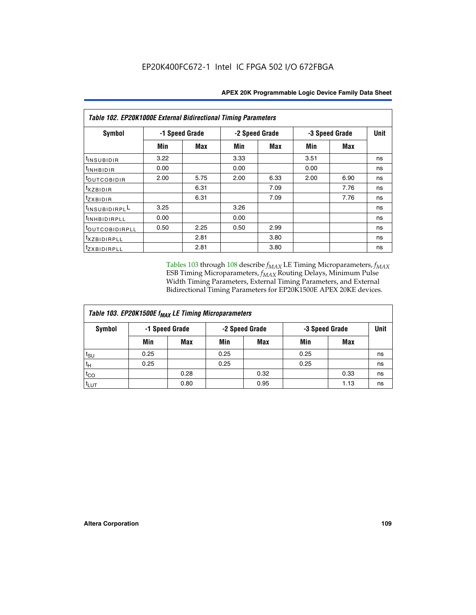| Table 102. EP20K1000E External Bidirectional Timing Parameters |      |                |                |      |                |             |    |  |  |  |
|----------------------------------------------------------------|------|----------------|----------------|------|----------------|-------------|----|--|--|--|
| Symbol                                                         |      | -1 Speed Grade | -2 Speed Grade |      | -3 Speed Grade | <b>Unit</b> |    |  |  |  |
|                                                                | Min  | <b>Max</b>     | Min            | Max  | Min            | <b>Max</b>  |    |  |  |  |
| t <sub>INSUBIDIR</sub>                                         | 3.22 |                | 3.33           |      | 3.51           |             | ns |  |  |  |
| t <sub>INHBIDIR</sub>                                          | 0.00 |                | 0.00           |      | 0.00           |             | ns |  |  |  |
| t <sub>outcobidir</sub>                                        | 2.00 | 5.75           | 2.00           | 6.33 | 2.00           | 6.90        | ns |  |  |  |
| <i>txzbidir</i>                                                |      | 6.31           |                | 7.09 |                | 7.76        | ns |  |  |  |
| tzxbidir                                                       |      | 6.31           |                | 7.09 |                | 7.76        | ns |  |  |  |
| t <sub>INSUBIDIRPL</sub> L                                     | 3.25 |                | 3.26           |      |                |             | ns |  |  |  |
| tINHBIDIRPLL                                                   | 0.00 |                | 0.00           |      |                |             | ns |  |  |  |
| tout COBIDIRPLL                                                | 0.50 | 2.25           | 0.50           | 2.99 |                |             | ns |  |  |  |
| <i>txzBIDIRPLL</i>                                             |      | 2.81           |                | 3.80 |                |             | ns |  |  |  |
| tzxBIDIRPLL                                                    |      | 2.81           |                | 3.80 |                |             | ns |  |  |  |

Tables 103 through 108 describe  $f_{MAX}$  LE Timing Microparameters,  $f_{MAX}$ ESB Timing Microparameters, *f<sub>MAX</sub>* Routing Delays, Minimum Pulse Width Timing Parameters, External Timing Parameters, and External Bidirectional Timing Parameters for EP20K1500E APEX 20KE devices.

| Table 103. EP20K1500E f <sub>MAX</sub> LE Timing Microparameters |      |                |      |                |      |                |    |  |  |  |  |
|------------------------------------------------------------------|------|----------------|------|----------------|------|----------------|----|--|--|--|--|
| Symbol                                                           |      | -1 Speed Grade |      | -2 Speed Grade |      | -3 Speed Grade |    |  |  |  |  |
|                                                                  | Min  | <b>Max</b>     | Min  | <b>Max</b>     | Min  | Max            |    |  |  |  |  |
| $t_{\sf SU}$                                                     | 0.25 |                | 0.25 |                | 0.25 |                | ns |  |  |  |  |
| $t_H$                                                            | 0.25 |                | 0.25 |                | 0.25 |                | ns |  |  |  |  |
| $t_{CO}$                                                         |      | 0.28           |      | 0.32           |      | 0.33           | ns |  |  |  |  |
| t <sub>lut</sub>                                                 |      | 0.80           |      | 0.95           |      | 1.13           | ns |  |  |  |  |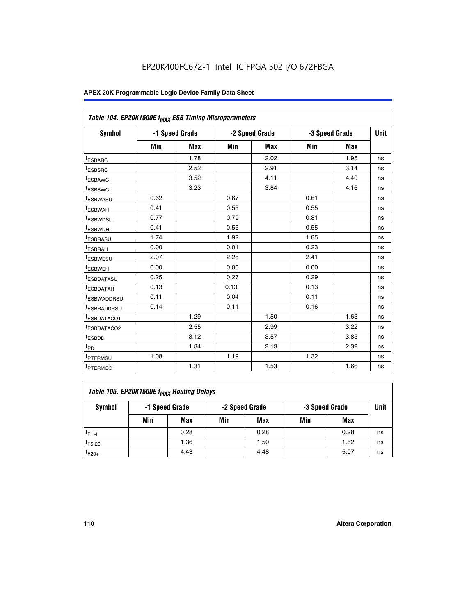|                         | Table 104. EP20K1500E f <sub>MAX</sub> ESB Timing Microparameters |            |      |                |            |                |             |  |  |  |  |  |
|-------------------------|-------------------------------------------------------------------|------------|------|----------------|------------|----------------|-------------|--|--|--|--|--|
| <b>Symbol</b>           | -1 Speed Grade                                                    |            |      | -2 Speed Grade |            | -3 Speed Grade | <b>Unit</b> |  |  |  |  |  |
|                         | Min                                                               | <b>Max</b> | Min  | <b>Max</b>     | <b>Min</b> | <b>Max</b>     |             |  |  |  |  |  |
| t <sub>ESBARC</sub>     |                                                                   | 1.78       |      | 2.02           |            | 1.95           | ns          |  |  |  |  |  |
| t <sub>ESBSRC</sub>     |                                                                   | 2.52       |      | 2.91           |            | 3.14           | ns          |  |  |  |  |  |
| <sup>t</sup> ESBAWC     |                                                                   | 3.52       |      | 4.11           |            | 4.40           | ns          |  |  |  |  |  |
| t <sub>ESBSWC</sub>     |                                                                   | 3.23       |      | 3.84           |            | 4.16           | ns          |  |  |  |  |  |
| <sup>t</sup> ESBWASU    | 0.62                                                              |            | 0.67 |                | 0.61       |                | ns          |  |  |  |  |  |
| <sup>t</sup> ESBWAH     | 0.41                                                              |            | 0.55 |                | 0.55       |                | ns          |  |  |  |  |  |
| t <sub>ESBWDSU</sub>    | 0.77                                                              |            | 0.79 |                | 0.81       |                | ns          |  |  |  |  |  |
| <sup>t</sup> ESBWDH     | 0.41                                                              |            | 0.55 |                | 0.55       |                | ns          |  |  |  |  |  |
| <sup>t</sup> ESBRASU    | 1.74                                                              |            | 1.92 |                | 1.85       |                | ns          |  |  |  |  |  |
| <sup>t</sup> ESBRAH     | 0.00                                                              |            | 0.01 |                | 0.23       |                | ns          |  |  |  |  |  |
| <sup>t</sup> ESBWESU    | 2.07                                                              |            | 2.28 |                | 2.41       |                | ns          |  |  |  |  |  |
| t <sub>ESBWEH</sub>     | 0.00                                                              |            | 0.00 |                | 0.00       |                | ns          |  |  |  |  |  |
| <sup>t</sup> ESBDATASU  | 0.25                                                              |            | 0.27 |                | 0.29       |                | ns          |  |  |  |  |  |
| <sup>t</sup> ESBDATAH   | 0.13                                                              |            | 0.13 |                | 0.13       |                | ns          |  |  |  |  |  |
| <sup>t</sup> ESBWADDRSU | 0.11                                                              |            | 0.04 |                | 0.11       |                | ns          |  |  |  |  |  |
| <sup>t</sup> ESBRADDRSU | 0.14                                                              |            | 0.11 |                | 0.16       |                | ns          |  |  |  |  |  |
| <sup>t</sup> ESBDATACO1 |                                                                   | 1.29       |      | 1.50           |            | 1.63           | ns          |  |  |  |  |  |
| t <sub>ESBDATACO2</sub> |                                                                   | 2.55       |      | 2.99           |            | 3.22           | ns          |  |  |  |  |  |
| <sup>t</sup> ESBDD      |                                                                   | 3.12       |      | 3.57           |            | 3.85           | ns          |  |  |  |  |  |
| t <sub>PD</sub>         |                                                                   | 1.84       |      | 2.13           |            | 2.32           | ns          |  |  |  |  |  |
| t <sub>PTERMSU</sub>    | 1.08                                                              |            | 1.19 |                | 1.32       |                | ns          |  |  |  |  |  |
| t <sub>PTERMCO</sub>    |                                                                   | 1.31       |      | 1.53           |            | 1.66           | ns          |  |  |  |  |  |

| Table 105. EP20K1500E f <sub>MAX</sub> Routing Delays |                                                    |      |     |      |     |      |    |  |  |  |
|-------------------------------------------------------|----------------------------------------------------|------|-----|------|-----|------|----|--|--|--|
| Symbol                                                | -1 Speed Grade<br>-2 Speed Grade<br>-3 Speed Grade |      |     |      |     |      |    |  |  |  |
|                                                       | Min                                                | Max  | Min | Max  | Min | Max  |    |  |  |  |
| $t_{F1-4}$                                            |                                                    | 0.28 |     | 0.28 |     | 0.28 | ns |  |  |  |
| $t_{F5-20}$                                           |                                                    | 1.36 |     | 1.50 |     | 1.62 | ns |  |  |  |
| $t_{F20+}$                                            |                                                    | 4.43 |     | 4.48 |     | 5.07 | ns |  |  |  |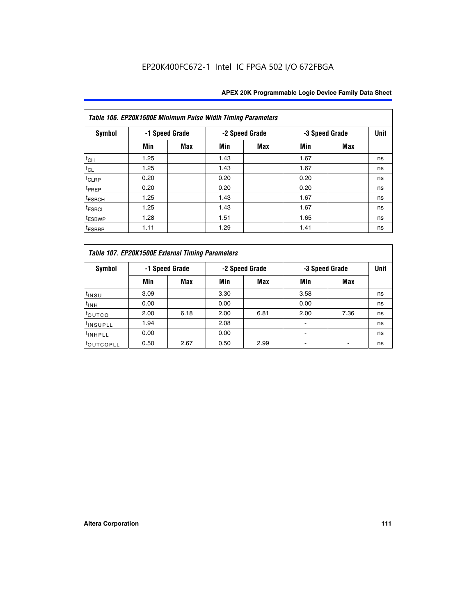|                    | Table 106. EP20K1500E Minimum Pulse Width Timing Parameters |                |      |                |                |            |             |  |  |  |  |  |
|--------------------|-------------------------------------------------------------|----------------|------|----------------|----------------|------------|-------------|--|--|--|--|--|
| Symbol             |                                                             | -1 Speed Grade |      | -2 Speed Grade | -3 Speed Grade |            | <b>Unit</b> |  |  |  |  |  |
|                    | Min                                                         | <b>Max</b>     | Min  | Max            | Min            | <b>Max</b> |             |  |  |  |  |  |
| $t_{CH}$           | 1.25                                                        |                | 1.43 |                | 1.67           |            | ns          |  |  |  |  |  |
| $t_{CL}$           | 1.25                                                        |                | 1.43 |                | 1.67           |            | ns          |  |  |  |  |  |
| t <sub>CLRP</sub>  | 0.20                                                        |                | 0.20 |                | 0.20           |            | ns          |  |  |  |  |  |
| <sup>t</sup> PREP  | 0.20                                                        |                | 0.20 |                | 0.20           |            | ns          |  |  |  |  |  |
| <sup>t</sup> ESBCH | 1.25                                                        |                | 1.43 |                | 1.67           |            | ns          |  |  |  |  |  |
| <sup>t</sup> ESBCL | 1.25                                                        |                | 1.43 |                | 1.67           |            | ns          |  |  |  |  |  |
| <sup>t</sup> ESBWP | 1.28                                                        |                | 1.51 |                | 1.65           |            | ns          |  |  |  |  |  |
| <sup>t</sup> ESBRP | 1.11                                                        |                | 1.29 |                | 1.41           |            | ns          |  |  |  |  |  |

|                      | Table 107. EP20K1500E External Timing Parameters |      |      |                |                          |                |             |  |  |  |  |  |  |
|----------------------|--------------------------------------------------|------|------|----------------|--------------------------|----------------|-------------|--|--|--|--|--|--|
| Symbol               | -1 Speed Grade                                   |      |      | -2 Speed Grade |                          | -3 Speed Grade | <b>Unit</b> |  |  |  |  |  |  |
|                      | Min                                              | Max  | Min  | <b>Max</b>     | Min                      | Max            |             |  |  |  |  |  |  |
| t <sub>insu</sub>    | 3.09                                             |      | 3.30 |                | 3.58                     |                | ns          |  |  |  |  |  |  |
| $t_{INH}$            | 0.00                                             |      | 0.00 |                | 0.00                     |                | ns          |  |  |  |  |  |  |
| toutco               | 2.00                                             | 6.18 | 2.00 | 6.81           | 2.00                     | 7.36           | ns          |  |  |  |  |  |  |
| <sup>t</sup> INSUPLL | 1.94                                             |      | 2.08 |                |                          |                | ns          |  |  |  |  |  |  |
| <sup>t</sup> INHPLL  | 0.00                                             |      | 0.00 |                | $\overline{\phantom{0}}$ |                | ns          |  |  |  |  |  |  |
| <b>LOUTCOPLL</b>     | 0.50                                             | 2.67 | 0.50 | 2.99           |                          |                | ns          |  |  |  |  |  |  |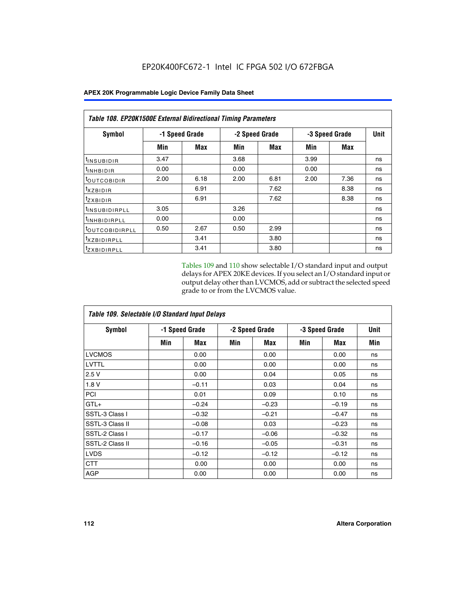|                            | <b>Table 108. EP20K1500E External Bidirectional Timing Parameters</b> |      |      |                |                |             |    |  |  |  |  |
|----------------------------|-----------------------------------------------------------------------|------|------|----------------|----------------|-------------|----|--|--|--|--|
| Symbol                     | -1 Speed Grade                                                        |      |      | -2 Speed Grade | -3 Speed Grade | <b>Unit</b> |    |  |  |  |  |
|                            | Min                                                                   | Max  | Min  | Max            | Min            | Max         |    |  |  |  |  |
| <sup>t</sup> INSUBIDIR     | 3.47                                                                  |      | 3.68 |                | 3.99           |             | ns |  |  |  |  |
| <sup>t</sup> INHBIDIR      | 0.00                                                                  |      | 0.00 |                | 0.00           |             | ns |  |  |  |  |
| <sup>t</sup> OUTCOBIDIR    | 2.00                                                                  | 6.18 | 2.00 | 6.81           | 2.00           | 7.36        | ns |  |  |  |  |
| txzBIDIR                   |                                                                       | 6.91 |      | 7.62           |                | 8.38        | ns |  |  |  |  |
| <sup>t</sup> zxbidir       |                                                                       | 6.91 |      | 7.62           |                | 8.38        | ns |  |  |  |  |
| <sup>t</sup> INSUBIDIRPLL  | 3.05                                                                  |      | 3.26 |                |                |             | ns |  |  |  |  |
| <sup>t</sup> INHBIDIRPLL   | 0.00                                                                  |      | 0.00 |                |                |             | ns |  |  |  |  |
| <sup>t</sup> OUTCOBIDIRPLL | 0.50                                                                  | 2.67 | 0.50 | 2.99           |                |             | ns |  |  |  |  |
| <sup>t</sup> XZBIDIRPLL    |                                                                       | 3.41 |      | 3.80           |                |             | ns |  |  |  |  |
| <sup>t</sup> zxbidirpll    |                                                                       | 3.41 |      | 3.80           |                |             | ns |  |  |  |  |

Tables 109 and 110 show selectable I/O standard input and output delays for APEX 20KE devices. If you select an I/O standard input or output delay other than LVCMOS, add or subtract the selected speed grade to or from the LVCMOS value.

| Table 109. Selectable I/O Standard Input Delays |     |                |     |                |     |                |     |  |  |  |  |
|-------------------------------------------------|-----|----------------|-----|----------------|-----|----------------|-----|--|--|--|--|
| <b>Symbol</b>                                   |     | -1 Speed Grade |     | -2 Speed Grade |     | -3 Speed Grade |     |  |  |  |  |
|                                                 | Min | Max            | Min | Max            | Min | Max            | Min |  |  |  |  |
| <b>LVCMOS</b>                                   |     | 0.00           |     | 0.00           |     | 0.00           | ns  |  |  |  |  |
| <b>LVTTL</b>                                    |     | 0.00           |     | 0.00           |     | 0.00           | ns  |  |  |  |  |
| 2.5V                                            |     | 0.00           |     | 0.04           |     | 0.05           | ns  |  |  |  |  |
| 1.8V                                            |     | $-0.11$        |     | 0.03           |     | 0.04           | ns  |  |  |  |  |
| PCI                                             |     | 0.01           |     | 0.09           |     | 0.10           | ns  |  |  |  |  |
| $GTL+$                                          |     | $-0.24$        |     | $-0.23$        |     | $-0.19$        | ns  |  |  |  |  |
| SSTL-3 Class I                                  |     | $-0.32$        |     | $-0.21$        |     | $-0.47$        | ns  |  |  |  |  |
| SSTL-3 Class II                                 |     | $-0.08$        |     | 0.03           |     | $-0.23$        | ns  |  |  |  |  |
| SSTL-2 Class I                                  |     | $-0.17$        |     | $-0.06$        |     | $-0.32$        | ns  |  |  |  |  |
| SSTL-2 Class II                                 |     | $-0.16$        |     | $-0.05$        |     | $-0.31$        | ns  |  |  |  |  |
| <b>LVDS</b>                                     |     | $-0.12$        |     | $-0.12$        |     | $-0.12$        | ns  |  |  |  |  |
| <b>CTT</b>                                      |     | 0.00           |     | 0.00           |     | 0.00           | ns  |  |  |  |  |
| <b>AGP</b>                                      |     | 0.00           |     | 0.00           |     | 0.00           | ns  |  |  |  |  |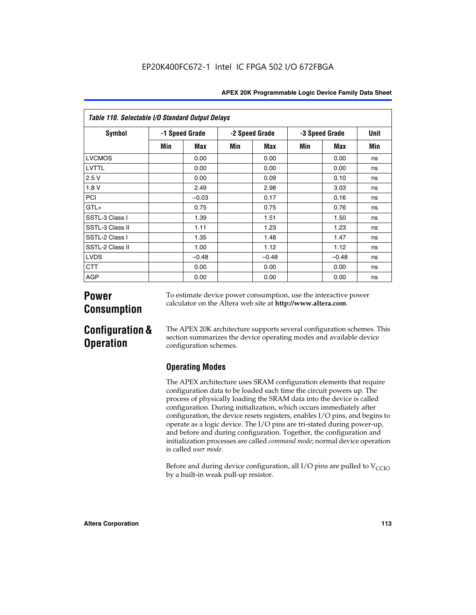| Table 110. Selectable I/O Standard Output Delays |     |                |     |                |                |         |      |  |  |  |  |
|--------------------------------------------------|-----|----------------|-----|----------------|----------------|---------|------|--|--|--|--|
| <b>Symbol</b>                                    |     | -1 Speed Grade |     | -2 Speed Grade | -3 Speed Grade |         | Unit |  |  |  |  |
|                                                  | Min | Max            | Min | Max            | Min            | Max     | Min  |  |  |  |  |
| <b>LVCMOS</b>                                    |     | 0.00           |     | 0.00           |                | 0.00    | ns   |  |  |  |  |
| LVTTL                                            |     | 0.00           |     | 0.00           |                | 0.00    | ns   |  |  |  |  |
| 2.5V                                             |     | 0.00           |     | 0.09           |                | 0.10    | ns   |  |  |  |  |
| 1.8V                                             |     | 2.49           |     | 2.98           |                | 3.03    | ns   |  |  |  |  |
| <b>PCI</b>                                       |     | $-0.03$        |     | 0.17           |                | 0.16    | ns   |  |  |  |  |
| $GTL+$                                           |     | 0.75           |     | 0.75           |                | 0.76    | ns   |  |  |  |  |
| SSTL-3 Class I                                   |     | 1.39           |     | 1.51           |                | 1.50    | ns   |  |  |  |  |
| SSTL-3 Class II                                  |     | 1.11           |     | 1.23           |                | 1.23    | ns   |  |  |  |  |
| SSTL-2 Class I                                   |     | 1.35           |     | 1.48           |                | 1.47    | ns   |  |  |  |  |
| SSTL-2 Class II                                  |     | 1.00           |     | 1.12           |                | 1.12    | ns   |  |  |  |  |
| <b>LVDS</b>                                      |     | $-0.48$        |     | $-0.48$        |                | $-0.48$ | ns   |  |  |  |  |
| <b>CTT</b>                                       |     | 0.00           |     | 0.00           |                | 0.00    | ns   |  |  |  |  |
| AGP                                              |     | 0.00           |     | 0.00           |                | 0.00    | ns   |  |  |  |  |

# **Power Consumption**

To estimate device power consumption, use the interactive power calculator on the Altera web site at **http://www.altera.com**.

# **Configuration & Operation**

The APEX 20K architecture supports several configuration schemes. This section summarizes the device operating modes and available device configuration schemes.

## **Operating Modes**

The APEX architecture uses SRAM configuration elements that require configuration data to be loaded each time the circuit powers up. The process of physically loading the SRAM data into the device is called configuration. During initialization, which occurs immediately after configuration, the device resets registers, enables I/O pins, and begins to operate as a logic device. The I/O pins are tri-stated during power-up, and before and during configuration. Together, the configuration and initialization processes are called *command mode*; normal device operation is called *user mode*.

Before and during device configuration, all I/O pins are pulled to  $V_{\text{CCTO}}$ by a built-in weak pull-up resistor.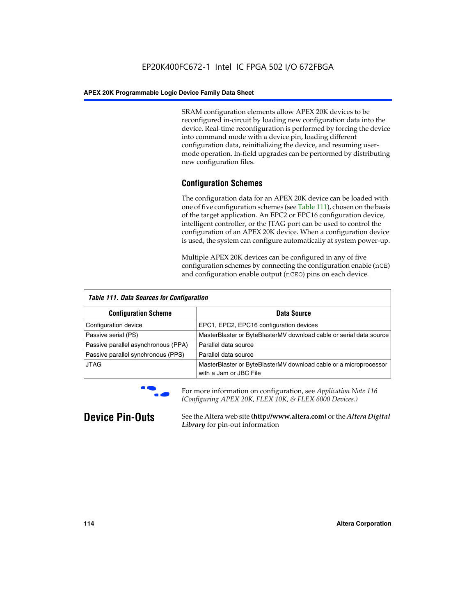SRAM configuration elements allow APEX 20K devices to be reconfigured in-circuit by loading new configuration data into the device. Real-time reconfiguration is performed by forcing the device into command mode with a device pin, loading different configuration data, reinitializing the device, and resuming usermode operation. In-field upgrades can be performed by distributing new configuration files.

## **Configuration Schemes**

The configuration data for an APEX 20K device can be loaded with one of five configuration schemes (see Table 111), chosen on the basis of the target application. An EPC2 or EPC16 configuration device, intelligent controller, or the JTAG port can be used to control the configuration of an APEX 20K device. When a configuration device is used, the system can configure automatically at system power-up.

Multiple APEX 20K devices can be configured in any of five configuration schemes by connecting the configuration enable (nCE) and configuration enable output (nCEO) pins on each device.

| <b>Table 111. Data Sources for Configuration</b> |                                                                                             |
|--------------------------------------------------|---------------------------------------------------------------------------------------------|
| <b>Configuration Scheme</b>                      | Data Source                                                                                 |
| Configuration device                             | EPC1, EPC2, EPC16 configuration devices                                                     |
| Passive serial (PS)                              | MasterBlaster or ByteBlasterMV download cable or serial data source                         |
| Passive parallel asynchronous (PPA)              | Parallel data source                                                                        |
| Passive parallel synchronous (PPS)               | Parallel data source                                                                        |
| <b>JTAG</b>                                      | MasterBlaster or ByteBlasterMV download cable or a microprocessor<br>with a Jam or JBC File |



**For more information on configuration, see Application Note 116** *(Configuring APEX 20K, FLEX 10K, & FLEX 6000 Devices.)*

**Device Pin-Outs** See the Altera web site **(http://www.altera.com)** or the *Altera Digital Library* for pin-out information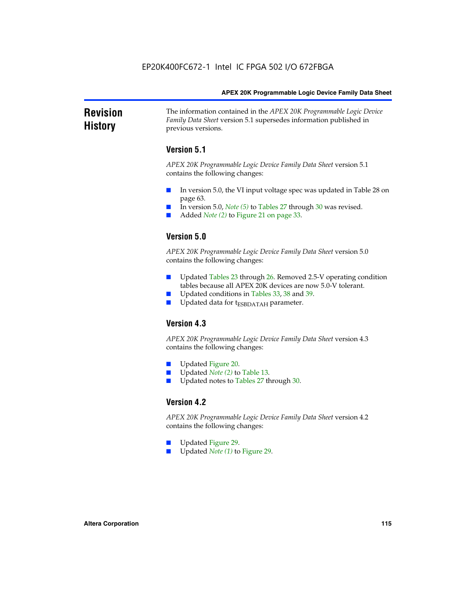### **Revision History** The information contained in the *APEX 20K Programmable Logic Device Family Data Sheet* version 5.1 supersedes information published in previous versions.

## **Version 5.1**

*APEX 20K Programmable Logic Device Family Data Sheet* version 5.1 contains the following changes:

- In version 5.0, the VI input voltage spec was updated in Table 28 on page 63.
- In version 5.0, *Note* (5) to Tables 27 through 30 was revised.
- Added *Note* (2) to Figure 21 on page 33.

## **Version 5.0**

*APEX 20K Programmable Logic Device Family Data Sheet* version 5.0 contains the following changes:

- Updated Tables 23 through 26. Removed 2.5-V operating condition tables because all APEX 20K devices are now 5.0-V tolerant.
- Updated conditions in Tables 33, 38 and 39.
- Updated data for t<sub>ESBDATAH</sub> parameter.

## **Version 4.3**

*APEX 20K Programmable Logic Device Family Data Sheet* version 4.3 contains the following changes:

- Updated Figure 20.
- Updated *Note (2)* to Table 13.
- Updated notes to Tables 27 through 30.

## **Version 4.2**

*APEX 20K Programmable Logic Device Family Data Sheet* version 4.2 contains the following changes:

- Updated Figure 29.
- Updated *Note (1)* to Figure 29.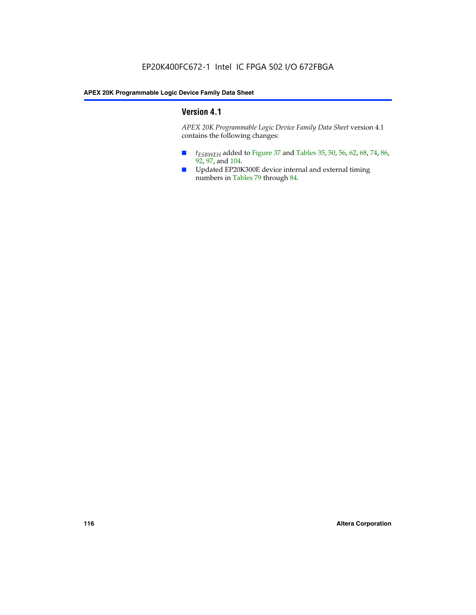## **Version 4.1**

*APEX 20K Programmable Logic Device Family Data Sheet* version 4.1 contains the following changes:

- *t<sub>ESBWEH</sub>* added to Figure 37 and Tables 35, 50, 56, 62, 68, 74, 86, 92, 97, and 104.
- Updated EP20K300E device internal and external timing numbers in Tables 79 through 84.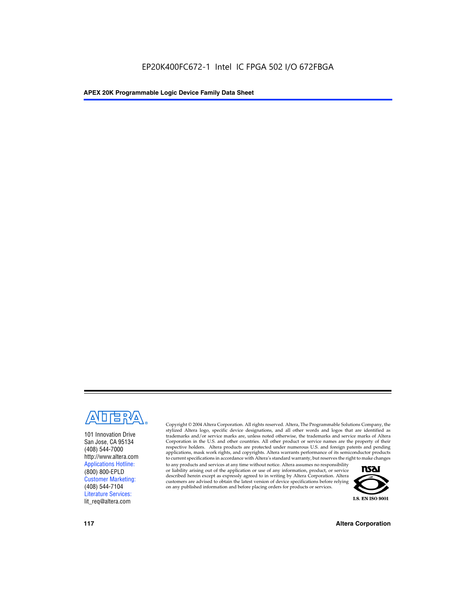

101 Innovation Drive San Jose, CA 95134 (408) 544-7000 http://www.altera.com Applications Hotline: (800) 800-EPLD Customer Marketing: (408) 544-7104 Literature Services: lit\_req@altera.com

Copyright © 2004 Altera Corporation. All rights reserved. Altera, The Programmable Solutions Company, the stylized Altera logo, specific device designations, and all other words and logos that are identified as trademarks and/or service marks are, unless noted otherwise, the trademarks and service marks of Altera Corporation in the U.S. and other countries. All other product or service names are the property of their respective holders. Altera products are protected under numerous U.S. and foreign patents and pending applications, mask work rights, and copyrights. Altera warrants performance of its semiconductor products to current specifications in accordance with Altera's standard warranty, but reserves the right to make changes

to any products and services at any time without notice. Altera assumes no responsibility or liability arising out of the application or use of any information, product, or service described herein except as expressly agreed to in writing by Altera Corporation. Altera customers are advised to obtain the latest version of device specifications before relying on any published information and before placing orders for products or services.



**117 Altera Corporation**